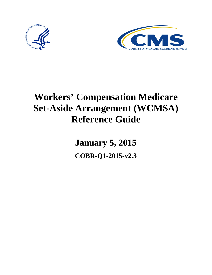



# **Workers' Compensation Medicare Set-Aside Arrangement (WCMSA) Reference Guide**

**January 5, 2015 COBR-Q1-2015-v2.3**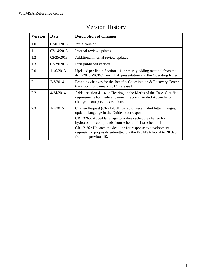| <b>Version</b> | <b>Date</b> | <b>Description of Changes</b>                                                                                                                                         |  |  |
|----------------|-------------|-----------------------------------------------------------------------------------------------------------------------------------------------------------------------|--|--|
| 1.0            | 03/01/2013  | Initial version                                                                                                                                                       |  |  |
| 1.1            | 03/14/2013  | Internal review updates                                                                                                                                               |  |  |
| 1.2            | 03/25/2013  | Additional internal review updates                                                                                                                                    |  |  |
| 1.3            | 03/29/2013  | First published version                                                                                                                                               |  |  |
| 2.0            | 11/6/2013   | Updated per list in Section 1.1, primarily adding material from the<br>4/11/2013 WCRC Town Hall presentation and the Operating Rules.                                 |  |  |
| 2.1            | 2/3/2014    | Branding changes for the Benefits Coordination & Recovery Center<br>transition, for January 2014 Release B.                                                           |  |  |
| 2.2            | 4/24/2014   | Added section 4.1.4 on Hearing on the Merits of the Case. Clarified<br>requirements for medical payment records. Added Appendix 6,<br>changes from previous versions. |  |  |
| 2.3            | 1/5/2015    | Change Request (CR) 12858: Based on recent alert letter changes,<br>updated language in the Guide to correspond.                                                      |  |  |
|                |             | CR 13265: Added language to address schedule change for<br>hydrocodone compounds from schedule III to schedule II.                                                    |  |  |
|                |             | CR 12192: Updated the deadline for response to development<br>requests for proposals submitted via the WCMSA Portal to 20 days<br>from the previous 10.               |  |  |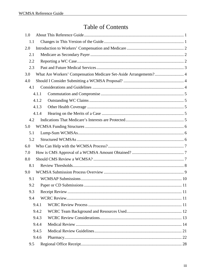# **Table of Contents**

| 1.0 |       |                                                                   |
|-----|-------|-------------------------------------------------------------------|
| 1.1 |       |                                                                   |
| 2.0 |       |                                                                   |
| 2.1 |       |                                                                   |
| 2.2 |       |                                                                   |
| 2.3 |       |                                                                   |
| 3.0 |       | What Are Workers' Compensation Medicare Set-Aside Arrangements? 4 |
| 4.0 |       |                                                                   |
| 4.1 |       |                                                                   |
|     | 4.1.1 |                                                                   |
|     | 4.1.2 |                                                                   |
|     | 4.1.3 |                                                                   |
|     | 4.1.4 |                                                                   |
| 4.2 |       |                                                                   |
| 5.0 |       |                                                                   |
| 5.1 |       |                                                                   |
| 5.2 |       |                                                                   |
| 6.0 |       |                                                                   |
| 7.0 |       |                                                                   |
| 8.0 |       |                                                                   |
| 8.1 |       |                                                                   |
| 9.0 |       |                                                                   |
| 9.1 |       |                                                                   |
| 9.2 |       |                                                                   |
| 9.3 |       |                                                                   |
| 9.4 |       |                                                                   |
|     | 9.4.1 |                                                                   |
|     | 9.4.2 |                                                                   |
|     | 9.4.3 |                                                                   |
|     | 9.4.4 |                                                                   |
|     | 9.4.5 |                                                                   |
|     | 9.4.6 |                                                                   |
| 9.5 |       |                                                                   |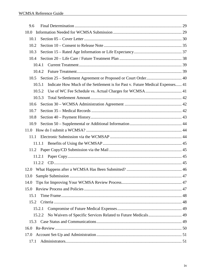| 9.6                                                                                     |  |
|-----------------------------------------------------------------------------------------|--|
| 10.0                                                                                    |  |
| 10.1                                                                                    |  |
| 10.2                                                                                    |  |
| 10.3                                                                                    |  |
| 10.4                                                                                    |  |
| 10.4.1                                                                                  |  |
| 10.4.2                                                                                  |  |
| 10.5                                                                                    |  |
| Indicate How Much of the Settlement is for Past v. Future Medical Expenses 41<br>10.5.1 |  |
| 10.5.2                                                                                  |  |
| 10.5.3                                                                                  |  |
| 10.6                                                                                    |  |
| 10.7                                                                                    |  |
| 10.8                                                                                    |  |
| 10.9                                                                                    |  |
|                                                                                         |  |
| 11.1                                                                                    |  |
| 11.1.1                                                                                  |  |
|                                                                                         |  |
| 11.2.1                                                                                  |  |
| 11.2.2                                                                                  |  |
| 12.0                                                                                    |  |
| 13.0                                                                                    |  |
| 14.0                                                                                    |  |
| 15.0                                                                                    |  |
| 15.1                                                                                    |  |
| 15.2                                                                                    |  |
| 15.2.1                                                                                  |  |
| 15.2.2                                                                                  |  |
| 15.3                                                                                    |  |
| 16.0                                                                                    |  |
| 17.0                                                                                    |  |
| 17.1                                                                                    |  |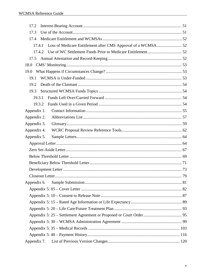| 17.2        |  |
|-------------|--|
| 17.3        |  |
| 17.4        |  |
| 17.4.1      |  |
| 17.4.2      |  |
| 17.5        |  |
| 18.0        |  |
| 19.0        |  |
| 19.1        |  |
| 19.2        |  |
| 19.3        |  |
| 19.3.1      |  |
| 19.3.2      |  |
| Appendix 1. |  |
| Appendix 2. |  |
| Appendix 3. |  |
| Appendix 4. |  |
| Appendix 5. |  |
|             |  |
|             |  |
|             |  |
|             |  |
|             |  |
|             |  |
| Appendix 6. |  |
|             |  |
|             |  |
|             |  |
|             |  |
|             |  |
|             |  |
|             |  |
|             |  |
| Appendix 7. |  |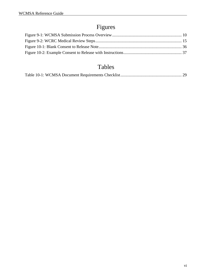# Figures

# Tables

|--|--|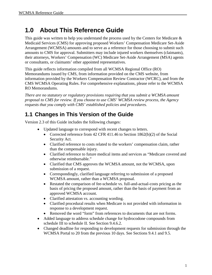# <span id="page-6-0"></span>**1.0 About This Reference Guide**

This guide was written to help you understand the process used by the Centers for Medicare  $\&$ Medicaid Services (CMS) for approving proposed Workers' Compensation Medicare Set-Aside Arrangement (WCMSA) amounts and to serve as a reference for those choosing to submit such amounts to CMS for approval. Submitters may include injured workers themselves (claimants), their attorneys, Workers' Compensation (WC) Medicare Set-Aside Arrangement (MSA) agents or consultants, or claimants' other appointed representatives.

This guide reflects information compiled from all WCMSA Regional Office (RO) Memorandums issued by CMS, from information provided on the CMS website, from information provided by the Workers Compensation Review Contractor (WCRC), and from the CMS WCMSA Operating Rules. For comprehensive explanations, please refer to the WCMSA RO Memorandums.

*There are no statutory or regulatory provisions requiring that you submit a WCMSA amount proposal to CMS for review. If you choose to use CMS' WCMSA review process, the Agency requests that you comply with CMS' established policies and procedures.* 

### <span id="page-6-1"></span>**1.1 Changes in This Version of the Guide**

Version 2.3 of this Guide includes the following changes:

- Updated language to correspond with recent changes to letters.
	- Corrected reference from 42 CFR 411.46 to Section 1862(b)(2) of the Social Security Act.
	- Clarified reference to costs related to the workers' compensation claim, rather than the compensable injury.
	- Clarified reference to future medical items and services as "Medicare covered and otherwise reimbursable."
	- Clarified that CMS approves the WCMSA amount, not the WCMSA, upon submission of a request.
	- Correspondingly, clarified language referring to submission of a proposed WCMSA amount, rather than a WCMSA proposal.
	- Restated the comparison of fee-schedule vs. full-and-actual-costs pricing as the basis of pricing the proposed amount, rather than the basis of payment from an approved WCMSA account.
	- Clarified attestation vs. accounting wording.
	- Clarified procedural results when Medicare is not provided with information in response to a development request.
	- Removed the word "form" from references to documents that are not forms.
- Added language to address schedule change for hydrocodone compounds from schedule III to schedule II. See Section [9.4.6.2.](#page-29-0)
- Changed deadline for responding to development requests for submission through the WCMSA Portal to 20 from the previous 10 days. See Sections [9.4.1](#page-16-3) and [9.5.](#page-33-0)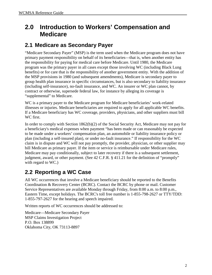# <span id="page-7-0"></span>**2.0 Introduction to Workers' Compensation and Medicare**

### <span id="page-7-1"></span>**2.1 Medicare as Secondary Payer**

"Medicare Secondary Payer" (MSP) is the term used when the Medicare program does not have primary payment responsibility on behalf of its beneficiaries—that is, when another entity has the responsibility for paying for medical care before Medicare. Until 1980, the Medicare program was the primary payer in all cases except those involving WC (including Black Lung benefits) or for care that is the responsibility of another government entity. With the addition of the MSP provisions in 1980 (and subsequent amendments), Medicare is secondary payer to group health plan insurance in specific circumstances, but is also secondary to liability insurance (including self-insurance), no-fault insurance, and WC. An insurer or WC plan cannot, by contract or otherwise, supersede federal law, for instance by alleging its coverage is "supplemental" to Medicare.

WC is a primary payer to the Medicare program for Medicare beneficiaries' work-related illnesses or injuries. Medicare beneficiaries are required to apply for all applicable WC benefits. If a Medicare beneficiary has WC coverage, providers, physicians, and other suppliers must bill WC first.

In order to comply with Section 1862(b)(2) of the Social Security Act, Medicare may not pay for a beneficiary's medical expenses when payment "has been made or can reasonably be expected to be made under a workers' compensation plan, an automobile or liability insurance policy or plan (including a self-insured plan), or under no-fault insurance." If responsibility for the WC claim is in dispute and WC will not pay promptly, the provider, physician, or other supplier may bill Medicare as primary payer. If the item or service is reimbursable under Medicare rules, Medicare may pay conditionally, subject to later recovery if there is a subsequent settlement, judgment, award, or other payment. (See 42 C.F.R. § 411.21 for the definition of "promptly" with regard to WC.)

# <span id="page-7-2"></span>**2.2 Reporting a WC Case**

All WC occurrences that involve a Medicare beneficiary should be reported to the Benefits Coordination & Recovery Center (BCRC). Contact the BCRC by phone or mail. Customer Service Representatives are available Monday through Friday, from 8:00 a.m. to 8:00 p.m., Eastern Time, except holidays. The BCRC's toll free number is 1-855-798-2627 or TTY/TDD: 1-855-797-2627 for the hearing and speech impaired.

Written reports of WC occurrences should be addressed to:

Medicare—Medicare Secondary Payer MSP Claims Investigation Project P.O. Box 138899 Oklahoma City, OK 73113-8897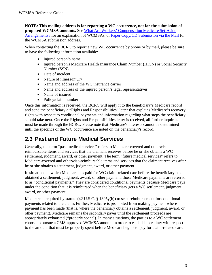**NOTE: This mailing address is for reporting a WC occurrence, not for the submission of proposed WCMSA amounts.** See [What Are Workers' Compensation Medicare Set-Aside](#page-9-0)  [Arrangements?](#page-9-0) for an explanation of WCMSAs, or [Paper Copy/CD Submission via the Mail](#page-50-1) for the WCMSA submission address.

When contacting the BCRC to report a new WC occurrence by phone or by mail, please be sure to have the following information available:

- Injured person's name
- Injured person's Medicare Health Insurance Claim Number (HICN) or Social Security Number (SSN)
- Date of incident
- Nature of illness/injury
- Name and address of the WC insurance carrier
- Name and address of the injured person's legal representatives
- Name of insured
- Policy/claim number

Once this information is received, the BCRC will apply it to the beneficiary's Medicare record and send the beneficiary a "Rights and Responsibilities" letter that explains Medicare's recovery rights with respect to conditional payments and information regarding what steps the beneficiary should take next. Once the Rights and Responsibilities letter is received, all further inquiries must be made through the BCRC. Please note that Medicare's interests cannot be determined until the specifics of the WC occurrence are noted on the beneficiary's record.

### <span id="page-8-0"></span>**2.3 Past and Future Medical Services**

Generally, the term "past medical services" refers to Medicare-covered and otherwisereimbursable items and services that the claimant receives before he or she obtains a WC settlement, judgment, award, or other payment. The term "future medical services" refers to Medicare-covered and otherwise-reimbursable items and services that the claimant receives after he or she obtains a settlement, judgment, award, or other payment.

In situations in which Medicare has paid for WC-claim-related care before the beneficiary has obtained a settlement, judgment, award, or other payment, those Medicare payments are referred to as "conditional payments." They are considered conditional payments because Medicare pays under the condition that it is reimbursed when the beneficiary gets a WC settlement, judgment, award, or other payment.

Medicare is required by statute (42 U.S.C. § 1395y(b)) to seek reimbursement for conditional payments related to the claim. Further, Medicare is prohibited from making payment where payment has been made (that is, where the beneficiary obtains a settlement, judgment, award, or other payment). Medicare remains the secondary payer until the settlement proceeds are appropriately exhausted ("properly spent"). In many situations, the parties to a WC settlement choose to pursue a CMS-approved WCMSA amount in order to establish certainty with respect to the amount that must be properly spent before Medicare begins to pay for claim-related care.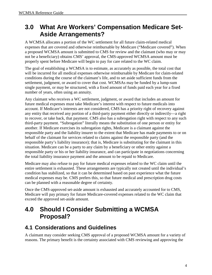# <span id="page-9-0"></span>**3.0 What Are Workers' Compensation Medicare Set-Aside Arrangements?**

A WCMSA allocates a portion of the WC settlement for all future claim-related medical expenses that are covered and otherwise reimbursable by Medicare ("Medicare covered"). When a proposed WCMSA amount is submitted to CMS for review and the claimant (who may or may not be a beneficiary) obtains CMS' approval, the CMS-approved WCMSA amount must be properly spent before Medicare will begin to pay for care related to the WC claim.

The goal of establishing a WCMSA is to estimate, as accurately as possible, the total cost that will be incurred for all medical expenses otherwise reimbursable by Medicare for claim-related conditions during the course of the claimant's life, and to set aside sufficient funds from the settlement, judgment, or award to cover that cost. WCMSAs may be funded by a lump-sum single payment, or may be structured, with a fixed amount of funds paid each year for a fixed number of years, often using an annuity.

Any claimant who receives a WC settlement, judgment, or award that includes an amount for future medical expenses must take Medicare's interest with respect to future medicals into account. If Medicare's interests are not considered, CMS has a priority right of recovery against any entity that received any portion of a third-party payment either directly or indirectly—a right to recover, or take back, that payment. CMS also has a subrogation right with respect to any such third-party payment. "Subrogation" literally means the substitution of one person or entity for another. If Medicare exercises its subrogation rights, Medicare is a claimant against the responsible party and the liability insurer to the extent that Medicare has made payments to or on behalf of the claimant for services related to claims against the responsible party (and the responsible party's liability insurance); that is, Medicare is substituting for the claimant in this situation. Medicare can be a party to any claim by a beneficiary or other entity against a responsible party or his or her liability insurance, and can participate in negotiations concerning the total liability insurance payment and the amount to be repaid to Medicare.

Medicare may also refuse to pay for future medical expenses related to the WC claim until the entire settlement is exhausted. These arrangements are typically not created until the individual's condition has stabilized, so that it can be determined based on past experience what the future medical expenses may be. CMS prefers this, so that future medical and prescription drug costs can be planned with a reasonable degree of certainty.

Once the CMS-approved set-aside amount is exhausted and accurately accounted for to CMS, Medicare will pay primary for future Medicare-covered expenses related to the WC claim that exceed the approved set-aside amount.

# <span id="page-9-1"></span>**4.0 Should I Consider Submitting a WCMSA Proposal?**

### <span id="page-9-2"></span>**4.1 Considerations and Guidelines**

A claimant may consider seeking CMS approval of a proposed WCMSA amount for a variety of reasons. The primary benefit is the certainty associated with CMS reviewing and approving the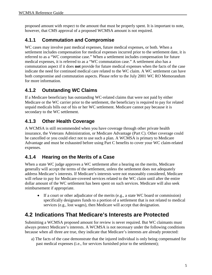proposed amount with respect to the amount that must be properly spent. It is important to note, however, that CMS approval of a proposed WCMSA amount is not required.

### <span id="page-10-0"></span>**4.1.1 Commutation and Compromise**

WC cases may involve past medical expenses, future medical expenses, or both. When a settlement includes compensation for medical expenses incurred prior to the settlement date, it is referred to as a "WC compromise case." When a settlement includes compensation for future medical expenses, it is referred to as a "WC commutation case." A settlement also has a commutation aspect if it does **not** provide for future medical expenses when the facts of the case indicate the need for continued medical care related to the WC claim. A WC settlement can have both compromise and commutation aspects. Please refer to the July 2001 WC RO Memorandum for more information.

### <span id="page-10-1"></span>**4.1.2 Outstanding WC Claims**

If a Medicare beneficiary has outstanding WC-related claims that were not paid by either Medicare or the WC carrier prior to the settlement, the beneficiary is required to pay for related unpaid medicals bills out of his or her WC settlement. Medicare cannot pay because it is secondary to the WC settlement.

### <span id="page-10-2"></span>**4.1.3 Other Health Coverage**

A WCMSA is still recommended when you have coverage through other private health insurance, the Veterans Administration, or Medicare Advantage (Part C). Other coverage could be cancelled or you could elect not to use such a plan. A WCMSA is primary to Medicare Advantage and must be exhausted before using Part C benefits to cover your WC claim-related expenses.

### <span id="page-10-3"></span>**4.1.4 Hearing on the Merits of a Case**

When a state WC judge approves a WC settlement after a hearing on the merits, Medicare generally will accept the terms of the settlement, unless the settlement does not adequately address Medicare's interests. If Medicare's interests were not reasonably considered, Medicare will refuse to pay for Medicare-covered services related to the WC claim until after the entire dollar amount of the WC settlement has been spent on such services. Medicare will also seek reimbursement if appropriate.

• If a court or other adjudicator of the merits (e.g., a state WC board or commission) specifically designates funds to a portion of a settlement that is not related to medical services (e.g., lost wages), then Medicare will accept that designation.

### <span id="page-10-4"></span>**4.2 Indications That Medicare's Interests are Protected**

Submitting a WCMSA proposed amount for review is never required. But WC claimants must always protect Medicare's interests. A WCMSA is not necessary under the following conditions because when all three are true, they indicate that Medicare's interests are already protected:

a) The facts of the case demonstrate that the injured individual is only being compensated for past medical expenses (i.e., for services furnished prior to the settlement);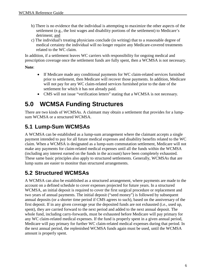- b) There is no evidence that the individual is attempting to maximize the other aspects of the settlement (e.g., the lost wages and disability portions of the settlement) to Medicare's detriment; and
- c) The individual's treating physicians conclude (in writing) that to a reasonable degree of medical certainty the individual will no longer require any Medicare-covered treatments related to the WC claim.

In addition, if a settlement leaves WC carriers with responsibility for ongoing medical and prescription coverage once the settlement funds are fully spent, then a WCMSA is not necessary.

#### **Note**:

- If Medicare made any conditional payments for WC claim-related services furnished prior to settlement, then Medicare will recover those payments. In addition, Medicare will not pay for any WC claim-related services furnished prior to the date of the settlement for which it has not already paid.
- CMS will not issue "verification letters" stating that a WCMSA is not necessary.

# <span id="page-11-0"></span>**5.0 WCMSA Funding Structures**

There are two kinds of WCMSAs. A claimant may obtain a settlement that provides for a lumpsum WCMSA or a structured WCMSA.

### <span id="page-11-1"></span>**5.1 Lump-Sum WCMSAs**

A WCMSA can be established as a lump-sum arrangement where the claimant accepts a single payment intended to pay for all future medical expenses and disability benefits related to the WC claim. When a WCMSA is designated as a lump-sum commutation settlement, Medicare will not make any payments for claim-related medical expenses until all the funds within the WCMSA (including any interest earned on the funds in the account) have been completely exhausted. These same basic principles also apply to structured settlements. Generally, WCMSAs that are lump sums are easier to monitor than structured arrangements.

### <span id="page-11-2"></span>**5.2 Structured WCMSAs**

A WCMSA can also be established as a structured arrangement, where payments are made to the account on a defined schedule to cover expenses projected for future years. In a structured WCMSA, an initial deposit is required to cover the first surgical procedure or replacement and two years of annual payments. The initial deposit ("seed money") is followed by subsequent annual deposits (or a shorter time period if CMS agrees to such), based on the anniversary of the first deposit. If in any given coverage year the deposited funds are not exhausted (i.e., used up, spent), they are carried forward to the next period and added to the next annual deposit. The whole fund, including carry-forwards, must be exhausted before Medicare will pay primary for any WC claim-related medical expenses. If the fund is properly spent in a given annual period, Medicare will pay primary for further WC claim-related medical expenses during that period. In the next annual period, the replenished WCMSA funds again must be used, until the WCMSA amount is properly spent.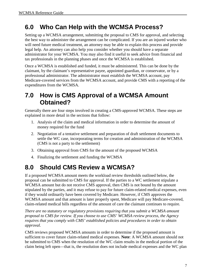# <span id="page-12-0"></span>**6.0 Who Can Help with the WCMSA Process?**

Setting up a WCMSA arrangement, submitting the proposal to CMS for approval, and selecting the best way to administer the arrangement can be complicated. If you are an injured worker who will need future medical treatment, an attorney may be able to explain this process and provide legal help. An attorney can also help you consider whether you should have a separate administrator for your WCMSA. You may also find it useful to seek advice from financial and tax professionals in the planning phases and once the WCMSA is established.

Once a WCMSA is established and funded, it must be administered. This can be done by the claimant, by the claimant's representative payee, appointed guardian, or conservator, or by a professional administrator. The administrator must establish the WCMSA account, pay Medicare-covered services from the WCMSA account, and provide CMS with a reporting of the expenditures from the WCMSA.

# <span id="page-12-1"></span>**7.0 How is CMS Approval of a WCMSA Amount Obtained?**

Generally there are four steps involved in creating a CMS-approved WCMSA. These steps are explained in more detail in the sections that follow:

- 1. Analysis of the claim and medical information in order to determine the amount of money required for the fund
- 2. Negotiation of a tentative settlement and preparation of draft settlement documents to settle the WC case, incorporating terms for creation and administration of the WCMSA (CMS is not a party to the settlement)
- 3. Obtaining approval from CMS for the amount of the proposed WCMSA
- 4. Finalizing the settlement and funding the WCMSA

# <span id="page-12-2"></span>**8.0 Should CMS Review a WCMSA?**

If a proposed WCMSA amount meets the workload review thresholds outlined below, the proposal can be submitted to CMS for approval. If the parties to a WC settlement stipulate a WCMSA amount but do not receive CMS approval, then CMS is not bound by the amount stipulated by the parties, and it may refuse to pay for future claim-related medical expenses, even if they would ordinarily have been covered by Medicare. However, if CMS approves the WCMSA amount and that amount is later properly spent, Medicare will pay Medicare-covered, claim-related medical bills regardless of the amount of care the claimant continues to require.

*There are no statutory or regulatory provisions requiring that you submit a WCMSA amount proposal to CMS for review. If you choose to use CMS' WCMSA review process, the Agency requires that you comply with CMS' established policies and procedures in order to obtain approval.* 

CMS reviews proposed WCMSA amounts in order to determine if the proposed amount is sufficient to cover future claim-related medical expenses. **Note**: A WCMSA amount should not be submitted to CMS when the resolution of the WC claim results in the medical portion of the claim being left open—that is, the resolution does not include medical expenses and the WC plan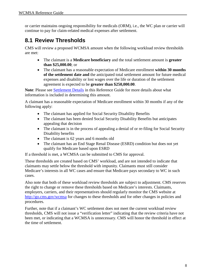or carrier maintains ongoing responsibility for medicals (ORM), i.e., the WC plan or carrier will continue to pay for claim-related medical expenses after settlement.

### <span id="page-13-0"></span>**8.1 Review Thresholds**

CMS will review a proposed WCMSA amount when the following workload review thresholds are met:

- The claimant is a **Medicare beneficiary** and the total settlement amount is **greater than \$25,000.00**; or
- The claimant has a reasonable expectation of Medicare enrollment **within 30 months of the settlement date and** the anticipated total settlement amount for future medical expenses and disability or lost wages over the life or duration of the settlement agreement is expected to be **greater than \$250,000.00**.

**Note**: Please see [Settlement Details](#page-37-0) in this Reference Guide for more details about what information is included in determining this amount.

A claimant has a reasonable expectation of Medicare enrollment within 30 months if any of the following apply:

- The claimant has applied for Social Security Disability Benefits
- The claimant has been denied Social Security Disability Benefits but anticipates appealing that decision
- The claimant is in the process of appealing a denial of or re-filing for Social Security Disability benefits
- The claimant is 62 years and 6 months old
- The claimant has an End Stage Renal Disease (ESRD) condition but does not yet qualify for Medicare based upon ESRD

If a threshold is met, a WCMSA can be submitted to CMS for approval.

These thresholds are created based on CMS' workload, and are not intended to indicate that claimants may settle below the threshold with impunity. Claimants must still consider Medicare's interests in all WC cases and ensure that Medicare pays secondary to WC in such cases.

Also note that both of these workload review thresholds are subject to adjustment. CMS reserves the right to change or remove these thresholds based on Medicare's interests. Claimants, employers, carriers, and their representatives should regularly monitor the CMS website at <http://go.cms.gov/wcmsa>for changes to these thresholds and for other changes in policies and procedures.

Further, note that if a claimant's WC settlement does not meet the current workload review thresholds, CMS will not issue a "verification letter" indicating that the review criteria have not been met, or indicating that a WCMSA is unnecessary. CMS will honor the threshold in effect at the time of settlement.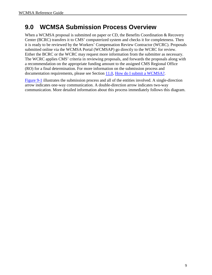# <span id="page-14-0"></span>**9.0 WCMSA Submission Process Overview**

When a WCMSA proposal is submitted on paper or CD, the Benefits Coordination & Recovery Center (BCRC) transfers it to CMS' computerized system and checks it for completeness. Then it is ready to be reviewed by the Workers' Compensation Review Contractor (WCRC). Proposals submitted online via the WCMSA Portal (WCMSAP) go directly to the WCRC for review. Either the BCRC or the WCRC may request more information from the submitter as necessary. The WCRC applies CMS' criteria in reviewing proposals, and forwards the proposals along with a recommendation on the appropriate funding amount to the assigned CMS Regional Office (RO) for a final determination. For more information on the submission process and documentation requirements, please see Section [11.0, How do I submit a WCMSA?.](#page-49-1)

[Figure 9-1](#page-15-1) illustrates the submission process and all of the entities involved. A single-direction arrow indicates one-way communication. A double-direction arrow indicates two-way communication. More detailed information about this process immediately follows this diagram.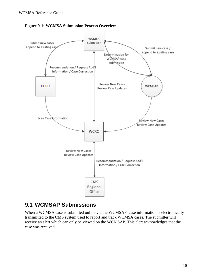

<span id="page-15-1"></span>

### <span id="page-15-0"></span>**9.1 WCMSAP Submissions**

When a WCMSA case is submitted online via the WCMSAP, case information is electronically transmitted to the CMS system used to report and track WCMSA cases. The submitter will receive an alert which can only be viewed on the WCMSAP. This alert acknowledges that the case was received.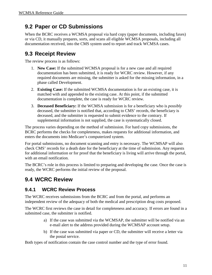### <span id="page-16-0"></span>**9.2 Paper or CD Submissions**

When the BCRC receives a WCMSA proposal via hard copy (paper documents, including faxes) or via CD, it manually prepares, sorts, and scans all eligible WCMSA proposals, including all documentation received, into the CMS system used to report and track WCMSA cases.

### <span id="page-16-1"></span>**9.3 Receipt Review**

The review process is as follows:

- 1. **New Case:** If the submitted WCMSA proposal is for a new case and all required documentation has been submitted, it is ready for WCRC review. However, if any required documents are missing, the submitter is asked for the missing information, in a phase called Development.
- 2. **Existing Case:** If the submitted WCMSA documentation is for an existing case, it is matched with and appended to the existing case. At this point, if the submitted documentation is complete, the case is ready for WCRC review.
- 3. **Deceased Beneficiary:** If the WCMSA submission is for a beneficiary who is *possibly* deceased, the submitter is notified that, according to CMS' records, the beneficiary is deceased, and the submitter is requested to submit evidence to the contrary. If supplemental information is not supplied, the case is systematically closed.

The process varies depending on the method of submission. For hard copy submissions, the BCRC performs the checks for completeness, makes requests for additional information, and enters the documents into Medicare's computerized system.

For portal submissions, no document scanning and entry is necessary. The WCMSAP will also check CMS' records for a death date for the beneficiary at the time of submission. Any requests for additional information or for proof that the beneficiary is living will arrive through the portal, with an email notification.

The BCRC's role in this process is limited to preparing and developing the case. Once the case is ready, the WCRC performs the initial review of the proposal.

### <span id="page-16-2"></span>**9.4 WCRC Review**

### <span id="page-16-3"></span>**9.4.1 WCRC Review Process**

The WCRC receives submissions from the BCRC and from the portal, and performs an independent review of the adequacy of both the medical and prescription drug costs proposed.

The WCRC first reviews the case in detail for completeness and accuracy. If errors are found in a submitted case, the submitter is notified.

- a) If the case was submitted via the WCMSAP, the submitter will be notified via an e-mail alert to the address provided during the WCMSAP account setup.
- b) If the case was submitted via paper or CD, the submitter will receive a letter via the postal service.

Both types of notification contain the case control number and the type of error found.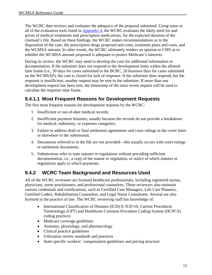The WCRC then reviews and evaluates the adequacy of the proposal submitted. Using some or all of the evaluation tools listed in [Appendix 4,](#page-67-0) the WCRC evaluates the likely need for and prices of medical treatments and prescription medications, for the expected duration of the claimant's life. Based on these findings, the WCRC makes recommendations as to the disposition of the case, the prescription drugs proposed and costs, treatment plans and costs, and the WCMSA amount. In other words, the WCRC ultimately renders an opinion to CMS as to whether the WCMSA amount proposed is adequate to protect Medicare's interests.

During its review, the WCRC may need to develop the case for additional information or documentation. If the submitter does not respond to the development letter within the allotted time frame (i.e., 30 days for cases submitted to the BCRC, 20 business days for cases submitted on the WCMSAP), the case is closed for lack of response. If the submitter does respond, but the response is insufficient, another request may be sent to the submitter. If more than one development request has been sent, the timestamp of the most recent request will be used to calculate the response time frame.

### **9.4.1.1 Most Frequent Reasons for Development Requests**

The five most frequent reasons for development requests by the WCRC:

- 1. Insufficient or out-of-date medical records;
- 2. Insufficient payment histories, usually because the records do not provide a breakdown for medical, indemnity, or expenses categories;
- 3. Failure to address draft or final settlement agreements and court rulings in the cover letter or elsewhere in the submission;
- 4. Documents referred to in the file are not provided—this usually occurs with court rulings or settlement documents;
- 5. Submissions refer to state statutes or regulations without providing sufficient documentation, i.e., a copy of the statute or regulation, or notice of which statutes or regulations apply to which payments.

### <span id="page-17-0"></span>**9.4.2 WCRC Team Background and Resources Used**

All of the WCRC reviewers are licensed healthcare professionals, including registered nurses, physicians, nurse practitioners, and professional counselors. These reviewers also maintain various credentials and certifications, such as Certified Case Managers, Life Care Planners, Certified Coders, Rehabilitation Counselors, and Legal Nurse Consultants. Several are also licensed in the practice of law. The WCRC reviewing staff has knowledge of:

- International Classification of Diseases (ICD)-9, ICD-10, Current Procedural Terminology (CPT) and Healthcare Common Procedure Coding System (HCPCS) coding practices
- Medicare coverage guidelines
- Anatomy, physiology, and pharmacology
- Clinical practice guidelines
- Utilization review standards and practices
- State-specific workers' compensation guidelines and pricing structure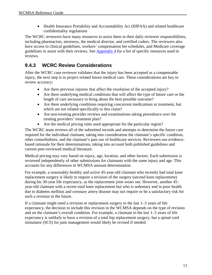• Health Insurance Portability and Accountability Act (HIPAA) and related healthcare confidentiality regulations

The WCRC reviewers have many resources to assist them in their daily reviewer responsibilities, including pharmacists, attorneys, the medical director, and certified coders. The reviewers also have access to clinical guidelines, workers' compensation fee schedules, and Medicare coverage guidelines to assist with their reviews. See [Appendix 4](#page-67-0) for a list of specific resources used in reviews.

### <span id="page-18-0"></span>**9.4.3 WCRC Review Considerations**

After the WCRC case reviewer validates that the injury has been accepted as a compensable injury, the next step is to project related future medical care. These considerations are key to review accuracy:

- Are there previous injuries that affect the resolution of the accepted injury?
- Are there underlying medical conditions that will affect the type of future care or the length of care necessary to bring about the best possible outcome?
- Are there underlying conditions requiring concurrent medications or treatment, but which are not related specifically to this claim?
- Are non-treating provider reviews and examinations taking precedence over the treating providers' treatment plan?
- Are the medical pricing rules used appropriate for the particular region?

The WCRC team reviews all of the submitted records and attempts to determine the future care required for the individual claimant, taking into consideration the claimant's specific condition, other comorbidities, and the claimant's past use of healthcare services. Reviewers use evidencebased rationale for their determinations, taking into account both published guidelines and current peer-reviewed medical literature.

Medical pricing may vary based on injury, age, location, and other factors. Each submission is reviewed independently of other submissions for claimants with the same injury and age. This accounts for any differences in WCMSA amount determination.

For example, a reasonably healthy and active 45-year-old claimant who recently had total knee replacement surgery is likely to require a revision of the surgery (second knee replacement) during his 30-year life expectancy, as the replacement joint wears out. However, another 45 year-old claimant with a recent total knee replacement but who is sedentary and in poor health due to diabetes mellitus and coronary artery disease may not require or be a satisfactory risk for such a revision in the future.

If a claimant might need a revision or replacement surgery in the last 1–3 years of life expectancy, the decision to include this revision in the WCMSA depends on the type of revision and on the claimant's overall condition. For example, a claimant in the last 1–3 years of life expectancy is unlikely to have a revision of a total hip replacement surgery, but a spinal cord stimulator (SCS) for pain management would likely be revised if needed.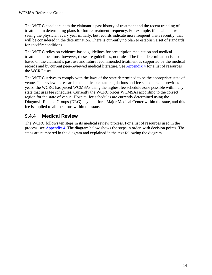The WCRC considers both the claimant's past history of treatment and the recent trending of treatment in determining plans for future treatment frequency. For example, if a claimant was seeing the physician every year initially, but records indicate more frequent visits recently, that will be considered in the determination. There is currently no plan to establish a set of standards for specific conditions.

The WCRC relies on evidence-based guidelines for prescription medication and medical treatment allocations; however, these are guidelines, not rules. The final determination is also based on the claimant's past use and future recommended treatment as supported by the medical records and by current peer-reviewed medical literature. See [Appendix 4](#page-67-0) for a list of resources the WCRC uses.

The WCRC strives to comply with the laws of the state determined to be the appropriate state of venue. The reviewers research the applicable state regulations and fee schedules. In previous years, the WCRC has priced WCMSAs using the highest fee schedule zone possible within any state that uses fee schedules. Currently the WCRC prices WCMSAs according to the correct region for the state of venue. Hospital fee schedules are currently determined using the Diagnosis-Related Groups (DRG) payment for a Major Medical Center within the state, and this fee is applied to all locations within the state.

### <span id="page-19-0"></span>**9.4.4 Medical Review**

The WCRC follows ten steps in its medical review process. For a list of resources used in the process, see [Appendix 4.](#page-67-0) The diagram below shows the steps in order, with decision points. The steps are numbered in the diagram and explained in the text following the diagram.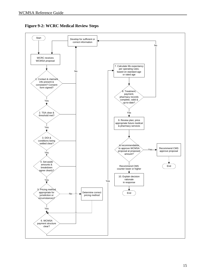

<span id="page-20-0"></span>**Figure 9-2: WCRC Medical Review Steps**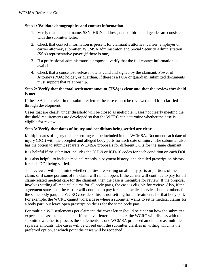#### **Step 1: Validate demographics and contact information.**

- 1. Verify that claimant name, SSN, HICN, address, date of birth, and gender are consistent with the submitter letter.
- 2. Check that contact information is present for claimant's attorney, carrier, employer or carrier attorney, submitter, WCMSA administrator, and Social Security Administration (SSA) representative payee (if there is one).
- 3. If a professional administrator is proposed, verify that the full contact information is available.
- 4. Check that a consent-to-release note is valid and signed by the claimant, Power of Attorney (POA) holder, or guardian. If there is a POA or guardian, submitted documents must support that relationship.

#### **Step 2: Verify that the total settlement amount (TSA) is clear and that the review threshold is met.**

If the TSA is not clear in the submitter letter, the case cannot be reviewed until it is clarified through development.

Cases that are clearly under threshold will be closed as ineligible. Cases not clearly meeting the threshold requirements are developed so that the WCRC can determine whether the case is eligible for review.

#### **Step 3: Verify that dates of injury and conditions being settled are clear.**

Multiple dates of injury that are settling can be included in one WCMSA. Document each date of injury (DOI) with the accepted and alleged body parts for each date of injury. The submitter also has the option to submit separate WCMSA proposals for different DOIs for the same claimant.

It is helpful if the submitter includes the ICD-9 or ICD-10 codes for each condition on each DOI.

It is also helpful to include medical records, a payment history, and detailed prescription history for each DOI being settled.

The reviewer will determine whether parties are settling on all body parts or portions of the claim, or if some portions of the claim will remain open. If the carrier will continue to pay for all claim-related medical care for the claimant, then the case is ineligible for review. If the proposal involves settling all medical claims for all body parts, the case is eligible for review. Also, if the agreement states that the carrier will continue to pay for some medical services but not others for the same body part, the WCRC considers this as not settling for all treatments for that body part. For example, the WCRC cannot work a case where a submitter wants to settle medical claims for a body part, but leave open prescription drugs for the same body part.

For multiple WC settlements per claimant, the cover letter should be clear on how the submitter expects the cases to be handled. If the cover letter is not clear, the WCRC will discuss with the submitter whether to process the settlements as one WCMSA proposed amount, or as multiple separate amounts. The cases will be closed until the submitter clarifies in writing which is the preferred option, at which point the cases will be reopened.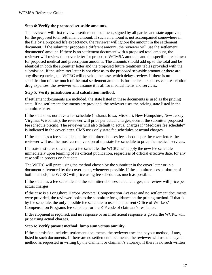#### **Step 4: Verify the proposed set-aside amounts.**

The reviewer will first review a settlement document, signed by all parties and state approved, for the proposed total settlement amount. If such an amount is not accompanied somewhere in the file by a proposed life expectancy, the reviewer will ignore the amount in the settlement document. If the submitter proposes a different amount, the reviewer will use the settlement documents' amount. If there is no settlement document with a proposed total amount, the reviewer will review the cover letter for proposed WCMSA amounts and the specific breakdown for proposed medical and prescription amounts. The amounts should add up to the total and be identical in both the submitter letter and the proposed future treatment tables provided with the submission. If the submitter letter is not clear as to the proposed set-aside amount or there are any discrepancies, the WCRC will develop the case, which delays review. If there is no specification of how much of the total settlement amount is for medical expenses vs. prescription drug expenses, the reviewer will assume it is all for medical items and services.

#### **Step 5: Verify jurisdiction and calculation method.**

If settlement documents are included, the state listed in these documents is used as the pricing state. If no settlement documents are provided, the reviewer uses the pricing state listed in the submitter letter.

If the state does not have a fee schedule (Indiana, Iowa, Missouri, New Hampshire, New Jersey, Virginia, Wisconsin), the reviewer will price per actual charges, even if the submitter proposed fee schedule pricing. The reviewer will also default to actual charges if "Medicare fee schedule" is indicated in the cover letter. CMS uses only state fee schedules or actual charges.

If the state has a fee schedule and the submitter chooses fee schedule per the cover letter, the reviewer will use the most current version of the state fee schedule to price the medical services.

If a state institutes or changes a fee schedule, the WCRC will apply the new fee schedule immediately upon learning of its official publication, regardless of official effective date, for any case still in process on that date.

The WCRC will price using the method chosen by the submitter in the cover letter or in a document referenced by the cover letter, whenever possible. If the submitter uses a mixture of both methods, the WCRC will price using fee schedule as much as possible.

If the state has a fee schedule and the submitter chooses actual charges, the review will price per actual charges.

If the case is a Longshore Harbor Workers' Compensation Act case and no settlement documents were provided, the reviewer looks to the submitter for guidance on the pricing method. If that is by fee schedule, the only possible fee schedule to use is the current Office of Workers' Compensation Programs fee schedule for the ZIP code of claimant's residence.

If development is required, and no response or an insufficient response is given, the WCRC will price using actual charges.

#### **Step 6: Verify payout method: lump sum versus annuity.**

If the submission includes settlement documents, the reviewer uses the payout method, if any, listed in such documents. If there are no settlement documents, the reviewer will use the payout method as requested in writing by the claimant or claimant's attorney. If there is no such written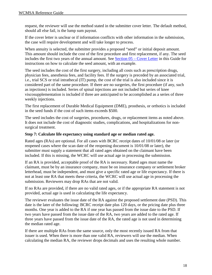request, the reviewer will use the method stated in the submitter cover letter. The default method, should all else fail, is the lump sum payout.

If the cover letter is unclear or if information conflicts with other information in the submission, the case will require development and will take longer to process.

When annuity is selected, the submitter provides a proposed "seed" or initial deposit amount. This amount should include the cost of the first procedure and first replacement, if any. The seed includes the first two years of the annual amount. See Section 05 – [Cover Letter](#page-35-0) in this Guide for instructions on how to calculate the seed amount, with an example.

The seed includes the cost of the first surgery, including all costs such as prescription drugs, physician fees, anesthesia fees, and facility fees. If the surgery is preceded by an associated trial, i.e., trial SCS or trial intrathecal (IT) pump, the cost of the trial is also included since it is considered part of the same procedure. If there are no surgeries, the first procedure (if any, such as injections) is included. Series of spinal injections are not included but series of knee viscosupplementation is included if three are anticipated to be accomplished as a series of three weekly injections.

The first replacement of Durable Medical Equipment (DME), prosthesis, or orthotics is included in the seed funds if the cost of such items exceeds \$500.

The seed includes the cost of surgeries, procedures, drugs, or replacement items as noted above. It does not include the cost of diagnostic studies, complications, and hospitalizations for nonsurgical treatment.

#### **Step 7: Calculate life expectancy using standard age or median rated age.**

Rated ages (RAs) are optional. For all cases with BCRC receipt dates of 10/01/08 or later (or reopened cases where the scan date of the reopening document is 10/01/08 or later), the submitter must supply a statement that all rated ages obtained on the claimant have been included. If this is missing, the WCRC will use actual age in processing the submission.

If an RA is provided, acceptable proof of the RA is necessary. Rated ages must name the claimant, must be by an insurance company, must be on insurance company or settlement broker letterhead, must be independent, and must give a specific rated age or life expectancy. If there is not at least one RA that meets these criteria, the WCRC will use actual age in processing the submission. Reviewers may drop RAs that are not valid.

If no RAs are provided, if there are no valid rated ages, or if the appropriate RA statement is not provided, actual age is used in calculating the life expectancy.

The reviewer evaluates the issue date of the RA against the proposed settlement date (PSD). This date is the later of the following: BCRC receipt date plus 120 days, or the pricing date plus three months. One year is added to the RA if one year has passed from the issue date to the PSD. If two years have passed from the issue date of the RA, two years are added to the rated age. If three years have passed from the issue date of the RA, the rated age is not used in determining the median rated age.

If there are multiple RAs from the same source, only the most recently issued RA from that issuer is used. When there is more than one valid RA, reviewers will use the median. When calculating the median RA, the reviewer drops decimals and uses the resulting whole number.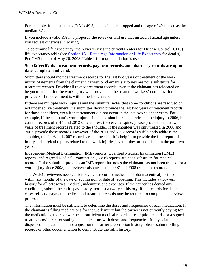For example, if the calculated RA is 49.5, the decimal is dropped and the age of 49 is used as the median RA.

If you include a valid RA in a proposal, the reviewer will use that instead of actual age unless you request otherwise in writing.

To determine life expectancy, the reviewer uses the current Centers for Disease Control (CDC) life expectancy table (see [Section 15 – Rated Age Information or Life Expectancy](#page-42-0) for details). Per CMS memo of May 20, 2008, Table 1 for total population is used.

#### **Step 8: Verify that treatment records, payment records, and pharmacy records are up-todate, complete, and valid.**

Submitters should include treatment records for the last two years of treatment of the work injury. Statements from the claimant, carrier, or claimant's attorney are not a substitute for treatment records. Provide all related treatment records, even if the claimant has relocated or begun treatment for the work injury with providers other than the workers' compensation providers, if the treatment is within the last 2 years.

If there are multiple work injuries and the submitter notes that some conditions are resolved or not under active treatment, the submitter should provide the last two years of treatment records for those conditions, even if that treatment did not occur in the last two calendar years. For example, if the claimant's work injuries include a shoulder and cervical spine injury in 2006, but current records of 2011 and 2012 only address the cervical spine, please provide the last two years of treatment records related to the shoulder. If the shoulder was only treated in 2006 and 2007, provide those records. However, if the 2011 and 2012 records sufficiently address the shoulder, the 2006 and 2007 records are not needed. It is helpful to provide the first report of injury and surgical reports related to the work injuries, even if they are not dated in the past two years.

Independent Medical Examination (IME) reports, Qualified Medical Examination (QME) reports, and Agreed Medical Examination (AME) reports are not a substitute for medical records. If the submitter provides an IME report that notes the claimant has not been treated for a work injury since 2008, the reviewer also needs the 2007 and 2008 treatment records.

The WCRC reviewers need carrier payment records (medical and pharmaceutical), printed within six months of the date of submission or date of reopening. This includes a two-year history for all categories: medical, indemnity, and expenses. If the carrier has denied any conditions, submit the entire pay history, not just a two-year history. If the records for denied cases reflect a payment, medical and treatment records may be required to complete the review process.

The information must be sufficient to determine the doses and frequencies of each medication. If the claimant is filling medications for the work injury but the carrier is not currently paying for the medications, the reviewer needs sufficient medical records, prescription records, or a signed treating provider letter stating the medications with doses and frequencies. If physiciandispensed medications do not appear on the carrier prescription history, please submit billing records or other documentation to demonstrate the refill history.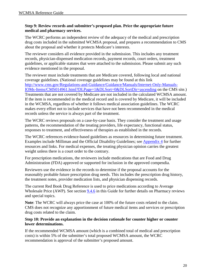#### **Step 9: Review records and submitter's proposed plan. Price the appropriate future medical and pharmacy services.**

The WCRC performs an independent review of the adequacy of the medical and prescription drug costs included in the submitted WCMSA proposal, and prepares a recommendation to CMS about the proposal and whether it protects Medicare's interests.

The reviewer considers all evidence provided in the submission. This includes any treatment records, physician-dispensed medication records, payment records, court orders, treatment guidelines, or applicable statutes that were attached to the submission. Please submit any such evidence mentioned in the proposal.

The reviewer must include treatments that are Medicare covered, following local and national coverage guidelines. (National coverage guidelines may be found at this link [http://www.cms.gov/Regulations-and-Guidance/Guidance/Manuals/Internet-Only-Manuals-](http://www.cms.gov/Regulations-and-Guidance/Guidance/Manuals/Internet-Only-Manuals-IOMs-Items/CMS014961.html?DLPage=1&DLSort=0&DLSortDir=ascending)[IOMs-Items/CMS014961.html?DLPage=1&DLSort=0&DLSortDir=ascending](http://www.cms.gov/Regulations-and-Guidance/Guidance/Manuals/Internet-Only-Manuals-IOMs-Items/CMS014961.html?DLPage=1&DLSort=0&DLSortDir=ascending) on the CMS site.) Treatments that are not covered by Medicare are not included in the calculated WCMSA amount. If the item is recommended in the medical record and is covered by Medicare, it will be included in the WCMSA, regardless of whether it follows medical association guidelines. The WCRC makes every effort not to include services that have not been recommended in the medical records unless the service is always part of the treatment.

The WCRC reviews proposals on a case-by-case basis. They consider the treatment and usage patterns, the recommendation of the treating providers, life expectancy, functional status, responses to treatment, and effectiveness of therapies as established in the records.

The WCRC references evidence-based guidelines as resources in determining future treatment. Examples include Milliman and the Official Disability Guidelines; see [Appendix 4](#page-67-0) for further resources and links. For medical expenses, the treating physician opinion carries the greatest weight unless there is a court order to the contrary.

For prescription medications, the reviewers include medications that are Food and Drug Administration (FDA) approved or supported for inclusion in the approved compendia.

Reviewers use the evidence in the records to determine if the proposal accounts for the reasonably probable future prescription drug needs. This includes the prescription drug history, the treatment notes, provider medication lists, and physician dispensing records.

The current Red Book Drug Reference is used to price medications according to Average Wholesale Price (AWP). See section [9.4.6](#page-27-0) in this Guide for further details on Pharmacy reviews and special topics.

**Note**: The WCRC will always price the case at 100% of the future costs related to the claim. CMS does not recognize any apportionment of future medical items and services or prescription drug costs related to the claim.

#### **Step 10: Provide an explanation in the decision rationale for counter higher or counter lower determinations.**

If the recommended WCMSA amount (which is a combined total of medical and prescription costs) is within 5% of the submitter's total proposed WCMSA amount, the WCRC recommendation is approval of the submitter's proposed amount.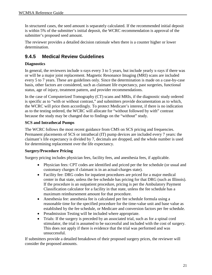In structured cases, the seed amount is separately calculated. If the recommended initial deposit is within 5% of the submitter's initial deposit, the WCRC recommendation is approval of the submitter's proposed seed amount.

The reviewer provides a detailed decision rationale when there is a counter higher or lower determination.

### <span id="page-26-0"></span>**9.4.5 Medical Review Guidelines**

#### **Diagnostics**

In general, the reviewers include x-rays every 3 to 5 years, but include yearly x-rays if there was or will be a major joint replacement. Magnetic Resonance Imaging (MRI) scans are included every 5 to 7 years. These are guidelines only. Since the determination is made on a case-by-case basis, other factors are considered, such as claimant life expectancy, past surgeries, functional status, age of injury, treatment pattern, and provider recommendations.

In the case of Computerized Tomography (CT) scans and MRIs, if the diagnostic study ordered is specific as to "with or without contrast," and submitters provide documentation as to which, the WCRC will price them accordingly. To protect Medicare's interest, if there is no indication as to the testing ordered, the WCRC will allocate for "without followed by with" contrast because the study may be changed due to findings on the "without" study.

#### **SCS and Intrathecal Pumps**

The WCRC follows the most recent guidance from CMS on SCS pricing and frequencies. Permanent placements of SCS or intrathecal (IT) pump devices are included every 7 years: the claimant's life expectancy is divided by 7, decimals are dropped, and the whole number is used for determining replacement over the life expectancy.

#### **Surgery/Procedure Pricing**

Surgery pricing includes physician fees, facility fees, and anesthesia fees, if applicable.

- Physician fees: CPT codes are identified and priced per the fee schedule (or usual and customary charges if claimant is in an actual-charges state).
- Facility fee: DRG codes for inpatient procedures are priced for a major medical center in that state, unless the fee schedule has pricing for that DRG (such as Illinois). If the procedure is an outpatient procedure, pricing is per the Ambulatory Payment Classification calculator for a facility in that state, unless the fee schedule has a maximum reimbursement amount for that procedure.
- Anesthesia fee: anesthesia fee is calculated per fee schedule formula using a reasonable time for the specified procedure for the time-value unit and base value as established by the fee schedule, or Medicare and conversion factors per fee schedule.
- Preadmission Testing will be included where appropriate.
- Trials: If the surgery is preceded by an associated trial, such as for a spinal cord stimulator, the trial is assumed to be successful and included with the cost of surgery. This does not apply if there is evidence that the trial was performed and was unsuccessful.

If submitters provide a detailed breakdown of their proposed surgery prices, the reviewer will consider the proposed amounts.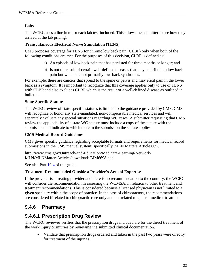#### **Labs**

The WCRC uses a line item for each lab test included. This allows the submitter to see how they arrived at the lab pricing.

#### **Transcutaneous Electrical Nerve Stimulation (TENS)**

CMS proposes coverage for TENS for chronic low back pain (CLBP) only when both of the following conditions are met. For the purposes of this decision, CLBP is defined as:

- a) An episode of low back pain that has persisted for three months or longer; and
- b) Is not the result of certain well-defined diseases that may contribute to low back pain but which are not primarily low-back syndromes.

For example, there are cancers that spread to the spine or pelvis and may elicit pain in the lower back as a symptom. It is important to recognize that this coverage applies only to use of TENS with CLBP and also excludes CLBP which is the result of a well-defined disease as outlined in bullet b.

#### **State-Specific Statutes**

The WCRC review of state-specific statutes is limited to the guidance provided by CMS. CMS will recognize or honor any state-mandated, non-compensable medical services and will separately evaluate any special situations regarding WC cases. A submitter requesting that CMS review the applicability of a state WC statute must include a copy of the statute with the submission and indicate to which topic in the submission the statute applies.

#### **CMS Medical Record Guidelines**

CMS gives specific guidance regarding acceptable formats and requirements for medical record submissions in the CMS manual system; specifically, MLN Matters Article 6698:

http://www.cms.gov/Outreach-and-Education/Medicare-Learning-Network-MLN/MLNMattersArticles/downloads/MM6698.pdf

See also Part [10.4](#page-43-0) of this guide.

#### **Treatment Recommended Outside a Provider's Area of Expertise**

If the provider is a treating provider and there is no recommendation to the contrary, the WCRC will consider the recommendation in assessing the WCMSA, in relation to other treatment and treatment recommendations. This is considered because a licensed physician is not limited to a given specialty within the scope of practice. In the case of chiropractors, the recommendations are considered if related to chiropractic care only and not related to general medical treatment.

#### <span id="page-27-0"></span>**9.4.6 Pharmacy**

#### **9.4.6.1 Prescription Drug Review**

The WCRC reviewer verifies that the prescription drugs included are for the direct treatment of the work injury or injuries by reviewing the submitted clinical documentation.

• Validate that prescription drugs ordered and taken in the past two years were directly for treatment of the injuries.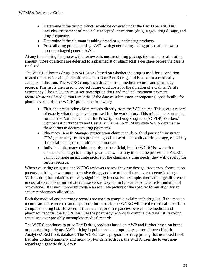- Determine if the drug products would be covered under the Part D benefit. This includes assessment of medically accepted indications (drug usage), drug dosage, and drug frequency.
- Determine if the claimant is taking brand or generic drug products.
- Price all drug products using AWP, with generic drugs being priced at the lowest non-repackaged generic AWP.

At any time during the process, if a reviewer is unsure of drug pricing, indication, or allocation amount, those questions are deferred to a pharmacist or pharmacist's designee before the case is finalized.

The WCRC allocates drugs into WCMSAs based on whether the drug is used for a condition related to the WC claim, is considered a Part D or Part B drug, and is used for a medically accepted indication. The WCRC compiles a drug list from medical records and pharmacy records. This list is then used to project future drug costs for the duration of a claimant's life expectancy. The reviewers must see prescription drug and medical treatment payment records/histories dated within 6 months of the date of submission or reopening. Specifically, for pharmacy records, the WCRC prefers the following:

- First, the prescription claim records directly from the WC insurer. This gives a record of exactly what drugs have been used for the work injury. This might come on such a form as the National Council for Prescription Drug Programs (NCPDP) Workers' Compensation/Property and Casualty Claims Form. Many state WC programs use these forms to document drug payments.
- Pharmacy Benefit Manager prescription claim records or third party administrator (TPA) pharmacy records provide a good sense of the totality of drug usage, especially if the claimant goes to multiple pharmacies.
- Individual pharmacy claim records are beneficial, but the WCRC is aware that claimants could go to multiple pharmacies. If at any time in the process the WCRC cannot compile an accurate picture of the claimant's drug needs, they will develop for further records.

When evaluating drug use, the WCRC reviewers assess the drug dosage, frequency, formulation, patents expiring, newer more expensive drugs, and use of brand-name versus generic drugs. Various drug formulations can vary significantly in cost. For example, there are large differences in cost of oxycodone immediate release versus Oxycontin (an extended release formulation of oxycodone). It is very important to gain an accurate picture of the specific formulation for an accurate pharmacy allocation.

Both the medical and pharmacy records are used to compile a claimant's drug list. If the medical records are more recent than the prescription records, the WCRC will use the medical records to compile the drug list. However, if there are major discrepancies between the medical and pharmacy records, the WCRC will use the pharmacy records to compile the drug list, favoring actual use over possibly incomplete medical records.

The WCRC continues to price Part D drug products based on AWP and further based on brand or generic drug pricing. AWP pricing is pulled from a proprietary source, Truven Health Analytics' Red Book database. The WCRC uses a program for drug pricing that uses Red Book flat files updated quarterly and monthly. For generic drugs, the WCRC uses the lowest nonrepackaged generic drug AWP.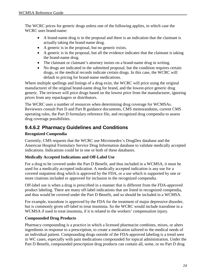The WCRC prices for generic drugs unless one of the following applies, in which case the WCRC uses brand-name:

- A brand-name drug is in the proposal and there is an indication that the claimant is actually taking the brand-name drug.
- A generic is in the proposal, but no generic exists.
- A generic is in the proposal, but all the evidence indicates that the claimant is taking the brand-name drug.
- The claimant or claimant's attorney insists on a brand-name drug in writing.
- No drugs are indicated in the submitted proposal, but the condition requires certain drugs, or the medical records indicate certain drugs. In this case, the WCRC will default to pricing for brand-name medications.

Where multiple spellings and listings of a drug exist, the WCRC will price using the original manufacturer of the original brand-name drug for brand, and the lowest-price generic drug generic. The reviewer will price drugs based on the lowest price from the manufacturer, ignoring prices from any repackagers or distributors.

The WCRC uses a number of resources when determining drug coverage for WCMSAs. Reviewers consult Part D and Part B guidance documents, CMS memorandums, current CMS operating rules, the Part D formulary reference file, and recognized drug compendia to assess drug coverage possibilities.

### <span id="page-29-0"></span>**9.4.6.2 Pharmacy Guidelines and Conditions**

#### **Recognized Compendia**

Currently, CMS requests that the WCRC use Micromedex's DrugDex database and the American Hospital Formulary Service Drug Information database to validate medically accepted indications. Indications could be in one or both of these databases.

#### **Medically Accepted Indications and Off-Label Use**

For a drug to be covered under the Part D Benefit, and thus included in a WCMSA, it must be used for a medically accepted indication. A medically accepted indication is any use for a covered outpatient drug which is approved by the FDA, or a use which is supported by one or more citations included or approved for inclusion in the recognized compendia.

Off-label use is when a drug is prescribed in a manner that is different from the FDA-approved product labeling. There are many off-label indications that are listed in recognized compendia, and thus would be covered under the Part D Benefit, and so should be included in a WCMSA.

For example, trazodone is approved by the FDA for the treatment of major depressive disorder, but is commonly given off-label to treat insomnia. So the WCRC would include trazodone in a WCMSA if used to treat insomnia, if it is related to the workers' compensation injury.

#### **Compounded Drug Products**

Pharmacy compounding is a practice in which a licensed pharmacist combines, mixes, or alters ingredients in response to a prescription, to create a medication tailored to the medical needs of an individual patient. Compounding drugs outside of the FDA-approved labeling is a trend seen in WC cases, especially with pain medications compounded for topical administration. Under the Part D Benefit, compounded prescription drug products can contain all, some, or no Part D drug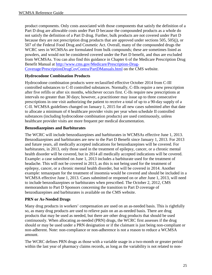product components. Only costs associated with those components that satisfy the definition of a Part D drug are allowable costs under Part D because the compounded products as a whole do not satisfy the definition of a Part D drug. Further, bulk products are not covered under Part D because they are not prescription drug products that are approved under sections 505, 505(j), or 507 of the Federal Food Drug and Cosmetic Act. Overall, many of the compounded drugs the WCRC sees in WCMSAs are formulated from bulk compounds; these are sometimes listed as powders, and would not be considered covered under the Part D benefit, and thus are excluded from WCMSAs. You can also find this guidance in Chapter 6 of the Medicare Prescription Drug Benefit Manual at [http://www.cms.gov/Medicare/Prescription-Drug-](http://www.cms.gov/Medicare/Prescription-Drug-Coverage/PrescriptionDrugCovContra/PartDManuals.html)[Coverage/PrescriptionDrugCovContra/PartDManuals.html](http://www.cms.gov/Medicare/Prescription-Drug-Coverage/PrescriptionDrugCovContra/PartDManuals.html) on the CMS website.

#### **Hydrocodone Combination Products**

Hydrocodone combination products were reclassified effective October 2014 from C-III controlled substances to C-II controlled substances. Normally, C-IIIs require a new prescription after five refills or after six months, whichever occurs first. C-IIs require new prescriptions at intervals no greater than 30 days; however, a practitioner may issue up to three consecutive prescriptions in one visit authorizing the patient to receive a total of up to a 90-day supply of a C-II. WCMSA guidelines changed on January 1, 2015 for all new cases submitted after that date to allocate a minimum of 4 healthcare provider visits per year when schedule II controlled substances (including hydrocodone combination products) are used continuously, unless healthcare provider visits are more frequent per medical documentation.

#### **Benzodiazepines and Barbiturates**

The WCRC will include benzodiazepines and barbiturates in WCMSAs effective June 1, 2013. Benzodiazepines and barbiturates are new to the Part D Benefit since January 1, 2013. For 2013 and future years, all medically accepted indications for benzodiazepines will be covered. For barbiturates, in 2013, only those used in the treatment of epilepsy, cancer, or a chronic mental health disorder will be covered, but in 2014 all medically accepted indications will be covered. Example: a case submitted on June 1, 2013 includes a barbiturate used for the treatment of headache. This will not be covered in 2013, as this is not being used for the treatment of epilepsy, cancer, or a chronic mental health disorder, but will be covered in 2014. Another example: temazepam for the treatment of insomnia would be covered and should be included in a WCMSA effective June 1, 2013. Cases submitted or reopened on or after June 1, 2013, will need to include benzodiazepines or barbiturates when prescribed. The October 2, 2012, CMS memorandum to Part D Sponsors concerning the transition to Part D coverage of benzodiazepines and barbiturates is available on the CMS website.

#### **PRN or As-Needed Drugs**

Many drug products in workers' compensation are used on an as-needed basis. This is rightfully so, as many drug products are used to relieve pain on an as-needed basis. There are drug products that may be used as needed, but there are other drug products that should be used continuously. When allocating as-needed (PRN) drugs, the WCRC first assesses if the drug should or may be used under a PRN designation or if the claimant is just being non-compliant or non-adherent. Note: non-compliance or non-adherence is not a reason to reduce a WCMSA amount.

The WCRC defines PRN drugs as those with a variable usage in a two-month or greater period within the last year of pharmacy claims records, as long as the variability is not related to non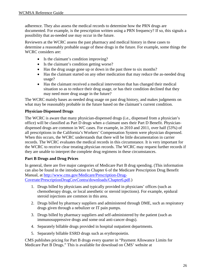adherence. They also assess the medical records to determine how the PRN drugs are documented. For example, is the prescription written using a PRN frequency? If so, this signals a possibility that as-needed use may occur in the future.

Reviewers at the WCRC assess the past pharmacy and medical history in these cases to determine a reasonably probable usage of these drugs in the future. For example, some things the WCRC considers are:

- Is the claimant's condition improving?
- Is the claimant's condition getting worse?
- Has the drug usage gone up or down in the past three to six months?
- Has the claimant started on any other medication that may reduce the as-needed drug usage?
- Has the claimant received a medical intervention that has changed their medical situation so as to reduce their drug usage, or has their condition declined that they may need more drug usage in the future?

The WCRC mainly bases as-needed drug usage on past drug history, and makes judgments on what may be reasonably probable in the future based on the claimant's current condition.

#### **Physician-Dispensed Drugs**

The WCRC is aware that many physician-dispensed drugs (i.e., dispensed from a physician's office) will be classified as Part D drugs when a claimant uses their Part D Benefit. Physiciandispensed drugs are common in WC cases. For example, in 2010 and 2011, over half (53%) of all prescriptions in the California's Workers' Compensation System were physician dispensed. When this occurs, the WCRC understands that there will be little documentation in carrier records. The WCRC evaluates the medical records in this circumstance. It is very important for the WCRC to receive clear treating physician records. The WCRC may request further records if they are unable to interpret the complete drug regimens in these circumstances.

#### **Part B Drugs and Drug Prices**

In general, there are five major categories of Medicare Part B drug spending. (This information can also be found in the introduction to Chapter 6 of the Medicare Prescription Drug Benefit Manual, at [http://www.cms.gov/Medicare/Prescription-Drug-](http://www.cms.gov/Medicare/Prescription-Drug-Coverate/PrescriptionDrugCovContra/downloads/Chapter6.pdf)[Coverate/PrescriptionDrugCovContra/downloads/Chapter6.pdf.](http://www.cms.gov/Medicare/Prescription-Drug-Coverate/PrescriptionDrugCovContra/downloads/Chapter6.pdf))

1. Drugs billed by physicians and typically provided in physicians' offices (such as chemotherapy drugs, or local anesthetic or steroid injections). For example, epidural steroid injections are common in this area.

- 2. Drugs billed by pharmacy suppliers and administered through DME, such as respiratory drugs given through a nebulizer or IT pain pumps.
- 3. Drugs billed by pharmacy suppliers and self-administered by the patient (such as immunosuppressive drugs and some oral anti-cancer drugs).
- 4. Separately billable drugs provided in hospital outpatient departments.
- 5. Separately billable ESRD drugs such as erythropoietin.

CMS publishes pricing for Part B drugs every quarter in "Payment Allowance Limits for Medicare Part B Drugs." This is available for download on CMS' website at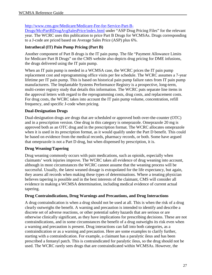#### [http://www.cms.gov/Medicare/Medicare-Fee-for-Service-Part-B-](http://www.cms.gov/Medicare/Medicare-Fee-for-Service-Part-B-Drugs/McrPartBDrugAvgSalesPrice/index.html)

[Drugs/McrPartBDrugAvgSalesPrice/index.html](http://www.cms.gov/Medicare/Medicare-Fee-for-Service-Part-B-Drugs/McrPartBDrugAvgSalesPrice/index.html) under "ASP Drug Pricing Files" for the relevant year. The WCRC uses this publication to price Part B Drugs for WCMSAs. Drugs corresponding to a J-code are priced based on Average Sales Price (ASP) plus 6%.

#### **Intrathecal (IT) Pain Pump Pricing (Part B)**

Another component of Part B drugs is the IT pain pump. The file "Payment Allowance Limits for Medicare Part B Drugs" on the CMS website also depicts drug pricing for DME infusions, the drugs delivered using the IT pain pump.

When an IT pain pump is needed in a WCMSA case, the WCRC prices the IT pain pump replacement cost and reprogramming office visits per fee schedule. The WCRC assumes a 7-year lifetime per IT pain pump. This is based on historical pain pump failure rates from IT pain pump manufacturers. The Implantable Systems Performance Registry is a prospective, long-term, multi-center registry study that details this information. The WCRC puts separate line items in the approval letters with regard to the reprogramming costs, drug costs, and replacement costs. For drug costs, the WCRC takes into account the IT pain pump volume, concentration, refill frequency, and specific J-code when pricing.

#### **Dual-Designation Drugs**

Dual-designation drugs are drugs that are scheduled or approved both over-the-counter (OTC) and in a prescription version. One drug in this category is omeprazole. Omeprazole 20 mg is approved both as an OTC drug and in the prescription format. The WCRC allocates omeprazole when it is used in its prescription format, as it would qualify under the Part D benefit. This could be based on evidence from the medical records, pharmacy records, or both. Some have argued that omeprazole is not a Part D drug, but when dispensed by prescription, it is.

#### **Drug Weaning/Tapering**

Drug weaning commonly occurs with pain medications, such as opioids, especially when claimants' work injuries improve. The WCRC takes all evidence of drug weaning into account, although in most circumstances the WCRC cannot assume that the weaning process will be successful. Usually, the latest weaned dosage is extrapolated for the life expectancy, but again, they assess all records when making these types of determinations. Where a treating physician believes tapering is possible and in the best interests of the claimant, CMS will consider all evidence in making a WCMSA determination, including medical evidence of current actual tapering.

#### **Drug Contraindications, Drug Warnings and Precautions, and Drug Interactions**

A drug contraindication is when a drug should not be used at all. This is when the risk of a drug clearly outweighs the benefit. A warning and precaution is intended to identify and describe a discrete set of adverse reactions, or other potential safety hazards that are serious or are otherwise clinically significant, as they have implications for prescribing decisions. These are not contraindications, and in some circumstances the benefit of a drug outweighs its risk even when a warning and precaution is present. Drug interactions can fall into both categories, as a contraindication or as a warning and precaution. Here are some examples to clarify further, starting with a contraindication. For example, a claimant has a paralytic ileus and has been prescribed a fentanyl patch. This is contraindicated for paralytic ileus, so the drug should not be used. The WCRC rarely sees drugs that are contraindicated within WCMSAs. However, the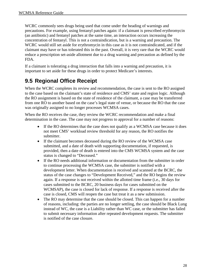WCRC commonly sees drugs being used that come under the heading of warnings and precautions. For example, using fentanyl patches again: if a claimant is prescribed erythromycin (an antibiotic) and fentanyl patches at the same time, an interaction occurs increasing the concentration of fentanyl. This is not a contraindication, but is a warning and precaution. The WCRC would still set aside for erythromycin in this case as it is not contraindicated, and if the claimant may have or has tolerated this in the past. Overall, it is very rare that the WCRC would reduce a prescription set-aside allotment due to a drug warning and precaution as defined by the FDA.

If a claimant is tolerating a drug interaction that falls into a warning and precaution, it is important to set aside for these drugs in order to protect Medicare's interests.

### <span id="page-33-0"></span>**9.5 Regional Office Receipt**

When the WCRC completes its review and recommendation, the case is sent to the RO assigned to the case based on the claimant's state of residence and CMS' state and region logic. Although the RO assignment is based on the state of residence of the claimant, a case may be transferred from one RO to another based on the case's legal state of venue, or because the RO that the case was originally assigned to no longer processes WCMSA cases.

When the RO receives the case, they review the WCRC recommendation and make a final determination in the case. The case may not progress to approval for a number of reasons:

- If the RO determines that the case does not qualify as a WCMSA case because it does not meet CMS' workload review threshold for any reason, the RO notifies the submitter.
- If the claimant becomes deceased during the RO review of the WCMSA case submitted, and a date of death with supporting documentation, if requested, is provided, then a date of death is entered into the CMS WCMSA system and the case status is changed to "Deceased."
- If the RO needs additional information or documentation from the submitter in order to continue processing the WCMSA case, the submitter is notified with a development letter. When documentation is received and scanned at the BCRC, the status of the case changes to "Development Received," and the RO begins the review again. If a response is not received within the allotted time frame (i.e., 30 days for cases submitted to the BCRC, 20 business days for cases submitted on the WCMSAP), the case is closed for lack of response. If a response is received after the case is closed, CMS will reopen the case but treat it as a new submission.
- The RO may determine that the case should be closed. This can happen for a number of reasons, including: the parties are no longer settling, the case should be Black Lung instead of WC, the case is a Liability rather than WC case, or the submitter has failed to submit necessary information after repeated development requests. The submitter is notified of the case closure.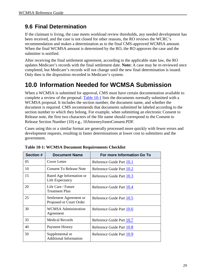### <span id="page-34-0"></span>**9.6 Final Determination**

If the claimant is living, the case meets workload review thresholds, any needed development has been received, and the case is not closed for other reasons, the RO reviews the WCRC's recommendation and makes a determination as to the final CMS-approved WCMSA amount. When the final WCMSA amount is determined by the RO, the RO approves the case and the submitter is notified.

After receiving the final settlement agreement, according to the applicable state law, the RO updates Medicare's records with the final settlement date. **Note:** A case may be re-reviewed once completed, but Medicare's records will not change until the new final determination is issued. Only then is the disposition recorded in Medicare's system.

# <span id="page-34-1"></span>**10.0 Information Needed for WCMSA Submission**

When a WCMSA is submitted for approval, CMS must have certain documentation available to complete a review of the proposal. [Table 10-1](#page-34-2) lists the documents normally submitted with a WCMSA proposal. It includes the section number, the document name, and whether the document is required. CMS recommends that documents submitted be labeled according to the section number to which they belong. For example, when submitting an electronic Consent to Release note, the first two characters of the file name should correspond to the Consent to Release Section Number (10) e.g., 10AttorneyJonesConsent.PDF.

Cases using this or a similar format are generally processed more quickly with fewer errors and development requests, resulting in faster determinations at lower cost to submitters and the government.

| Section # | <b>Document Name</b>                               | For more Information Go To |
|-----------|----------------------------------------------------|----------------------------|
| 05        | Cover Letter                                       | Reference Guide Part 10.1  |
| 10        | <b>Consent To Release Note</b>                     | Reference Guide Part 10.2  |
| 15        | Rated Age Information or<br>Life Expectancy        | Reference Guide Part 10.3  |
| 20        | Life Care / Future<br><b>Treatment Plan</b>        | Reference Guide Part 10.4  |
| 25        | Settlement Agreement or<br>Proposed or Court Order | Reference Guide Part 10.5  |
| 30        | <b>WCMSA Administration</b><br>Agreement           | Reference Guide Part 10.6  |
| 35        | <b>Medical Records</b>                             | Reference Guide Part 10.7  |
| 40        | Payment History                                    | Reference Guide Part 10.8  |
| 50        | Supplemental or<br><b>Additional Information</b>   | Reference Guide Part 10.9  |

<span id="page-34-2"></span>

|  | <b>Table 10-1: WCMSA Document Requirements Checklist</b> |  |
|--|----------------------------------------------------------|--|
|  |                                                          |  |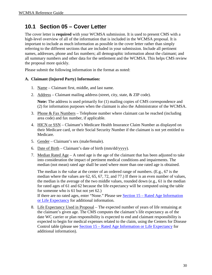### <span id="page-35-0"></span>**10.1 Section 05 – Cover Letter**

The cover letter is **required** with your WCMSA submission. It is used to present CMS with a high-level overview of all of the information that is included in the WCMSA proposal. It is important to include as much information as possible in the cover letter rather than simply referring to the different sections that are included in your submission. Include all pertinent names, addresses, phone and fax numbers; all demographic information about the claimant; and all summary numbers and other data for the settlement and the WCMSA. This helps CMS review the proposal more quickly.

Please submit the following information in the format as noted:

#### **A. Claimant (Injured Party) Information:**

- 1. Name Claimant first, middle, and last name.
- 2. Address Claimant mailing address (street, city, state, & ZIP code).

**Note:** The address is used primarily for (1) mailing copies of CMS correspondence and (2) for information purposes when the claimant is also the Administrator of the WCMSA.

- 3. Phone & Fax Numbers Telephone number where claimant can be reached (including area code) and fax number, if applicable.
- 4. HICN or SSN Claimant's Medicare Health Insurance Claim Number as displayed on their Medicare card, or their Social Security Number if the claimant is not yet entitled to Medicare.
- 5. Gender Claimant's sex (male/female).
- 6. Date of Birth Claimant's date of birth  $\text{mm}/\text{dd}/\text{y}\text{y}\text{y}$ .
- 7. Median Rated Age A rated age is the age of the claimant that has been adjusted to take into consideration the impact of pertinent medical conditions and impairments. The median (not mean) rated age shall be used where more than one rated age is obtained.

The median is the value at the center of an ordered range of numbers. (E.g., 67 is the median where the values are 62, 65, 67, 72, and 77.) If there is an even number of values, the median is the average of the two middle values, rounded down (e.g., 61 is the median for rated ages of 61 and 62 because the life expectancy will be computed using the table for someone who is 61 but not yet 62.)

If there are no rated ages, enter "None." Please see [Section 15 – Rated Age Information](#page-42-0)  [or Life Expectancy](#page-42-0) for additional information.

8. Life Expectancy Used in Proposal – The expected number of years of life remaining at the claimant's given age. The CMS computes the claimant's life expectancy as of the date WC carrier or plan responsibility is expected to end and claimant responsibility is expected to begin for medical expenses related to the claim, using the Centers for Disease Control table (please see [Section 15 – Rated Age Information or Life Expectancy](#page-42-0) for additional information).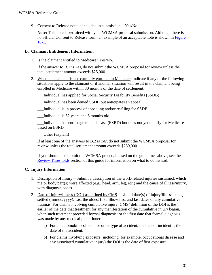9. Consent to Release note is included in submission – Yes/No.

**Note:** This note is **required** with your WCMSA proposal submission. Although there is no official Consent to Release form, an example of an acceptable note is shown in [Figure](#page-41-0)  [10-1.](#page-41-0)

### **B. Claimant Entitlement Information:**

1. Is the claimant entitled to Medicare? Yes/No.

If the answer to B.1 is *Yes*, do not submit the WCMSA proposal for review unless the total settlement amount exceeds \$25,000.

2. When the claimant is not currently enrolled in Medicare, indicate if any of the following situations apply to the claimant or if another situation will result in the claimant being enrolled in Medicare within 30 months of the date of settlement.

\_\_\_Individual has applied for Social Security Disability Benefits (SSDB)

\_\_\_Individual has been denied SSDB but anticipates an appeal

\_\_\_Individual is in process of appealing and/or re-filing for SSDB

\_\_\_Individual is 62 years and 6 months old

\_\_\_Individual has end-stage renal disease (ESRD) but does not yet qualify for Medicare based on ESRD

\_\_\_Other (explain)

If at least one of the answers to B.2 is *Yes*, do not submit the WCMSA proposal for review unless the total settlement amount exceeds \$250,000.

If you should not submit the WCMSA proposal based on the guidelines above, see the [Review Thresholds](#page-13-0) section of this guide for information on what to do instead.

### **C. Injury Information**

- 1. Description of Injury Submit a description of the work-related injuries sustained, which major body part(s) were affected (e.g., head, arm, leg, etc.) and the cause of illness/injury, with diagnosis codes.
- 2. Date of Injury/Illness (DOI) as defined by CMS List all date(s) of injury/illness being settled (mm/dd/yyyy). List the oldest first. Show first and last dates of any cumulative traumas. For claims involving cumulative injury, CMS' definition of the DOI is the earlier of the date that treatment for any manifestation of the cumulative injury began, when such treatment preceded formal diagnosis; or the first date that formal diagnosis was made by any medical practitioner.
	- a) For an automobile collision or other type of accident, the date of incident is the date of the accident.
	- b) For claims involving exposure (including, for example, occupational disease and any associated cumulative injury) the DOI is the date of first exposure.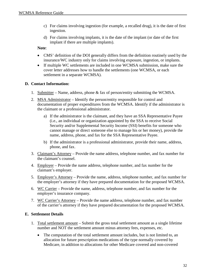- c) For claims involving ingestion (for example, a recalled drug), it is the date of first ingestion.
- d) For claims involving implants, it is the date of the implant (or date of the first implant if there are multiple implants).

**Note**:

- CMS' definition of the DOI generally differs from the definition routinely used by the insurance/WC industry only for claims involving exposure, ingestion, or implants.
- If multiple WC settlements are included in one WCMSA submission, make sure the cover letter addresses how to handle the settlements (one WCMSA, or each settlement in a separate WCMSA).

### **D. Contact Information:**

- 1. Submitter Name, address, phone & fax of person/entity submitting the WCMSA.
- 2. MSA Administrator Identify the person/entity responsible for control and documentation of proper expenditures from the WCMSA. Identify if the administrator is the claimant or a professional administrator.
	- a) If the administrator is the claimant, and they have an SSA Representative Payee (i.e., an individual or organization appointed by the SSA to receive Social Security and/or Supplemental Security Income (SSI) benefits for someone who cannot manage or direct someone else to manage his or her money), provide the name, address, phone, and fax for the SSA Representative Payee.
	- b) If the administrator is a professional administrator, provide their name, address, phone, and fax.
- 3. Claimant's Attorney Provide the name address, telephone number, and fax number for the claimant's counsel.
- 4. Employer Provide the name address, telephone number, and fax number for the claimant's employer.
- 5. Employer's Attorney Provide the name, address, telephone number, and fax number for the employer's attorney if they have prepared documentation for the proposed WCMSA.
- 6. WC Carrier Provide the name, address, telephone number, and fax number for the employer's insurance company.
- 7. WC Carrier's Attorney Provide the name address, telephone number, and fax number of the carrier's attorney if they have prepared documentation for the proposed WCMSA.

### **E. Settlement Details**

- 1. Total settlement amount Submit the gross total settlement amount as a single lifetime number and NOT the settlement amount minus attorney fees, expenses, etc.
	- The computation of the total settlement amount includes, but is not limited to, an allocation for future prescription medications of the type normally covered by Medicare, in addition to allocations for other Medicare covered and non-covered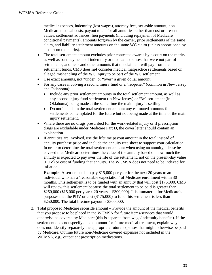medical expenses, indemnity (lost wages), attorney fees, set-aside amount, non-Medicare medical costs, payout totals for all annuities rather than cost or present values, settlement advances, lien payments (including repayment of Medicare conditional payments), amounts forgiven by the carrier, prior settlements of the same claim, and liability settlement amounts on the same WC claim (unless apportioned by a court on the merits).

- The total settlement amount excludes prior contested awards by a court on the merits, as well as past payments of indemnity or medical expenses that were not part of settlements, and liens and other amounts that the claimant will pay from the settlement funds. CMS does **not** consider medical malpractice settlements based on alleged mishandling of the WC injury to be part of the WC settlement.
- Use exact amounts, not "under" or "over" a given dollar amount.
- For any cases involving a second injury fund or a "reopener" (common in New Jersey and Oklahoma):
	- Include any prior settlement amounts in the total settlement amount, as well as any second injury fund settlement (in New Jersey) or "3e" settlement (in Oklahoma) being made at the same time the main injury is settling.
	- Do not include in the total settlement amount any estimated amounts for settlements contemplated for the future but not being made at the time of the main injury settlement.
- Where there are no drugs prescribed for the work-related injury or if prescription drugs are excludable under Medicare Part D, the cover letter should contain an explanation.
- If annuities are involved, use the lifetime payout amount in the total instead of annuity purchase price and include the annuity rate sheet to support your calculation. In order to determine the total settlement amount when using an annuity, please be advised that Medicare determines the value of the annuity based on how much the annuity is expected to pay over the life of the settlement, not on the present-day value (PDV) or cost of funding that annuity. The WCMSA does not need to be indexed for inflation.

**Example**: A settlement is to pay \$15,000 per year for the next 20 years to an individual who has a 'reasonable expectation' of Medicare enrollment within 30 months. This settlement is to be funded with an annuity that will cost \$175,000. CMS will review this settlement because the total settlement to be paid is greater than \$250,000 (\$15,000 per year x 20 years = \$300,000). It is immaterial for Medicare's purposes that the PDV or cost (\$175,000) to fund this settlement is less than \$250,000. The total lifetime payout is \$300,000.

2. Total proposed Medicare set-aside amount – Provide the amount of the medical benefits that you propose to be placed in the WCMSA for future items/services that would otherwise be covered by Medicare (this is separate from wage/indemnity benefits). If the settlement does not specify a total amount for future medical treatment, explain why it does not. Identify separately the appropriate future expenses that might otherwise be paid by Medicare. Outline future non-Medicare covered expenses not included in the WCMSA, e.g., outpatient prescription medications.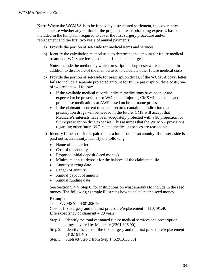**Note**: Where the WCMSA is to be funded by a structured settlement, the cover letter must disclose whether any portion of the projected prescription drug expenses has been included in the lump sum required to cover the first surgery procedure and/or replacement and the first two years of annual payments.

- a) Provide the portion of set-aside for medical items and services.
- b) Identify the calculation method used to determine the amount for future medical treatment: WC State fee schedule, or full actual charges.

**Note**: Include the method by which prescription drug costs were calculated, in addition to disclosure of the method used to calculate other future medical costs.

- c) Provide the portion of set-aside for prescription drugs. If the WCMSA cover letter fails to include a separate projected amount for future prescription drug costs, one of two results will follow:
	- If the available medical records indicate medications have been or are expected to be prescribed for WC-related injuries, CMS will calculate and price these medications at AWP based on brand-name prices.
	- If the claimant's current treatment records contain no indication that prescription drugs will be needed in the future, CMS will accept that Medicare's interests have been adequately protected with a \$0 projection for future prescription drug expenses. This assumes that the WCMSA provisions regarding other future WC related medical expenses are reasonable.
- d) Identify if the set-aside is paid out as a lump sum or an annuity. If the set-aside is paid out as an annuity, identify the following:
	- Name of the carrier
	- Cost of the annuity
	- Proposed initial deposit (seed money)
	- Minimum annual deposit for the balance of the claimant's life
	- Annuity starting date
	- Length of annuity
	- Annual payout of annuity
	- Annual funding date

See Section [9.4.4,](#page-19-0) Step 6, for instructions on what amounts to include in the seed money. The following example illustrates how to calculate the seed money:

#### **Example**:

Total WCMSA = \$301,826.90

Cost of first surgery and the first procedure/replacement  $= $10,191.40$ Life expectancy of claimant  $= 28$  years:

- Step 1. Identify the total estimated future medical services and prescription drugs covered by Medicare (\$301,826.90)
- Step 2. Identify the cost of the first surgery and the first procedure/replacement (\$10,191.40)
- Step 3. Subtract Step 2 from Step 1 (\$291,635.50)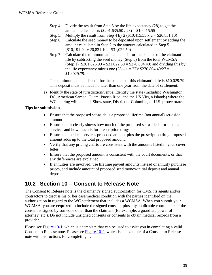- Step 4. Divide the result from Step 3 by the life expectancy (28) to get the annual medical costs (\$291,635.50 / 28) = \$10,415.55
- Step 5. Multiply the result from Step 4 by 2 (\$10,415.55 x  $2 = $20,831.10$ )
- Step 6. Calculate the seed money to be deposited upon settlement by adding the amount calculated in Step 2 to the amount calculated in Step 5  $($10,191.40 + 20,831.10 = $31,022.50)$
- Step 7 Calculate the minimum annual deposit for the balance of the claimant's life by subtracting the seed money (Step 5) from the total WCMSA (Step 1) (\$301,826.90 – \$31,022.50 = \$270,804.40) and dividing this by the life expectancy minus one  $(28 - 1 = 27)$ : \$270,804.40/27 = \$10,029.79.

The minimum annual deposit for the balance of this claimant's life is \$10,029.79. This deposit must be made no later than one year from the date of settlement.

e) Identify the state of jurisdiction/venue. Identify the state (including Washington, DC, American Samoa, Guam, Puerto Rico, and the US Virgin Islands) where the WC hearing will be held. Show state, District of Columbia, or U.S. protectorate.

### **Tips for submission**

- Ensure that the proposed set-aside is a proposed lifetime (not annual) set-aside amount.
- Ensure that it clearly shows how much of the proposed set-aside is for medical services and how much is for prescription drugs.
- Ensure the medical services proposed amount plus the prescription drug proposed amount adds up to the total proposed amount.
- Verify that any pricing charts are consistent with the amounts listed in your cover letter.
- Ensure that the proposed amount is consistent with the court documents, or that any differences are explained.
- If annuities are involved, use lifetime payout amounts instead of annuity purchase prices, and include amount of proposed seed money/initial deposit and annual deposit.

## **10.2 Section 10 – Consent to Release Note**

The Consent to Release note is the claimant's signed authorization for CMS, its agents and/or contractors to discuss his or her case/medical condition with the parties identified on the authorization in regard to the WC settlement that includes a WCMSA. When you submit your WCMSA, you are **required** to include the signed consent, plus any applicable court papers if the consent is signed by someone other than the claimant (for example, a guardian, power of attorney, etc.). Do not include unsigned consents or consents to obtain medical records from a provider.

Please see [Figure 10-1,](#page-41-0) which is a template that can be used to assist you in completing a valid Consent to Release note. Please see **Figure 10-2**, which is an example of a Consent to Release note with instructions for completing it.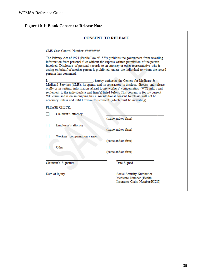### <span id="page-41-0"></span>**Figure 10-1: Blank Consent to Release Note**

|           |                                                                              | <b>CONSENT TO RELEASE</b>                                                                                                                                                                                                                                                                                                                                                                                              |
|-----------|------------------------------------------------------------------------------|------------------------------------------------------------------------------------------------------------------------------------------------------------------------------------------------------------------------------------------------------------------------------------------------------------------------------------------------------------------------------------------------------------------------|
|           | CMS Case Control Number: #########                                           |                                                                                                                                                                                                                                                                                                                                                                                                                        |
|           | pertains has consented.                                                      | The Privacy Act of 1974 (Public Law 93-579) prohibits the government from revealing<br>information from personal files without the express written permission of the person<br>involved. Disclosure of personal records to an attorney or other representative who is<br>acting on behalf of another person is prohibited, unless the individual to whom the record                                                    |
| I., 1980. | necessary unless and until I revoke this consent (which must be in writing). | , hereby authorize the Centers for Medicare &<br>Medicaid Services (CMS), its agents, and its contractors to disclose, discuss, and release,<br>orally or in writing, information related to my workers' compensation (WC) injury and<br>settlement to the individual(s) and firm(s) listed below. This consent is for my current<br>WC claim and is on an ongoing basis. An additional consent to release will not be |
|           | PLEASE CHECK:                                                                |                                                                                                                                                                                                                                                                                                                                                                                                                        |
|           | Claimant's attorney                                                          |                                                                                                                                                                                                                                                                                                                                                                                                                        |
|           | Employer's attorney                                                          | (name and/or firm)                                                                                                                                                                                                                                                                                                                                                                                                     |
|           |                                                                              | (name and/or firm)                                                                                                                                                                                                                                                                                                                                                                                                     |
|           | Workers' compensation carrier                                                |                                                                                                                                                                                                                                                                                                                                                                                                                        |
|           |                                                                              | (name and/or firm)                                                                                                                                                                                                                                                                                                                                                                                                     |
|           | Other                                                                        | (name and/or firm)                                                                                                                                                                                                                                                                                                                                                                                                     |
|           | Claimant's Signature                                                         | Date Signed                                                                                                                                                                                                                                                                                                                                                                                                            |
|           |                                                                              |                                                                                                                                                                                                                                                                                                                                                                                                                        |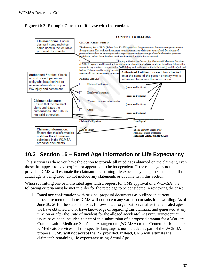<span id="page-42-0"></span>



## **10.3 Section 15 – Rated Age Information or Life Expectancy**

This section is where you have the option to provide all rated ages obtained on the claimant, even those that appear to have expired or appear not to be independent. If the rated age is not provided, CMS will estimate the claimant's remaining life expectancy using the actual age. If the actual age is being used, do not include any statements or documents in this section.

When submitting one or more rated ages with a request for CMS approval of a WCMSA, the following criteria must be met in order for the rated age to be considered in reviewing the case:

1. Rated age confirmation with original proposal documents as outlined in current procedure memorandums. CMS will not accept any variation or substitute wording. As of June 30, 2010, the statement is as follows: "Our organization certifies that all rated ages we have obtained/and or have knowledge of regarding this claimant, and generated at any time on or after the Date of Incident for the alleged accident/illness/injury/incident at issue, have been included as part of this submission of a proposed amount for a Workers' Compensation Medicare Set-Aside Arrangement (WCMSA) to the Centers for Medicare & Medicaid Services." If this specific language is not included as part of the WCMSA proposal, CMS **will not accept** the RA provided. Instead, CMS will estimate the claimant's remaining life expectancy using Actual Age.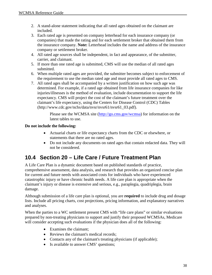- 2. A stand-alone statement indicating that all rated ages obtained on the claimant are included.
- 3. Each rated age is presented on company letterhead for each insurance company (or companies) that made the rating and for each settlement broker that obtained them from the insurance company. **Note:** Letterhead includes the name and address of the insurance company or settlement broker.
- 4. All rated age sources shall be independent, in fact and appearance, of the submitter, carrier, and claimant.
- 5. If more than one rated age is submitted, CMS will use the median of all rated ages submitted.
- 6. When multiple rated ages are provided, the submitter becomes subject to enforcement of the requirement to use the median rated age and must provide all rated ages to CMS.
- 7. All rated ages shall be accompanied by a written justification on how such age was determined. For example, if a rated age obtained from life insurance companies for like injuries/illnesses is the method of evaluation, include documentation to support the life expectancy. CMS will project the cost of the claimant's future treatment over the claimant's life expectancy, using the Centers for Disease Control (CDC) Tables [\(http://www.cdc.gov/nchs/data/nvsr/nvsr61/nvsr61\\_03.pdf\)](http://www.cdc.gov/nchs/data/nvsr/nvsr61/nvsr61_03.pdf).

Please see the WCMSA site [\(http://go.cms.gov/wcmsa\)](http://go.cms.gov/wcmsa) for information on the latest tables to use.

### **Do not include the following:**

- Actuarial charts or life expectancy charts from the CDC or elsewhere, or statements that there are no rated ages.
- Do not include any documents on rated ages that contain redacted data. They will not be considered.

## **10.4 Section 20 – Life Care / Future Treatment Plan**

A Life Care Plan is a dynamic document based on published standards of practice, comprehensive assessment, data analysis, and research that provides an organized concise plan for current and future needs with associated costs for individuals who have experienced catastrophic injury or have chronic health needs. A life care plan is appropriate when the claimant's injury or disease is extensive and serious, e.g., paraplegia, quadriplegia, brain damage.

Although submission of a life care plan is optional, you are **required** to include drug and dosage lists. Include all pricing charts, cost projections, pricing information, and explanatory narratives and analyses.

When the parties to a WC settlement present CMS with "life care plans" or similar evaluations prepared by non-treating physicians to support and justify their proposed WCMSAs, Medicare will consider accepting such evaluations if the physician does all of the following:

- Examines the claimant:
- Reviews the claimant's medical records;
- Contacts any of the claimant's treating physicians (if applicable);
- Is available to answer CMS' questions;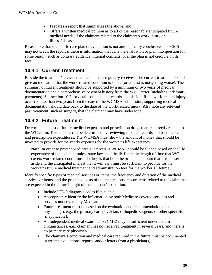- Prepares a report that summarizes the above; and
- Offers a written medical opinion as to all of the reasonably anticipated future medical needs of the claimant related to the claimant's work injury or illness/disease.

Please note that such a life care plan or evaluation is not automatically conclusive. The CMS may not credit the report if there is information that calls the evaluation or plan into question for some reason, such as contrary evidence, internal conflicts, or if the plan is not credible on its face.

### **10.4.1 Current Treatment**

Provide the treatment/services that the claimant regularly receives. The current treatment should give an indication that the work-related condition is stable (or at least is not getting worse). The summary of current treatment should be supported by a minimum of two years of medical documentation and a comprehensive payment history from the WC Carrier (including indemnity payments). See section [10.7](#page-47-0) for details on medical records submission. If the work-related injury occurred less than two years from the date of the WCMSA submission, supporting medical documentation should date back to the date of the work-related injury. Also note any relevant past treatment, such as surgery, that the claimant may have undergone.

### **10.4.2 Future Treatment**

Determine the cost of future medical expenses and prescription drugs that are directly related to the WC claim. This amount can be determined by reviewing medical records and past medical and prescription expenditures. The WCMSA must show the amount of money that should be invested to provide for the yearly expenses for the worker's life expectancy.

**Note**: In order to protect Medicare's interests, a WCMSA should be funded based on the life expectancy of the claimant unless state law specifically limits the length of time that WC covers work-related conditions. The key is that both the principal amount that is to be set aside and the anticipated interest that it will earn must be sufficient to provide for the worker's future medical treatment and administration fees for the worker's lifetime.

Identify specific types of medical services or items, the frequency and duration of the medical services or items, and the projected costs of the medical services or items related to the claim that are expected in the future in light of the claimant's condition.

- Include ICD-9 diagnosis codes if available.
- Appropriately identify the information by both Medicare-covered services and services not covered by Medicare.
- Future treatment must be based on the evaluation and recommendation of a physician(s), e.g., the primary care physician, orthopedic surgeon, or other specialist (if applicable).
- An independent medical examination (IME) may be sufficient under certain circumstances, e.g., claimant has not received treatment in several years, and there is no primary care physician.
- The claimant's condition and medical care required in the future must be documented in written evaluations, reports, and/or letters from a physician(s).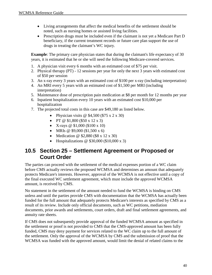- Living arrangements that affect the medical benefits of the settlement should be noted, such as nursing homes or assisted living facilities.
- Prescription drugs must be included even if the claimant is not yet a Medicare Part D beneficiary, if the current treatment records or future care plan support the use of drugs in treating the claimant's WC injury.

**Example**: The primary care physician states that during the claimant's life expectancy of 30 years, it is estimated that he or she will need the following Medicare-covered services.

- 1. A physician visit every 6 months with an estimated cost of \$75 per visit.
- 2. Physical therapy (PT) 12 sessions per year for only the next 3 years with estimated cost of \$50 per session
- 3. An x-ray every 3 years with an estimated cost of \$100 per x-ray (including interpretation)
- 4. An MRI every 5 years with an estimated cost of \$1,500 per MRI (including interpretation)
- 5. Maintenance dose of prescription pain medication at \$8 per month for 12 months per year
- 6. Inpatient hospitalization every 10 years with an estimated cost \$10,000 per hospitalization
- 7. The projected total costs in this case are \$49,180 as listed below.
	- Physician visits @ \$4,500 (\$75 x 2 x 30)
	- PT @  $$1,800$  (\$50 x 12 x 3)
	- X-rays  $@$  \$1,000 (\$100 x 10)
	- MRIs @ \$9,000 (\$1,500 x 6)
	- Medication @  $$2,880 ($8 \times 12 \times 30)$
	- Hospitalizations @ \$30,000 (\$10,000 x 3)

### **10.5 Section 25 – Settlement Agreement or Proposed or Court Order**

The parties can proceed with the settlement of the medical expenses portion of a WC claim before CMS actually reviews the proposed WCMSA and determines an amount that adequately protects Medicare's interests. However, approval of the WCMSA is not effective until a copy of the final executed WC settlement agreement, which must include the approved WCMSA amount, is received by CMS.

No statement in the settlement of the amount needed to fund the WCMSA is binding on CMS unless and until the parties provide CMS with documentation that the WCMSA has actually been funded for the full amount that adequately protects Medicare's interests as specified by CMS as a result of its review. Include only official documents, such as WC petitions, mediation documents, prior awards and settlements, court orders, draft and final settlement agreements, and annuity rate sheets.

If CMS does not subsequently provide approval of the funded WCMSA amount as specified in the settlement or proof is not provided to CMS that the CMS-approved amount has been fully funded, CMS may deny payment for services related to the WC claim up to the full amount of the settlement. Only the approval of the WCMSA by CMS and the submission of proof that the WCMSA was funded with the approved amount, would limit the denial of related claims to the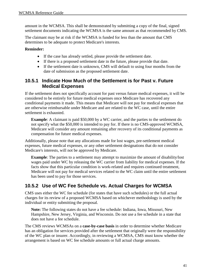amount in the WCMSA. This shall be demonstrated by submitting a copy of the final, signed settlement documents indicating the WCMSA is the same amount as that recommended by CMS.

The claimant may be at risk if the WCMSA is funded for less than the amount that CMS determines to be adequate to protect Medicare's interests.

### **Reminder:**

- If the case has already settled, please provide the settlement date.
- If there is a proposed settlement date in the future, please provide that date.
- If the settlement date is unknown, CMS will default to using four months from the date of submission as the proposed settlement date.

### **10.5.1 Indicate How Much of the Settlement is for Past v. Future Medical Expenses**

If the settlement does not specifically account for past versus future medical expenses, it will be considered to be entirely for future medical expenses once Medicare has recovered any conditional payments it made. This means that Medicare will not pay for medical expenses that are otherwise reimbursable under Medicare and are related to the WC case, until the entire settlement is exhausted.

**Example**: A claimant is paid \$50,000 by a WC carrier, and the parties to the settlement do not specify what the \$50,000 is intended to pay for. If there is no CMS-approved WCMSA, Medicare will consider any amount remaining after recovery of its conditional payments as compensation for future medical expenses.

Additionally, please note that any allocations made for lost wages, pre-settlement medical expenses, future medical expenses, or any other settlement designations that do not consider Medicare's interests, will not be approved by Medicare.

**Example**: The parties to a settlement may attempt to maximize the amount of disability/lost wages paid under WC by releasing the WC carrier from liability for medical expenses. If the facts show that this particular condition is work-related and requires continued treatment, Medicare will not pay for medical services related to the WC claim until the entire settlement has been used to pay for those services.

### **10.5.2 Use of WC Fee Schedule vs. Actual Charges for WCMSA**

CMS uses either the WC fee schedule (for states that have such schedules) or the full actual charges for its review of a proposed WCMSA based on whichever methodology is used by the individual or entity submitting the proposal.

**Note:** The following states do not have a fee schedule: Indiana, Iowa, Missouri, New Hampshire, New Jersey, Virginia, and Wisconsin. Do not use a fee schedule in a state that does not have a fee schedule.

The CMS reviews WCMSAs on a **case-by-case basis** in order to determine whether Medicare has an obligation for services provided after the settlement that originally were the responsibility of the WC plan or insurer. Accordingly, in reviewing a WCMSA, CMS must know whether the arrangement is based on WC fee schedule amounts or full actual charge amounts.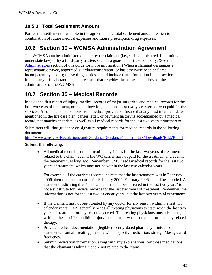### **10.5.3 Total Settlement Amount**

Parties to a settlement must note in the agreement the total settlement amount, which is a combination of future medical expenses and future prescription drug expenses.

## **10.6 Section 30 – WCMSA Administration Agreement**

The WCMSA can be administered either by the claimant (i.e., self-administered, if permitted under state law) or by a third-party trustee, such as a guardian or trust company. (See the [Administrators](#page-56-0) section of this guide for more information.) When a claimant designates a representative payee, appointed guardian/conservator, or has otherwise been declared incompetent by a court; the settling parties should include that information in this section. Include any official stand-alone agreement that provides the name and address of the administrator of the WCMSA.

## <span id="page-47-0"></span>**10.7 Section 35 – Medical Records**

Include the first report of injury, medical records of major surgeries, and medical records for the last two years of treatment, no matter how long ago those last two years were or who paid for the services. Also include depositions from medical providers. Ensure that any "last treatment date" mentioned in the life care plan, carrier letter, or payment history is accompanied by a medical record that matches that date, as well as all medical records for the last two years prior thereto.

Submitters will find guidance on signature requirements for medical records in the following document:

<http://www.cms.gov/Regulations-and-Guidance/Guidance/Transmittals/downloads/R327PI.pdf>

### **Submit the following:**

• All medical records from all treating physicians for the last two years of treatment related to the claim, even if the WC carrier has not paid for the treatment and even if the treatment was long ago. Remember, CMS needs medical records for the last two years of treatment, which may not be within the last two calendar years.

For example, if the carrier's records indicate that the last treatment was in February 2006, then treatment records for February 2004–February 2006 should be supplied. A statement indicating that "the claimant has not been treated in the last two years" is not a substitute for medical records for the last two years of treatment. Remember, the information is not for the last two calendar years, but the last two years **of treatment**.

- If the claimant has not been treated by any doctor for any reason within the last two calendar years, CMS generally needs all treating physicians to state when the last two years of treatment for any reason occurred. The treating physicians must also state, in writing, the specific condition/injury the claimant was last treated for, and any related therapy.
- Provide medical documentation (legible recently-dated pharmacy printouts or statements from **all** treating physicians) that specify medication, strength/dosage, **and** frequency.
- Submit medication information, along with any explanations, for those medications that the claimant is taking that are not related to the claim.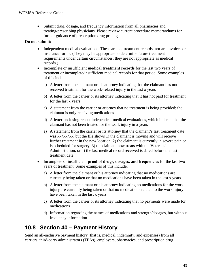• Submit drug, dosage, and frequency information from all pharmacies and treating/prescribing physicians. Please review current procedure memorandums for further guidance of prescription drug pricing.

### **Do not submit:**

- Independent medical evaluations. These are not treatment records, nor are invoices or insurance forms. (They may be appropriate to determine future treatment requirements under certain circumstances; they are not appropriate as medical records.)
- Incomplete or insufficient **medical treatment records** for the last two years of treatment or incomplete/insufficient medical records for that period. Some examples of this include:
	- a) A letter from the claimant or his attorney indicating that the claimant has not received treatment for the work-related injury in the last x years
	- b) A letter from the carrier or its attorney indicating that it has not paid for treatment for the last x years
	- c) A statement from the carrier or attorney that no treatment is being provided; the claimant is only receiving medications
	- d) A letter enclosing recent independent medical evaluations, which indicate that the claimant has not been treated for the work injury in x years
	- e) A statement from the carrier or its attorney that the claimant's last treatment date was  $xx/xx/xx$ , but the file shows 1) the claimant is moving and will receive further treatment in the new location, 2) the claimant is currently in severe pain or is scheduled for surgery, 3) the claimant now treats with the Veterans' Administration, or 4) the last medical record received is dated before the last treatment date
- Incomplete or insufficient **proof of drugs, dosages, and frequencies** for the last two years of treatment. Some examples of this include:
	- a) A letter from the claimant or his attorney indicating that no medications are currently being taken or that no medications have been taken in the last x years
	- b) A letter from the claimant or his attorney indicating no medications for the work injury are currently being taken or that no medications related to the work injury have been taken in the last x years
	- c) A letter from the carrier or its attorney indicating that no payments were made for medications
	- d) Information regarding the names of medications and strength/dosages, but without frequency information

## **10.8 Section 40 – Payment History**

Send an all-inclusive payment history (that is, medical, indemnity, and expenses) from all carriers, third-party administrators (TPAs), employers, pharmacies, and prescription drug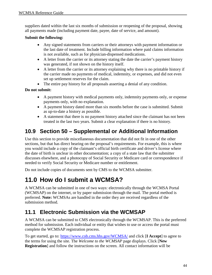suppliers dated within the last six months of submission or reopening of the proposal, showing all payments made (including payment date, payee, date of service, and amount).

### **Submit the following:**

- Any signed statements from carriers or their attorneys with payment information or the last date of treatment. Include billing information where paid claims information is not available, such as for physician-dispensed medications.
- A letter from the carrier or its attorney stating the date the carrier's payment history was generated, if not shown on the history itself.
- A letter from the carrier or its attorney explaining why there is no printable history if the carrier made no payments of medical, indemnity, or expenses, and did not even set up settlement reserves for the claim.
- The entire pay history for all proposals asserting a denial of any condition.

### **Do not submit:**

- A payment history with medical payments only, indemnity payments only, or expense payments only, with no explanation.
- A payment history dated more than six months before the case is submitted. Submit as up-to-date a history as possible.
- A statement that there is no payment history attached since the claimant has not been treated in the last two years. Submit a clear explanation if there is no history.

## **10.9 Section 50 – Supplemental or Additional Information**

Use this section to provide miscellaneous documentation that did not fit in one of the other sections, but that has direct bearing on the proposal's requirements. For example, this is where you would include a copy of the claimant's official birth certificate and driver's license where the date of birth is unclear in other documentation; a copy of a state law that the submitter discusses elsewhere, and a photocopy of Social Security or Medicare card or correspondence if needed to verify Social Security or Medicare number or entitlement.

Do not include copies of documents sent by CMS to the WCMSA submitter.

# **11.0 How do I submit a WCMSA?**

A WCMSA can be submitted in one of two ways: electronically through the WCMSA Portal (WCMSAP) on the internet, or by paper submission through the mail. The portal method is preferred. **Note:** WCMSAs are handled in the order they are received regardless of the submission method.

## **11.1 Electronic Submission via the WCMSAP**

A WCMSA can be submitted to CMS electronically through the WCMSAP. This is the preferred method for submission. Each individual or entity that wishes to use or access the portal must complete the WCMSAP registration process.

To get started, go to:<https://www.cob.cms.hhs.gov/WCMSA/>and click [**I Accept**] to agree to the terms for using the site. The *Welcome to the WCMSAP* page displays. Click [**New Registration**] and follow the instructions on the screen. All contact information will be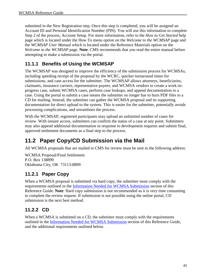submitted in the New Registration step. Once this step is completed, you will be assigned an Account ID and Personal Identification Number (PIN). You will use this information to complete Step 2 of the process, Account Setup. For more information, refer to the *How to Get Started* help page which is located under the How To menu option on the *Welcome to the WCMSAP* page and the *WCMSAP User Manual* which is located under the Reference Materials option on the *Welcome to the WCMSAP* page. **Note**: CMS recommends that you read the entire manual before attempting to make a submission via the portal.

### **11.1.1 Benefits of Using the WCMSAP**

The WCMSAP was designed to improve the efficiency of the submission process for WCMSAs, including speeding receipt of the proposal by the WCRC, quicker turnaround times for submissions, and case access for the submitter. The WCMSAP allows attorneys, beneficiaries, claimants, insurance carriers, representative payees, and WCMSA vendors to create a work-inprogress case, submit WCMSA cases, perform case lookups, and append documentation to a case. Using the portal to submit a case means the submitter no longer has to burn PDF files to a CD for mailing. Instead, the submitter can gather the WCMSA proposal and its supporting documentation for direct upload to the system. This is easier for the submitter, potentially avoids processing complications, and streamlines the process.

With the WCMSAP, registered participants may upload an unlimited number of cases for review. With instant access, submitters can confirm the status of a case at any point. Submitters may also append additional documentation in response to development requests and submit final, approved settlement documents as a final step to the process.

## **11.2 Paper Copy/CD Submission via the Mail**

All WCMSA proposals that are mailed to CMS for review must be sent to the following address:

WCMSA Proposal/Final Settlement P.O. Box 138899 Oklahoma City, OK 73113-8899

### **11.2.1 Paper Copy**

When a WCMSA proposal is submitted via hard copy, the submitter must comply with the requirements outlined in the [Information Needed for WCMSA Submission](#page-34-0) section of this Reference Guide. **Note**: Hard copy submission is not recommended as it is very time consuming to complete the review request. If submission is not possible using the online portal, CD submission is the next best method.

### **11.2.2 CD**

When a WCMSA is submitted on a CD, the submitter must comply with the requirements outlined in the [Information Needed for WCMSA Submission](#page-34-0) section of this Reference Guide, and the additional requirements outlined below.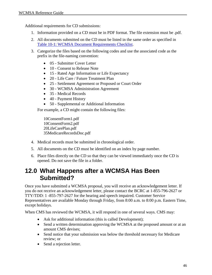Additional requirements for CD submissions:

- 1. Information provided on a CD must be in PDF format. The file extension must be .pdf.
- 2. All documents submitted on the CD must be listed in the same order as specified in [Table 10-1: WCMSA Document Requirements Checklist.](#page-34-1)
- 3. Categorize the files based on the following codes and use the associated code as the prefix in the file-naming convention:
	- 05 Submitter Cover Letter
	- 10 Consent to Release Note
	- 15 Rated Age Information or Life Expectancy
	- 20 Life Care / Future Treatment Plan
	- 25 Settlement Agreement or Proposed or Court Order
	- 30 WCMSA Administration Agreement
	- 35 Medical Records
	- 40 Payment History
	- 50 Supplemental or Additional Information

For example, a CD might contain the following files:

10ConsentForm1.pdf 10ConsentForm2.pdf 20LifeCarePlan.pdf 35MedicareRecordsDoc.pdf

- 4. Medical records must be submitted in chronological order.
- 5. All documents on the CD must be identified on an index by page number.
- 6. Place files directly on the CD so that they can be viewed immediately once the CD is opened. Do not save the file in a folder.

# **12.0 What Happens after a WCMSA Has Been Submitted?**

Once you have submitted a WCMSA proposal, you will receive an acknowledgement letter. If you do not receive an acknowledgement letter, please contact the BCRC at 1-855-796-2627 or TTY/TDD: 1 -855-797-2627 for the hearing and speech impaired. Customer Service Representatives are available Monday through Friday, from 8:00 a.m. to 8:00 p.m. Eastern Time, except holidays.

When CMS has reviewed the WCMSA, it will respond in one of several ways. CMS may:

- Ask for additional information (this is called Development);
- Send a written determination approving the WCMSA at the proposed amount or at an amount CMS devises;
- Send notice that your submission was below the threshold necessary for Medicare review; or
- Send a rejection letter.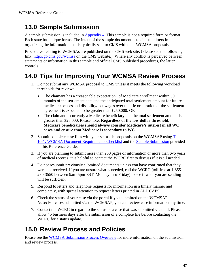# **13.0 Sample Submission**

A sample submission is included in [Appendix 4.](#page-67-0) This sample is not a required form or format. Each state has unique forms. The intent of the sample document is to aid submitters in organizing the information that is typically sent to CMS with their WCMSA proposals.

Procedures relating to WCMSAs are published on the CMS web site. (Please see the following link:<http://go.cms.gov/wcmsa>on the CMS website.). Where any conflict is perceived between statements or information in this sample and official CMS published procedures, the latter controls.

# **14.0 Tips for Improving Your WCMSA Review Process**

- 1. Do not submit any WCMSA proposal to CMS unless it meets the following workload thresholds for review:
	- The claimant has a "reasonable expectation" of Medicare enrollment within 30 months of the settlement date and the anticipated total settlement amount for future medical expenses and disability/lost wages over the life or duration of the settlement agreement is expected to be greater than \$250,000, OR
	- The claimant is currently a Medicare beneficiary and the total settlement amount is greater than \$25,000. Please note: **Regardless of the low dollar threshold, Medicare beneficiaries should always consider Medicare's interest in all WC cases and ensure that Medicare is secondary to WC.**
- 2. Submit complete case files with your set-aside proposals on the WCMSAP using Table [10-1: WCMSA Document Requirements Checklist](#page-34-1) and the [Sample Submission](#page-68-0) provided in this Reference Guide.
- 3. If you are planning to submit more than 200 pages of information or more than two years of medical records, it is helpful to contact the WCRC first to discuss if it is all needed.
- 4. Do not resubmit previously submitted documents unless you have confirmed that they were not received. If you are unsure what is needed, call the WCRC (toll-free at 1-855- 280-3550 between 9am-5pm EST, Monday thru Friday) to see if what you are sending will be sufficient.
- 5. Respond to letters and telephone requests for information in a timely manner and completely, with special attention to request letters printed in ALL CAPS.
- 6. Check the status of your case via the portal if you submitted on the WCMSAP. **Note:** For cases submitted via the WCMSAP, you can review case information any time.
- 7. Contact the WCRC in regard to the status of a case that was submitted via mail. Please allow 45 business days after the submission of a complete file before contacting the WCRC for a status update.

# **15.0 Review Process and Policies**

Please see the [WCMSA Submission Process Overview](#page-14-0) for more information on the submission and review process.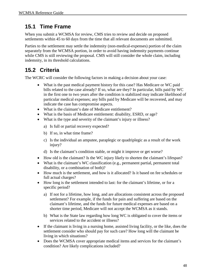## **15.1 Time Frame**

When you submit a WCMSA for review, CMS tries to review and decide on proposed settlements within 45 to 60 days from the time that all relevant documents are submitted.

Parties to the settlement may settle the indemnity (non-medical-expenses) portion of the claim separately from the WCMSA portion, in order to avoid having indemnity payments continue while CMS is still reviewing the proposal. CMS will still consider the whole claim, including indemnity, in its threshold calculations.

## **15.2 Criteria**

The WCRC will consider the following factors in making a decision about your case:

- What is the past medical payment history for this case? Has Medicare or WC paid bills related to the case already? If so, what are they? In particular, bills paid by WC in the first one to two years after the condition is stabilized may indicate likelihood of particular medical expenses; any bills paid by Medicare will be recovered, and may indicate the case has compromise aspects.
- What is the claimant's date of Medicare entitlement?
- What is the basis of Medicare entitlement: disability, ESRD, or age?
- What is the type and severity of the claimant's injury or illness?
	- a) Is full or partial recovery expected?
	- b) If so, in what time frame?
	- c) Is the individual an amputee, paraplegic or quadriplegic as a result of the work injury?
	- d) Is the claimant's condition stable, or might it improve or get worse?
- How old is the claimant? Is the WC injury likely to shorten the claimant's lifespan?
- What is the claimant's WC classification (e.g., permanent partial, permanent total disability, or a combination of both)?
- How much is the settlement, and how is it allocated? Is it based on fee schedules or full actual charges?
- How long is the settlement intended to last: for the claimant's lifetime, or for a specific period?
	- a) If not for a lifetime, how long, and are allocations consistent across the proposed settlement? For example, if the funds for pain and suffering are based on the claimant's lifetime, and the funds for future medical expenses are based on a shorter time period, Medicare will not accept the WCMSA as it stands.
	- b) What is the State law regarding how long WC is obligated to cover the items or services related to the accident or illness?
- If the claimant is living in a nursing home, assisted living facility, or the like, does the settlement consider who should pay for such care? How long will the claimant be living in which situations?
- Does the WCMSA cover appropriate medical items and services for the claimant's condition? Are likely complications included?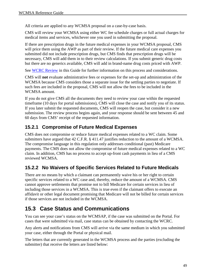All criteria are applied to any WCMSA proposal on a case-by-case basis.

CMS will review your WCMSA using either WC fee schedule charges or full actual charges for medical items and services, whichever one you used in submitting the proposal.

If there are prescription drugs in the future medical expenses in your WCMSA proposal, CMS will price them using the AWP as part of their review. If the future medical care expenses you submitted did not include prescription drugs, but CMS finds that prescription drugs will be necessary, CMS will add them in to their review calculations. If you submit generic drug costs but there are no generics available, CMS will add in brand-name drug costs priced with AWP.

See [WCRC Review](#page-16-0) in this Guide for further information on this process and considerations.

CMS will **not** evaluate administrative fees or expenses for the set-up and administration of the WCMSA because CMS considers those a separate issue for the settling parties to negotiate. If such fees are included in the proposal, CMS will not allow the fees to be included in the WCMSA amount.

If you do not give CMS all the documents they need to review your case within the requested timeframe (10 days for portal submissions), CMS will close the case and notify you of its status. If you later submit the requested documents, CMS will reopen the case, but consider it a new submission. The review process begins again, and your response should be sent between 45 and 60 days from CMS' receipt of the requested information.

### **15.2.1 Compromise of Future Medical Expenses**

CMS does not compromise or reduce future medical expenses related to a WC claim. Some submitters have argued that 42 C.F.R. § 411.47 justifies reduction to the amount of a WCMSA. The compromise language in this regulation only addresses conditional (past) Medicare payments. The CMS does not allow the compromise of future medical expenses related to a WC claim. In addition, CMS has no process to accept up-front cash payments in lieu of a CMS reviewed WCMSA.

### **15.2.2 No Waivers of Specific Services Related to Future Medicals**

There are no means by which a claimant can permanently waive his or her right to certain specific services related to a WC case and, thereby, reduce the amount of a WCMSA. CMS cannot approve settlements that promise not to bill Medicare for certain services in lieu of including those services in a WCMSA. This is true even if the claimant offers to execute an affidavit or other legal document promising that Medicare will not be billed for certain services if those services are not included in the WCMSA.

## **15.3 Case Status and Communications**

You can see your case's status on the WCMSAP, if the case was submitted on the Portal. For cases that were submitted via mail, case status can be obtained by contacting the WCRC.

Any alerts and notifications from CMS will arrive via the same medium in which you submitted your case, either through the Portal or physical mail.

The letters that are currently generated in the WCMSA process and the parties (excluding the submitter) that receive the letters are listed below: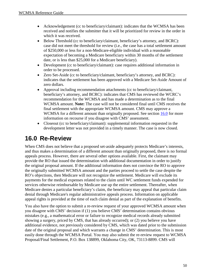- Acknowledgement (cc to beneficiary/claimant): indicates that the WCMSA has been received and notifies the submitter that it will be prioritized for review in the order in which it was received.
- Below Threshold (cc to beneficiary/claimant, beneficiary's attorney, and BCRC): case did not meet the threshold for review (i.e., the case has a total settlement amount of \$250,000 or less for a non-Medicare-eligible individual with a reasonable expectation of becoming a Medicare beneficiary within 30 months of the settlement date, or is less than \$25,000 for a Medicare beneficiary).
- Development (cc to beneficiary/claimant): case requires additional information in order to be processed.
- Zero Set-Aside (cc to beneficiary/claimant, beneficiary's attorney, and BCRC): indicates that the settlement has been approved with a Medicare Set-Aside Amount of zero dollars.
- Approval including recommendation attachments (cc to beneficiary/claimant, beneficiary's attorney, and BCRC): indicates that CMS has reviewed the WCRC's recommendation for the WCMSA and has made a determination as to the final WCMSA amount. **Note:** The case will not be considered final until CMS receives the final settlement with the appropriate WCMSA amount. CMS may approve a WCMSA for a different amount than originally proposed. See section [16.0](#page-55-0) for more information on recourse if you disagree with CMS' assessment.
- Closeout (cc to beneficiary/claimant): supplemental information requested in the development letter was not provided in a timely manner. The case is now closed.

# <span id="page-55-0"></span>**16.0 Re-Review**

When CMS does not believe that a proposed set-aside adequately protects Medicare's interests, and thus makes a determination of a different amount than originally proposed, there is no formal appeals process. However, there are several other options available. First, the claimant may provide the RO that issued the determination with additional documentation in order to justify the original proposal amount. If the additional information does not convince the RO to approve the originally submitted WCMSA amount and the parties proceed to settle the case despite the RO's objections, then Medicare will not recognize the settlement. Medicare will exclude its payments for the medical expenses related to the claim until WC settlement funds expended for services otherwise reimbursable by Medicare use up the entire settlement. Thereafter, when Medicare denies a particular beneficiary's claim, the beneficiary may appeal that particular claim denial through Medicare's regular administrative appeals process. Information on applicable appeal rights is provided at the time of each claim denial as part of the explanation of benefits.

You also have the option to submit a re-review request of your approved WCMSA amount when you disagree with CMS' decision if (1) you believe CMS' determination contains obvious mistakes (e.g., a mathematical error or failure to recognize medical records already submitted showing a surgery, priced by CMS, that has already occurred); or (2) you believe you have additional evidence, not previously considered by CMS, which was dated prior to the submission date of the original proposal and which warrants a change in CMS' determination. This is most easily done through the WCMSA Portal. You may also submit the re-review request to WCMSA Proposal/Final Settlement, P.O. Box 138899, Oklahoma City, OK, 73113-8899. CMS will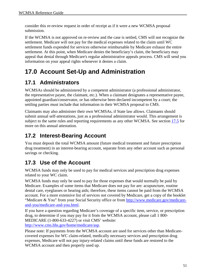consider this re-review request in order of receipt as if it were a new WCMSA proposal submission.

If the WCMSA is not approved on re-review and the case is settled, CMS will not recognize the settlement. Medicare will not pay for the medical expenses related to the claim until WC settlement funds expended for services otherwise reimbursable by Medicare exhaust the entire settlement. At this point, when Medicare denies the beneficiary's claim, the beneficiary may appeal that denial through Medicare's regular administrative appeals process. CMS will send you information on your appeal rights whenever it denies a claim.

# **17.0 Account Set-Up and Administration**

## <span id="page-56-0"></span>**17.1 Administrators**

WCMSAs should be administered by a competent administrator (a professional administrator, the representative payee, the claimant, etc.). When a claimant designates a representative payee, appointed guardian/conservator, or has otherwise been declared incompetent by a court; the settling parties must include that information in their WCMSA proposal to CMS.

Claimants may also administer their own WCMSAs, if State law allows. Claimants should submit annual self-attestations, just as a professional administrator would. This arrangement is subject to the same rules and reporting requirements as any other WCMSA. See section [17.5](#page-57-0) for more on this annual attestation.

# **17.2 Interest-Bearing Account**

You must deposit the total WCMSA amount (future medical treatment and future prescription drug treatment) in an interest-bearing account, separate from any other account such as personal savings or checking.

# **17.3 Use of the Account**

WCMSA funds may only be used to pay for medical services and prescription drug expenses related to your WC claim.

WCMSA funds may only be used to pay for those expenses that would normally be paid by Medicare. Examples of some items that Medicare does not pay for are: acupuncture, routine dental care, eyeglasses or hearing aids; therefore, these items cannot be paid from the WCMSA account. For a more extensive list of services not covered by Medicare, get a copy of the booklet "Medicare & You" from your Social Security office or from [http://www.medicare.gov/medicare](http://www.medicare.gov/medicare-and-you/medicare-and-you.html)[and-you/medicare-and-you.html.](http://www.medicare.gov/medicare-and-you/medicare-and-you.html)

If you have a question regarding Medicare's coverage of a specific item, service, or prescription drug, to determine if you may pay for it from the WCMSA account, please call 1 800- MEDICARE (1-800-633-4227) or visit CMS' website:

[http://www.cms.hhs.gov/home/medicare/asp.](http://www.cms.hhs.gov/home/medicare/asp)

Please note: If payments from the WCMSA account are used for services other than Medicarecovered expenses for WC claim-related, medically necessary services and prescription drug expenses, Medicare will not pay injury-related claims until these funds are restored to the WCMSA account and then properly used up.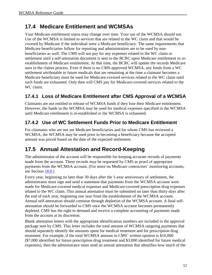## **17.4 Medicare Entitlement and WCMSAs**

Your Medicare entitlement status may change over time. Your use of the WCMSA should not. Use of the WCMSA is limited to services that are related to the WC claim and that would be covered by Medicare if the individual were a Medicare beneficiary. The same requirements that Medicare beneficiaries follow for reporting and administration are to be used by nonbeneficiaries as well. The CMS will not pay for any expenses related to the WC claim or settlement until a self-attestation document is sent to the BCRC upon Medicare entitlement or reestablishment of Medicare entitlement. At that time, the BCRC will update the records Medicare uses in the claims process. Even if there is no CMS-approved WCMSA, any funds from a WC settlement attributable to future medicals that are remaining at the time a claimant becomes a Medicare beneficiary must be used for Medicare-covered services related to the WC claim until such funds are exhausted. Only then will CMS pay for Medicare-covered services related to the WC claim.

### **17.4.1 Loss of Medicare Entitlement after CMS Approval of a WCMSA**

Claimants are not entitled to release of WCMSA funds if they lose their Medicare entitlement. However, the funds in the WCMSA may be used for medical expenses specified in the WCMSA until Medicare entitlement is re-established or the WCMSA is exhausted.

### **17.4.2 Use of WC Settlement Funds Prior to Medicare Entitlement**

For claimants who are not yet Medicare beneficiaries and for whom CMS has reviewed a WCMSA, the WCMSA may be used prior to becoming a beneficiary because the accepted amount was priced based on the date of the expected settlement.

## <span id="page-57-0"></span>**17.5 Annual Attestation and Record-Keeping**

The administrator of the account will be responsible for keeping accurate records of payments made from the account. These records may be requested by CMS as proof of appropriate payments from the WCMSA account. (For more on Medicare contractors' monitoring accounts, see Section [18.0.](#page-58-0))

Every year, beginning no later than 30 days after the 1-year anniversary of settlement, the administrator must sign and send a statement that payments from the WCMSA account were made for Medicare-covered medical expenses and Medicare-covered prescription drug expenses related to the WC claim. This annual attestation must be submitted no later than thirty days after the end of each year, beginning one year from the establishment of the WCMSA account. Annual self-attestation should continue through depletion of the WCMSA account. A final selfattestation should be forwarded to CMS once the WCMSA account becomes permanently depleted. CMS has the right to demand and receive a complete accounting of payments made from the account at its discretion.

Blank attestation letters with the appropriate identification numbers are included in the approval package sent by CMS. This letter includes the total amount of WCMSA outgoing payments that should separately identify the amounts spent for medical treatment and for prescription drug treatment. For example, if the total WCMSA amount in CMS' written opinion is \$10,000 (\$7,000 identified for future prescription drug treatment and \$3,000 identified for future medical expenses), then the administrator must send an annual attestation that identifies how much of the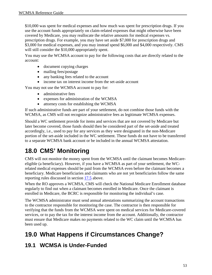\$10,000 was spent for medical expenses and how much was spent for prescription drugs. If you use the account funds appropriately on claim-related expenses that might otherwise have been covered by Medicare, you may reallocate the relative amounts for medical expenses vs. prescription drugs. For example, you may have set aside \$7,000 for prescription drugs and \$3,000 for medical expenses, and you may instead spend \$6,000 and \$4,000 respectively. CMS will still consider the \$10,000 appropriately spent.

You may use the WCMSA account to pay for the following costs that are directly related to the account:

- document copying charges
- mailing fees/postage
- any banking fees related to the account
- income tax on interest income from the set-aside account

You may not use the WCMSA account to pay for:

- administrative fees
- expenses for administration of the WCMSA
- attorney costs for establishing the WCMSA

If such administrative funds are part of your settlement, do not combine those funds with the WCMSA, as CMS will not recognize administrative fees as legitimate WCMSA expenses.

Should a WC settlement provide for items and services that are not covered by Medicare but later become covered, those funds should then be considered part of the set-aside and treated accordingly, i.e., used to pay for any services as they were designated in the non-Medicare portion of the set-aside included in the WC settlement. These funds do not have to be transferred to a separate WCMSA bank account or be included in the annual WCMSA attestation.

# <span id="page-58-0"></span>**18.0 CMS' Monitoring**

CMS will not monitor the money spent from the WCMSA until the claimant becomes Medicareeligible (a beneficiary). However, if you have a WCMSA as part of your settlement, the WCrelated medical expenses should be paid from the WCMSA even before the claimant becomes a beneficiary. Medicare beneficiaries and claimants who are not yet beneficiaries follow the same reporting rules discussed in section [17.5](#page-57-0) above.

When the RO approves a WCMSA, CMS will check the National Medicare Enrollment database regularly to find out when a claimant becomes enrolled in Medicare. Once the claimant is enrolled in Medicare, the BCRC is responsible for monitoring the individual's case.

The WCMSA administrator must send annual attestations summarizing the account transactions to the contractor responsible for monitoring the case. The contractor is then responsible for verifying that the funds from the WCMSA were spent on medical services for Medicare-covered services, or to pay the tax for the interest income from the account. Additionally, the contractor must ensure that Medicare makes no payments related to the WC claim until the WCMSA has been used up.

# **19.0 What Happens if Circumstances Change?**

## **19.1 WCMSA is Under-Funded**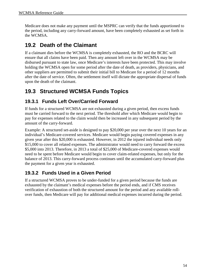Medicare does not make any payment until the MSPRC can verify that the funds apportioned to the period, including any carry-forward amount, have been completely exhausted as set forth in the WCMSA.

## **19.2 Death of the Claimant**

If a claimant dies before the WCMSA is completely exhausted, the RO and the BCRC will ensure that all claims have been paid. Then any amount left over in the WCMSA may be disbursed pursuant to state law, once Medicare's interests have been protected. This may involve holding the WCMSA open for some period after the date of death, as providers, physicians, and other suppliers are permitted to submit their initial bill to Medicare for a period of 12 months after the date of service. Often, the settlement itself will dictate the appropriate dispersal of funds upon the death of the claimant.

## **19.3 Structured WCMSA Funds Topics**

### **19.3.1 Funds Left Over/Carried Forward**

If funds for a structured WCMSA are not exhausted during a given period, then excess funds must be carried forward to the next period. The threshold after which Medicare would begin to pay for expenses related to the claim would then be increased in any subsequent period by the amount of the carry-forward.

Example: A structured set-aside is designed to pay \$20,000 per year over the next 10 years for an individual's Medicare-covered services. Medicare would begin paying covered expenses in any given year after this \$20,000 is exhausted. However, in 2012 the injured individual needs only \$15,000 to cover all related expenses. The administrator would need to carry forward the excess \$5,000 into 2013. Therefore, in 2013 a total of \$25,000 of Medicare-covered expenses would need to be spent before Medicare would begin to cover claim-related expenses, but only for the balance of 2013. This carry-forward process continues until the accumulated carry-forward plus the payment for a given year is exhausted.

### **19.3.2 Funds Used in a Given Period**

If a structured WCMSA proves to be under-funded for a given period because the funds are exhausted by the claimant's medical expenses before the period ends, and if CMS receives verification of exhaustion of both the structured amount for the period and any available rollover funds, then Medicare will pay for additional medical expenses incurred during the period.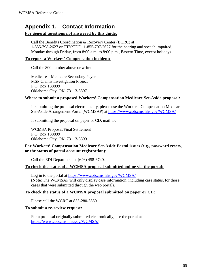## **Appendix 1. Contact Information**

### **For general questions not answered by this guide:**

Call the Benefits Coordination & Recovery Center (BCRC) at 1-855-798-2627 or TTY/TDD: 1-855-797-2627 for the hearing and speech impaired, Monday through Friday, from 8:00 a.m. to 8:00 p.m., Eastern Time, except holidays.

### **To report a Workers' Compensation incident:**

Call the 800 number above or write:

Medicare—Medicare Secondary Payer MSP Claims Investigation Project P.O. Box 138899 Oklahoma City, OK 73113-8897

### **Where to submit a proposed Workers' Compensation Medicare Set-Aside proposal:**

If submitting the proposal electronically, please use the Workers' Compensation Medicare Set-Aside Arrangement Portal (WCMSAP) at<https://www.cob.cms.hhs.gov/WCMSA/>

If submitting the proposal on paper or CD, mail to:

WCMSA Proposal/Final Settlement P.O. Box 138899 Oklahoma City, OK 73113-8899

### **For Workers' Compensation Medicare Set-Aside Portal issues (e.g., password resets, or the status of portal account registration):**

Call the EDI Department at (646) 458-6740.

### **To check the status of a WCMSA proposal submitted online via the portal:**

Log in to the portal at<https://www.cob.cms.hhs.gov/WCMSA/> (**Note**: The WCMSAP will only display case information, including case status, for those cases that were submitted through the web portal).

### **To check the status of a WCMSA proposal submitted on paper or CD:**

Please call the WCRC at 855-280-3550.

### **To submit a re-review request:**

For a proposal originally submitted electronically, use the portal at <https://www.cob.cms.hhs.gov/WCMSA/>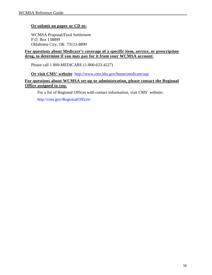### **Or submit on paper or CD to:**

WCMSA Proposal/Final Settlement P.O. Box 138899 Oklahoma City, OK 73113-8899

### **For questions about Medicare's coverage of a specific item, service, or prescription drug, to determine if you may pay for it from your WCMSA account:**

Please call 1 800-MEDICARE (1-800-633-4227)

**Or visit CMS' website**:<http://www.cms.hhs.gov/home/medicare/asp>

### **For questions about WCMSA set-up or administration, please contact the Regional Office assigned to you.**

For a list of Regional Offices with contact information, visit CMS' website:

<http://cms.gov/RegionalOffices/>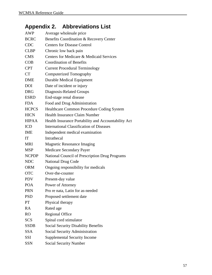# **Appendix 2. Abbreviations List**

| <b>AWP</b>     | Average wholesale price                             |
|----------------|-----------------------------------------------------|
| <b>BCRC</b>    | Benefits Coordination & Recovery Center             |
| <b>CDC</b>     | <b>Centers for Disease Control</b>                  |
| <b>CLBP</b>    | Chronic low back pain                               |
| <b>CMS</b>     | Centers for Medicare & Medicaid Services            |
| COB            | <b>Coordination of Benefits</b>                     |
| <b>CPT</b>     | <b>Current Procedural Terminology</b>               |
| <b>CT</b>      | Computerized Tomography                             |
| <b>DME</b>     | <b>Durable Medical Equipment</b>                    |
| <b>DOI</b>     | Date of incident or injury                          |
| <b>DRG</b>     | Diagnosis-Related Groups                            |
| <b>ESRD</b>    | End-stage renal disease                             |
| <b>FDA</b>     | Food and Drug Administration                        |
| <b>HCPCS</b>   | Healthcare Common Procedure Coding System           |
| <b>HICN</b>    | <b>Health Insurance Claim Number</b>                |
| <b>HIPAA</b>   | Health Insurance Portability and Accountability Act |
| <b>ICD</b>     | <b>International Classification of Diseases</b>     |
| <b>IME</b>     | Independent medical examination                     |
| IT             | Intrathecal                                         |
| <b>MRI</b>     | <b>Magnetic Resonance Imaging</b>                   |
| <b>MSP</b>     | <b>Medicare Secondary Payer</b>                     |
| <b>NCPDP</b>   | National Council of Prescription Drug Programs      |
| <b>NDC</b>     | <b>National Drug Code</b>                           |
| <b>ORM</b>     | Ongoing responsibility for medicals                 |
| <b>OTC</b>     | Over-the-counter                                    |
| <b>PDV</b>     | Present-day value                                   |
| <b>POA</b>     | Power of Attorney                                   |
| <b>PRN</b>     | Pro re nata, Latin for as-needed                    |
| <b>PSD</b>     | Proposed settlement date                            |
| PT             | Physical therapy                                    |
| <b>RA</b>      | Rated age                                           |
| R <sub>O</sub> | <b>Regional Office</b>                              |
| <b>SCS</b>     | Spinal cord stimulator                              |
| <b>SSDB</b>    | <b>Social Security Disability Benefits</b>          |
| <b>SSA</b>     | <b>Social Security Administration</b>               |
| <b>SSI</b>     | <b>Supplemental Security Income</b>                 |
| SSN            | <b>Social Security Number</b>                       |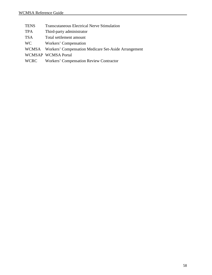- TENS Transcutaneous Electrical Nerve Stimulation
- TPA Third-party administrator
- TSA Total settlement amount
- WC Workers' Compensation
- WCMSA Workers' Compensation Medicare Set-Aside Arrangement
- WCMSAP WCMSA Portal
- WCRC Workers' Compensation Review Contractor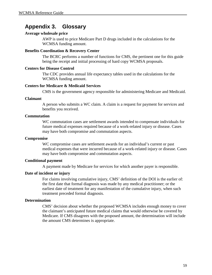## **Appendix 3. Glossary**

### **Average wholesale price**

AWP is used to price Medicare Part D drugs included in the calculations for the WCMSA funding amount.

#### **Benefits Coordination & Recovery Center**

The BCRC performs a number of functions for CMS, the pertinent one for this guide being the receipt and initial processing of hard copy WCMSA proposals.

### **Centers for Disease Control**

The CDC provides annual life expectancy tables used in the calculations for the WCMSA funding amount.

### **Centers for Medicare & Medicaid Services**

CMS is the government agency responsible for administering Medicare and Medicaid.

#### **Claimant**

A person who submits a WC claim. A claim is a request for payment for services and benefits you received.

### **Commutation**

WC commutation cases are settlement awards intended to compensate individuals for future medical expenses required because of a work-related injury or disease. Cases may have both compromise and commutation aspects.

#### **Compromise**

WC compromise cases are settlement awards for an individual's current or past medical expenses that were incurred because of a work-related injury or disease. Cases may have both compromise and commutation aspects.

### **Conditional payment**

A payment made by Medicare for services for which another payer is responsible.

### **Date of incident or injury**

For claims involving cumulative injury, CMS' definition of the DOI is the earlier of: the first date that formal diagnosis was made by any medical practitioner; or the earliest date of treatment for any manifestation of the cumulative injury, when such treatment preceded formal diagnosis.

### **Determination**

CMS' decision about whether the proposed WCMSA includes enough money to cover the claimant's anticipated future medical claims that would otherwise be covered by Medicare. If CMS disagrees with the proposed amount, the determination will include the amount CMS determines is appropriate.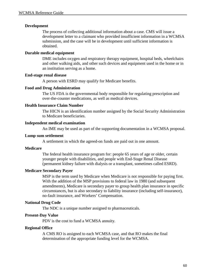### **Development**

The process of collecting additional information about a case. CMS will issue a development letter to a claimant who provided insufficient information in a WCMSA submission, and the case will be in development until sufficient information is obtained.

### **Durable medical equipment**

DME includes oxygen and respiratory therapy equipment, hospital beds, wheelchairs and other walking aids, and other such devices and equipment used in the home or in an institution serving as a home.

#### **End-stage renal disease**

A person with ESRD may qualify for Medicare benefits.

#### **Food and Drug Administration**

The US FDA is the governmental body responsible for regulating prescription and over-the-counter medications, as well as medical devices.

#### **Health Insurance Claim Number**

The HICN is an identification number assigned by the Social Security Administration to Medicare beneficiaries.

#### **Independent medical examination**

An IME may be used as part of the supporting documentation in a WCMSA proposal.

#### **Lump sum settlement**

A settlement in which the agreed-on funds are paid out in one amount.

#### **Medicare**

The federal health insurance program for: people 65 years of age or older, certain younger people with disabilities, and people with End-Stage Renal Disease (permanent kidney failure with dialysis or a transplant, sometimes called ESRD).

### **Medicare Secondary Payer**

MSP is the term used by Medicare when Medicare is not responsible for paying first. With the addition of the MSP provisions to federal law in 1980 (and subsequent amendments), Medicare is secondary payer to group health plan insurance in specific circumstances, but is also secondary to liability insurance (including self-insurance), no-fault insurance, and Workers' Compensation.

### **National Drug Code**

The NDC is a unique number assigned to pharmaceuticals.

### **Present-Day Value**

PDV is the cost to fund a WCMSA annuity.

#### **Regional Office**

A CMS RO is assigned to each WCMSA case, and that RO makes the final determination of the appropriate funding level for the WCMSA.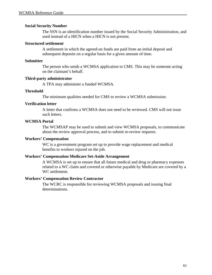### **Social Security Number**

The SSN is an identification number issued by the Social Security Administration, and used instead of a HICN when a HICN is not present.

#### **Structured settlement**

A settlement in which the agreed-on funds are paid from an initial deposit and subsequent deposits on a regular basis for a given amount of time.

#### **Submitter**

The person who sends a WCMSA application to CMS. This may be someone acting on the claimant's behalf.

### **Third-party administrator**

A TPA may administer a funded WCMSA.

#### **Threshold**

The minimum qualities needed for CMS to review a WCMSA submission.

#### **Verification letter**

A letter that confirms a WCMSA does not need to be reviewed. CMS will not issue such letters.

#### **WCMSA Portal**

The WCMSAP may be used to submit and view WCMSA proposals, to communicate about the review approval process, and to submit re-review requests.

### **Workers' Compensation**

WC is a government program set up to provide wage replacement and medical benefits to workers injured on the job.

### **Workers' Compensation Medicare Set-Aside Arrangement**

A WCMSA is set up to ensure that all future medical and drug or pharmacy expenses related to a WC claim and covered or otherwise payable by Medicare are covered by a WC settlement.

### **Workers' Compensation Review Contractor**

The WCRC is responsible for reviewing WCMSA proposals and issuing final determinations.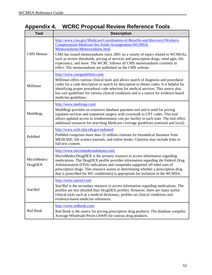# <span id="page-67-0"></span>**Appendix 4. WCRC Proposal Review Reference Tools**

| <b>Tool</b>                   | <b>Description</b>                                                                                                                                                                                                                                                                                                                                                                                                                                               |
|-------------------------------|------------------------------------------------------------------------------------------------------------------------------------------------------------------------------------------------------------------------------------------------------------------------------------------------------------------------------------------------------------------------------------------------------------------------------------------------------------------|
| <b>CMS</b> Memos              | http://www.cms.gov/Medicare/Coordination-of-Benefits-and-Recovery/Workers-<br>Compensation-Medicare-Set-Aside-Arrangements/WCMSA-<br>Memorandums/Memorandums.html                                                                                                                                                                                                                                                                                                |
|                               | CMS has issued memorandums since 2001 on a variety of topics related to WCMSAs,<br>such as review thresholds, pricing of services and prescription drugs, rated ages, life<br>expectancy, and more. The WCRC follows all CMS memorandums currently in<br>effect. The memorandums are published on the CMS website.                                                                                                                                               |
| Milliman                      | http://www.careguidelines.com/<br>Milliman offers various clinical tools and allows search of diagnosis and procedural<br>codes for a code description or search by description to obtain codes. It is helpful for<br>identifying proper procedural code selection for medical services. This source also<br>has care guidelines for various clinical conditions and is a source for evidence-based<br>medicine guidelines.                                      |
| MediRegs                      | http://www.mediregs.com/<br>MediRegs provides an extensive database payment tool and is used for pricing<br>inpatient services and outpatient surgery with crosswalk to CPT codes. This tool<br>allows updated access to reimbursement cost per facility in each state. The tool offers<br>additional resources for searching Medicare coverage guidelines (national and local).                                                                                 |
| PubMed                        | http://www.ncbi.nlm.nih.gov/pubmed/<br>PubMed comprises more than 22 million citations for biomedical literature from<br>MEDLINE, life science journals, and online books. Citations may include links to<br>full-text content.                                                                                                                                                                                                                                  |
| MicroMedex/<br><b>DrugDEX</b> | http://www.micromedexsolutions.com/<br>MicroMedex/DrugDEX is the primary resource to access information regarding<br>medications. The DrugDEX profile provides information regarding the Federal Drug<br>Administration (FDA) indications and compendia supported off-label uses of<br>prescription drugs. This resource assists in determining whether a prescription drug<br>that is prescribed for WC condition(s) is appropriate for inclusion in the WCMSA. |
| Stat!Ref                      | http://www.statref.com/<br>Stat!Ref is the secondary resource to access information regarding medications. The<br>profiles are less detailed than DrugDEX profiles. However, there are many useful<br>clinical tools such as a medical dictionary, profiles on clinical conditions and<br>evidence-based medicine references.                                                                                                                                    |
| Red Book                      | http://www.redbook.com/<br>Red Book is the source for pricing prescription drug products. The database compiles<br>Average Wholesale Prices (AWP) for various drug products.                                                                                                                                                                                                                                                                                     |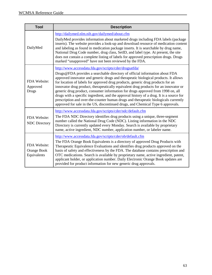<span id="page-68-0"></span>

| <b>Tool</b>                                | <b>Description</b>                                                                                                                                                                                                                                                                                                                                                                                                                                                                                                                                                                                                                                                                                                                                               |  |
|--------------------------------------------|------------------------------------------------------------------------------------------------------------------------------------------------------------------------------------------------------------------------------------------------------------------------------------------------------------------------------------------------------------------------------------------------------------------------------------------------------------------------------------------------------------------------------------------------------------------------------------------------------------------------------------------------------------------------------------------------------------------------------------------------------------------|--|
| DailyMed                                   | http://dailymed.nlm.nih.gov/dailymed/about.cfm<br>DailyMed provides information about marketed drugs including FDA labels (package<br>inserts). The website provides a look-up and download resource of medication content<br>and labeling as found in medication package inserts. It is searchable by drug name,<br>National Drug Code number, drug class, SetID, and label type. At present, the site<br>does not contain a complete listing of labels for approved prescription drugs. Drugs<br>marked "unapproved" have not been reviewed by the FDA.                                                                                                                                                                                                        |  |
| FDA Website:<br>Approved<br>Drugs          | http://www.accessdata.fda.gov/scripts/cder/drugsatfda/<br>Drugs@FDA provides a searchable directory of official information about FDA<br>approved innovator and generic drugs and therapeutic biological products. It allows<br>for location of labels for approved drug products, generic drug products for an<br>innovator drug product, therapeutically equivalent drug products for an innovator or<br>generic drug product, consumer information for drugs approved from 1998 on, all<br>drugs with a specific ingredient, and the approval history of a drug. It is a source for<br>prescription and over-the-counter human drugs and therapeutic biologicals currently<br>approved for sale in the US, discontinued drugs, and Chemical Type 6 approvals. |  |
| FDA Website:<br><b>NDC</b> Directory       | http://www.accessdata.fda.gov/scripts/cder/ndc/default.cfm<br>The FDA NDC Directory identifies drug products using a unique, three-segment<br>number called the National Drug Code (NDC). Listing information in the NDC<br>Directory is currently updated every Monday. Search is available by proprietary<br>name, active ingredient, NDC number, application number, or labeler name.                                                                                                                                                                                                                                                                                                                                                                         |  |
| FDA Website:<br>Orange Book<br>Equivalents | http://www.accessdata.fda.gov/scripts/cder/ob/default.cfm<br>The FDA Orange Book Equivalents is a directory of approved Drug Products with<br>Therapeutic Equivalence Evaluations and identifies drug products approved on the<br>basis of safety and effectiveness by the FDA. The database contains prescription and<br>OTC medications. Search is available by proprietary name, active ingredient, patent,<br>applicant holder, or application number. Daily Electronic Orange Book updates are<br>provided for product information for new generic drug approvals.                                                                                                                                                                                          |  |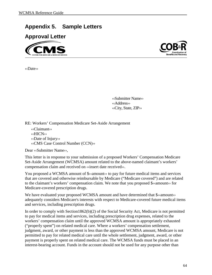## **Appendix 5. Sample Letters**

**Approval Letter** 



‹‹Date››



‹‹Submitter Name›› ‹‹Address›› ‹‹City, State, ZIP››

RE: Workers' Compensation Medicare Set-Aside Arrangement

‹‹Claimant›› ‹‹HICN›› ‹‹Date of Injury›› ‹‹CMS Case Control Number (CCN)››

Dear **«Submitter Name»**.

This letter is in response to your submission of a proposed Workers' Compensation Medicare Set-Aside Arrangement (WCMSA) amount related to the above-named claimant's workers' compensation claim and received on «insert date received».

You proposed a WCMSA amount of \$<<amount> to pay for future medical items and services that are covered and otherwise reimbursable by Medicare ("Medicare covered") and are related to the claimant's workers' compensation claim. We note that you proposed \$‹‹amount›› for Medicare-covered prescription drugs.

We have evaluated your proposed WCMSA amount and have determined that \$  $\alpha$  mounts adequately considers Medicare's interests with respect to Medicare-covered future medical items and services, including prescription drugs.

In order to comply with Section1862(b)(2) of the Social Security Act, Medicare is not permitted to pay for medical items and services, including prescription drug expenses, related to the workers' compensation claim until the approved WCMSA amount is appropriately exhausted ("properly spent") on related medical care. Where a workers' compensation settlement, judgment, award, or other payment is less than the approved WCMSA amount, Medicare is not permitted to pay for related medical care until the whole settlement, judgment, award, or other payment is properly spent on related medical care. The WCMSA funds must be placed in an interest-bearing account. Funds in the account should not be used for any purpose other than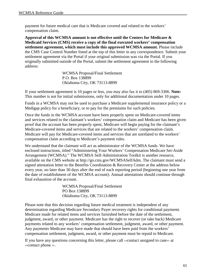payment for future medical care that is Medicare covered and related to the workers' compensation claim.

**Approval of this WCMSA amount is not effective until the Centers for Medicare & Medicaid Services (CMS) receive a copy of the final executed workers' compensation settlement agreement, which must include this approved WCMSA amount.** Please include the CMS Case Control Number listed at the top of this letter in any correspondence. Submit your settlement agreement via the Portal if your original submission was via the Portal. If you originally submitted outside of the Portal, submit the settlement agreement to the following address:

> WCMSA Proposal/Final Settlement P.O. Box 138899 Oklahoma City, OK 73113-8899

If your settlement agreement is 10 pages or less, you may also fax it to (405) 869-3306. **Note:** This number is not for initial submissions, only for additional documentation under 10 pages.

Funds in a WCMSA may not be used to purchase a Medicare supplemental insurance policy or a Medigap policy for a beneficiary, or to pay for the premiums for such policies.

Once the funds in the WCMSA account have been properly spent on Medicare-covered items and services related to the claimant's workers' compensation claim and Medicare has been given proof that the account has been properly spent, Medicare will begin paying for the claimant's Medicare-covered items and services that are related to the workers' compensation claim. Medicare will pay for Medicare-covered items and services that are unrelated to the workers' compensation claim according to Medicare's payment rules.

We understand that the claimant will act as administrator of the WCMSA funds. We have enclosed instructions, titled "Administering Your Workers' Compensation Medicare Set-Aside Arrangement (WCMSA)." The WCMSA Self-Administration Toolkit is another resource, available on the CMS website at http://go.cms.gov/WCMSASelfAdm. The claimant must send a signed attestation letter to the Benefits Coordination & Recovery Center at the address below every year, no later than 30 days after the end of each reporting period (beginning one year from the date of establishment of the WCMSA account). Annual attestations should continue through final exhaustion of the account.

> WCMSA Proposal/Final Settlement PO Box 138899 Oklahoma City, OK 73113-8899

Please note that this decision regarding future medical treatment is independent of any determination regarding Medicare Secondary Payer recovery rights for conditional payments Medicare made for related items and services furnished before the date of the settlement, judgment, award, or other payment. Medicare has the right to recover (or take back) Medicare payments related to any workers' compensation settlement, judgment, award, or other payment. Any payments Medicare may have made that should have been paid from the workers' compensation settlement, judgment, award, or other payment must be repaid to Medicare.

If you have any questions concerning this letter, please call ‹‹contact assigned to case›› at ‹‹contact phone ››.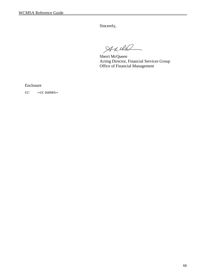Sincerely,

 $A$ xill

Sherri McQueen Acting Director, Financial Services Group Office of Financial Management

Enclosure

cc: **«cc names**»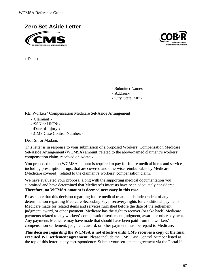



‹‹Date››

‹‹Submitter Name›› ‹‹Address›› ‹‹City, State, ZIP››

RE: Workers' Compensation Medicare Set-Aside Arrangement

‹‹Claimant›› ‹‹SSN or HICN›› ‹‹Date of Injury›› ‹‹CMS Case Control Number››

Dear Sir or Madam:

This letter is in response to your submission of a proposed Workers' Compensation Medicare Set-Aside Arrangement (WCMSA) amount, related to the above-named claimant's workers' compensation claim, received on ‹‹date››.

You proposed that no WCMSA amount is required to pay for future medical items and services, including prescription drugs, that are covered and otherwise reimbursable by Medicare (Medicare covered), related to the claimant's workers' compensation claim.

We have evaluated your proposal along with the supporting medical documentation you submitted and have determined that Medicare's interests have been adequately considered. **Therefore, no WCMSA amount is deemed necessary in this case.**

Please note that this decision regarding future medical treatment is independent of any determination regarding Medicare Secondary Payer recovery rights for conditional payments Medicare made for related items and services furnished before the date of the settlement, judgment, award, or other payment. Medicare has the right to recover (or take back) Medicare payments related to any workers' compensation settlement, judgment, award, or other payment. Any payments Medicare may have made that should have been paid from the workers' compensation settlement, judgment, award, or other payment must be repaid to Medicare.

**This decision regarding the WCMSA is not effective until CMS receives a copy of the final executed WC settlement agreement.** Please include the CMS Case Control Number listed at the top of this letter in any correspondence. Submit your settlement agreement via the Portal if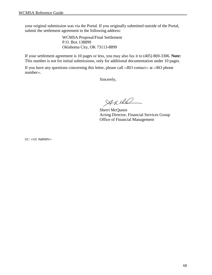your original submission was via the Portal. If you originally submitted outside of the Portal, submit the settlement agreement to the following address:

> WCMSA Proposal/Final Settlement P.O. Box 138899 Oklahoma City, OK 73113-8899

If your settlement agreement is 10 pages or less, you may also fax it to (405) 869-3306. **Note:** This number is not for initial submissions, only for additional documentation under 10 pages.

If you have any questions concerning this letter, please call  $\langle RO \rangle$  contact  $\langle RO \rangle$  at  $\langle RO \rangle$  phone number».

Sincerely,

Aniel

Sherri McQueen Acting Director, Financial Services Group Office of Financial Management

cc: ‹‹cc names››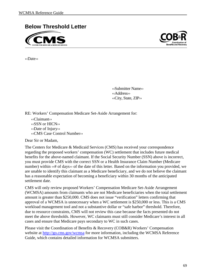





‹‹Date››

‹‹Submitter Name›› ‹‹Address›› ‹‹City, State, ZIP››

RE: Workers' Compensation Medicare Set-Aside Arrangement for:

‹‹Claimant›› ‹‹SSN or HICN›› ‹‹Date of Injury›› ‹‹CMS Case Control Number››

Dear Sir or Madam,

The Centers for Medicare & Medicaid Services (CMS) has received your correspondence regarding the proposed workers' compensation (WC) settlement that includes future medical benefits for the above-named claimant. If the Social Security Number (SSN) above is incorrect, you must provide CMS with the correct SSN or a Health Insurance Claim Number (Medicare number) within ‹‹# of days›› of the date of this letter. Based on the information you provided, we are unable to identify this claimant as a Medicare beneficiary, and we do not believe the claimant has a reasonable expectation of becoming a beneficiary within 30 months of the anticipated settlement date.

CMS will only review proposed Workers' Compensation Medicare Set-Aside Arrangement (WCMSA) amounts from claimants who are not Medicare beneficiaries when the total settlement amount is greater than \$250,000. CMS does not issue "verification" letters confirming that approval of a WCMSA is unnecessary when a WC settlement is \$250,000 or less. This is a CMS workload management tool and not a substantive dollar or "safe harbor" threshold. Therefore, due to resource constraints, CMS will not review this case because the facts presented do not meet the above thresholds. However, WC claimants must still consider Medicare's interest in all cases and ensure that Medicare pays secondary to WC in such cases.

Please visit the Coordination of Benefits & Recovery (COB&R) Workers' Compensation website at<http://go.cms.gov/wcmsa>for more information, including the WCMSA Reference Guide, which contains detailed information for WCMSA submitters.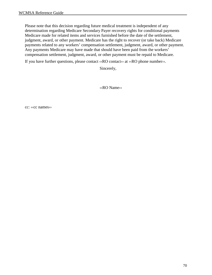Please note that this decision regarding future medical treatment is independent of any determination regarding Medicare Secondary Payer recovery rights for conditional payments Medicare made for related items and services furnished before the date of the settlement, judgment, award, or other payment. Medicare has the right to recover (or take back) Medicare payments related to any workers' compensation settlement, judgment, award, or other payment. Any payments Medicare may have made that should have been paid from the workers' compensation settlement, judgment, award, or other payment must be repaid to Medicare.

If you have further questions, please contact ‹‹RO contact›› at ‹‹RO phone number››.

Sincerely,

‹‹RO Name››

cc: ‹‹cc names››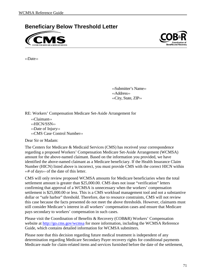**Beneficiary Below Threshold Letter**





‹‹Date››

‹‹Submitter's Name›› ‹‹Address›› ‹‹City, State, ZIP››

RE: Workers' Compensation Medicare Set-Aside Arrangement for

‹‹Claimant›› ‹‹HICN/SSN›› ‹‹Date of Injury›› ‹‹CMS Case Control Number››

Dear Sir or Madam:

The Centers for Medicare & Medicaid Services (CMS) has received your correspondence regarding a proposed Workers' Compensation Medicare Set-Aside Arrangement (WCMSA) amount for the above-named claimant. Based on the information you provided, we have identified the above-named claimant as a Medicare beneficiary. If the Health Insurance Claim Number (HICN) listed above is incorrect, you must provide CMS with the correct HICN within ‹‹# of days›› of the date of this letter.

CMS will only review proposed WCMSA amounts for Medicare beneficiaries when the total settlement amount is greater than \$25,000.00. CMS does not issue "verification" letters confirming that approval of a WCMSA is unnecessary when the workers' compensation settlement is \$25,000.00 or less. This is a CMS workload management tool and not a substantive dollar or "safe harbor" threshold. Therefore, due to resource constraints, CMS will not review this case because the facts presented do not meet the above thresholds. However, claimants must still consider Medicare's interest in all workers' compensation cases and ensure that Medicare pays secondary to workers' compensation in such cases.

Please visit the Coordination of Benefits & Recovery (COB&R) Workers' Compensation website at<http://go.cms.gov/wcmsa>for more information, including the WCMSA Reference Guide, which contains detailed information for WCMSA submitters.

Please note that this decision regarding future medical treatment is independent of any determination regarding Medicare Secondary Payer recovery rights for conditional payments Medicare made for claim-related items and services furnished before the date of the settlement,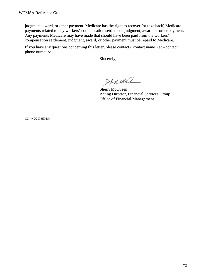judgment, award, or other payment. Medicare has the right to recover (or take back) Medicare payments related to any workers' compensation settlement, judgment, award, or other payment. Any payments Medicare may have made that should have been paid from the workers' compensation settlement, judgment, award, or other payment must be repaid to Medicare.

If you have any questions concerning this letter, please contact ‹‹contact name›› at ‹‹contact phone number››.

Sincerely,

Aniel

Sherri McQueen Acting Director, Financial Services Group Office of Financial Management

cc: ‹‹cc names››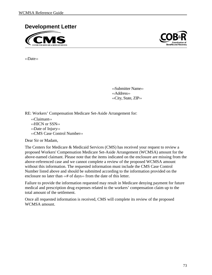



‹‹Date››

‹‹Submitter Name›› ‹‹Address›› ‹‹City, State, ZIP››

RE: Workers' Compensation Medicare Set-Aside Arrangement for:

‹‹Claimant›› ‹‹HICN or SSN›› ‹‹Date of Injury›› ‹‹CMS Case Control Number››

Dear Sir or Madam,

The Centers for Medicare & Medicaid Services (CMS) has received your request to review a proposed Workers' Compensation Medicare Set-Aside Arrangement (WCMSA) amount for the above-named claimant. Please note that the items indicated on the enclosure are missing from the above-referenced case and we cannot complete a review of the proposed WCMSA amount without this information. The requested information must include the CMS Case Control Number listed above and should be submitted according to the information provided on the enclosure no later than ‹‹# of days›› from the date of this letter.

Failure to provide the information requested may result in Medicare denying payment for future medical and prescription drug expenses related to the workers' compensation claim up to the total amount of the settlement.

Once all requested information is received, CMS will complete its review of the proposed WCMSA amount.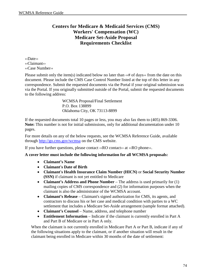# **Centers for Medicare & Medicaid Services (CMS) Workers' Compensation (WC) Medicare Set-Aside Proposal Requirements Checklist**

‹‹Date›› ‹‹Claimant›› ‹‹Case Number››

Please submit only the item(s) indicated below no later than  $\langle\langle\hat{H}\rangle$  of days $\rangle$  from the date on this document. Please include the CMS Case Control Number listed at the top of this letter in any correspondence. Submit the requested documents via the Portal if your original submission was via the Portal. If you originally submitted outside of the Portal, submit the requested documents to the following address:

> WCMSA Proposal/Final Settlement P.O. Box 138899 Oklahoma City, OK 73113-8899

If the requested documents total 10 pages or less, you may also fax them to (405) 869-3306. **Note:** This number is not for initial submissions, only for additional documentation under 10 pages.

For more details on any of the below requests, see the WCMSA Reference Guide, available through<http://go.cms.gov/wcmsa>on the CMS website.

If you have further questions, please contact ‹‹RO contact›› at ‹‹RO phone››.

# **A cover letter must include the following information for all WCMSA proposals:**

- **Claimant's Name**
- **Claimant's Date of Birth**
- **Claimant's Health Insurance Claim Number (HICN)** or **Social Security Number (SSN)** if claimant is not yet entitled to Medicare
- **Claimant's Address and Phone Number** The address is used primarily for (1) mailing copies of CMS correspondence and (2) for information purposes when the claimant is also the administrator of the WCMSA account.
- **Claimant's Release** Claimant's signed authorization for CMS, its agents, and contractors to discuss his or her case and medical condition with parties to a WC settlement that includes a Medicare Set-Aside arrangement (sample format attached).
- **Claimant's Counsel** Name, address, and telephone number
- **Entitlement Information** Indicate if the claimant is currently enrolled in Part A and Part B of Medicare or in Part A only.

When the claimant is not currently enrolled in Medicare Part A or Part B, indicate if any of the following situations apply to the claimant, or if another situation will result in the claimant being enrolled in Medicare within 30 months of the date of settlement: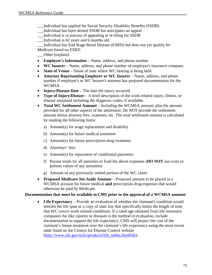- \_\_\_Individual has applied for Social Security Disability Benefits (SSDB)
- \_\_\_Individual has been denied SSDB but anticipates an appeal
- \_\_\_Individual is in process of appealing or re-filing for SSDB
- \_\_\_Individual is 62 years and 6 months old
- \_\_\_Individual has End Stage Renal Disease (ESRD) but does not yet qualify for

Medicare based on ESRD

- \_\_\_Other (explain)
- **Employer's Information** Name, address, and phone number
- **WC Insurer** Name, address, and phone number of employer's insurance company
- **State of Venue** Name of state where WC hearing is being held.
- **Attorney Representing Employer or WC Insurer** Name, address, and phone number if employer's or WC Insurer's attorney has prepared documentation for the WCMSA.
- **Injury/Disease Date** The date the injury occurred.
- **Type of Injury/Disease** A brief description of the work-related injury, illness, or disease sustained including the diagnosis codes, if available.
- **Total WC Settlement Amount** Including the WCMSA amount, plus the amount provided for all other aspects of the settlement. Do NOT provide the settlement amount minus attorney fees, expenses, etc. The total settlement amount is calculated by totaling the following items:
	- a) Amount(s) for wage replacement and disability
	- b) Amount(s) for future medical treatment
	- c) Amount(s) for future prescription drug treatment
	- d) Attorneys' fees
	- e) Amount(s) for repayment of conditional payments
	- f) Payout totals for all annuities to fund the above expenses (**DO NOT** use costs or present values of any annuities)
	- g) Amount of any previously settled portion of the WC claim
- **Proposed Medicare Set-Aside Amount** Proposed amount to be placed in a WCMSA account for future medical **and** prescription drug expenses that would otherwise be paid by Medicare.

# **Documentation that must be available to CMS prior to the approval of a WCMSA amount:**

• **Life Expectancy** – Provide an evaluation of whether the claimant's condition would shorten the life span or a copy of state law that specifically limits the length of time that WC covers work-related conditions. If a rated age obtained from life insurance companies for like injuries or diseases is the method of evaluation, include documentation to support the life expectancy. CMS will project the cost of the claimant's future treatment over the claimant's life expectancy using the most recent table listed on the Centers for Disease Control website (http://www.cdc.gov/nchs/products/life\_tables.htm#life).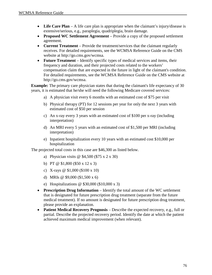- Life Care Plan A life care plan is appropriate when the claimant's injury/disease is extensive/serious, e.g., paraplegia, quadriplegia, brain damage.
- **Proposed WC Settlement Agreement** Provide a copy of the proposed settlement agreement.
- **Current Treatment** Provide the treatment/services that the claimant regularly receives. For detailed requirements, see the WCMSA Reference Guide on the CMS website at http://go.cms.gov/wcmsa.
- **Future Treatment** Identify specific types of medical services and items, their frequency and duration, and their projected costs related to the workers' compensation claim that are expected in the future in light of the claimant's condition. For detailed requirements, see the WCMSA Reference Guide on the CMS website at http://go.cms.gov/wcmsa.

**Example:** The primary care physician states that during the claimant's life expectancy of 30 years, it is estimated that he/she will need the following Medicare covered services:

- a) A physician visit every 6 months with an estimated cost of \$75 per visit
- b) Physical therapy (PT) for 12 sessions per year for only the next 3 years with estimated cost of \$50 per session
- c) An x-ray every 3 years with an estimated cost of \$100 per x-ray (including interpretation)
- d) An MRI every 5 years with an estimated cost of \$1,500 per MRI (including interpretation)
- e) Inpatient hospitalization every 10 years with an estimated cost \$10,000 per hospitalization

The projected total costs in this case are \$46,300 as listed below.

- a) Physician visits @ \$4,500 (\$75 x 2 x 30)
- b) PT @ \$1,800 (\$50 x 12 x 3)
- c) X-rays @ \$1,000 (\$100 x 10)
- d) MRIs @ \$9,000 (\$1,500 x 6)
- e) Hospitalizations @ \$30,000 (\$10,000 x 3)
- **Prescription Drug Information** Identify the total amount of the WC settlement that is designated for future prescription drug treatment (separate from the future medical treatment). If no amount is designated for future prescription drug treatment, please provide an explanation.
- **Patient Medical Recovery Prognosis** Describe the expected recovery, e.g., full or partial. Describe the projected recovery period. Identify the date at which the patient achieved maximum medical improvement (when relevant).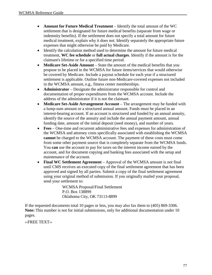- **Amount for Future Medical Treatment** Identify the total amount of the WC settlement that is designated for future medical benefits (separate from wage or indemnity benefits). If the settlement does not specify a total amount for future medical treatment, explain why it does not. Identify separately the appropriate future expenses that might otherwise be paid by Medicare.
- Identify the calculation method used to determine the amount for future medical treatment, **WC fee schedule** or **full actual charges**. Identify if the amount is for the claimant's lifetime or for a specified time period.
- **Medicare Set-Aside Amount** State the amount of the medical benefits that you propose to be placed in the WCMSA for future items/services that would otherwise be covered by Medicare. Include a payout schedule for each year if a structured settlement is applicable. Outline future non-Medicare-covered expenses not included in the WCMSA amount, e.g., fitness center memberships.
- **Administrator** Designate the administrator responsible for control and documentation of proper expenditures from the WCMSA account. Include the address of the administrator if it is not the claimant.
- **Medicare Set-Aside Arrangement Account** The arrangement may be funded with a lump-sum amount or a structured annual amount. Funds must be placed in an interest-bearing account. If an account is structured and funded by an annual annuity, identify the source of the annuity and include the annual payment amount, annual funding date, amount of the initial deposit (seed money), and number of years.
- **Fees** One-time and recurrent administrative fees and expenses for administration of the WCMSA and attorney costs specifically associated with establishing the WCMSA **cannot** be charged to the WCMSA account. The payment of these costs must come from some other payment source that is completely separate from the WCMSA funds. You **can** use the account to pay for taxes on the interest income earned by the account, and for document copying and banking fees associated with the setup and maintenance of the account.
- **Final WC Settlement Agreement** Approval of the WCMSA amount is not final until CMS receives an executed copy of the final settlement agreement that has been approved and signed by all parties. Submit a copy of the final settlement agreement using your original method of submission. If you originally mailed your proposal, send your settlement to:

WCMSA Proposal/Final Settlement P.O. Box 138899 Oklahoma City, OK 73113-8899

If the requested documents total 10 pages or less, you may also fax them to (405) 869-3306. **Note:** This number is not for initial submissions, only for additional documentation under 10 pages.

‹‹FREE TEXT››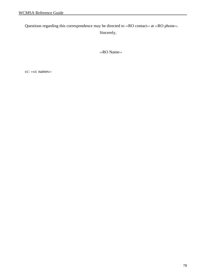Questions regarding this correspondence may be directed to ‹‹RO contact›› at ‹‹RO phone››.

Sincerely,

‹‹RO Name››

cc: ‹‹cc names››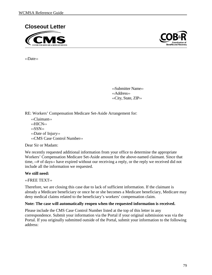



‹‹Date››

‹‹Submitter Name›› ‹‹Address›› ‹‹City, State, ZIP››

RE: Workers' Compensation Medicare Set-Aside Arrangement for:

‹‹Claimant›› ‹‹HICN›› ‹‹SSN›› ‹‹Date of Injury›› ‹‹CMS Case Control Number››

Dear Sir or Madam:

We recently requested additional information from your office to determine the appropriate Workers' Compensation Medicare Set-Aside amount for the above-named claimant. Since that time,  $\langle\langle\hat{x}\rangle$  of days» have expired without our receiving a reply, or the reply we received did not include all the information we requested.

# **We still need:**

‹‹FREE TEXT››

Therefore, we are closing this case due to lack of sufficient information. If the claimant is already a Medicare beneficiary or once he or she becomes a Medicare beneficiary, Medicare may deny medical claims related to the beneficiary's workers' compensation claim.

#### **Note: The case will automatically reopen when the requested information is received.**

Please include the CMS Case Control Number listed at the top of this letter in any correspondence. Submit your information via the Portal if your original submission was via the Portal. If you originally submitted outside of the Portal, submit your information to the following address: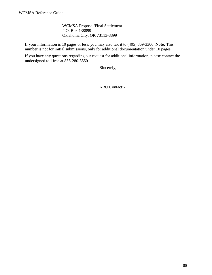WCMSA Proposal/Final Settlement P.O. Box 138899 Oklahoma City, OK 73113-8899

If your information is 10 pages or less, you may also fax it to (405) 869-3306. **Note:** This number is not for initial submissions, only for additional documentation under 10 pages.

If you have any questions regarding our request for additional information, please contact the undersigned toll free at 855-280-3550.

Sincerely,

‹‹RO Contact››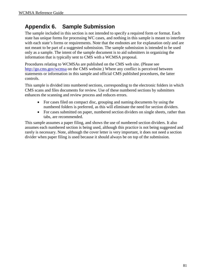# **Appendix 6. Sample Submission**

The sample included in this section is not intended to specify a required form or format. Each state has unique forms for processing WC cases, and nothing in this sample is meant to interfere with each state's forms or requirements. Note that the endnotes are for explanation only and are not meant to be part of a suggested submission. The sample submission is intended to be used only as a sample. The intent of the sample document is to aid submitters in organizing the information that is typically sent to CMS with a WCMSA proposal.

Procedures relating to WCMSAs are published on the CMS web site. (Please see <http://go.cms.gov/wcmsa>on the CMS website.) Where any conflict is perceived between statements or information in this sample and official CMS published procedures, the latter controls.

This sample is divided into numbered sections, corresponding to the electronic folders in which CMS scans and files documents for review. Use of these numbered sections by submitters enhances the scanning and review process and reduces errors.

- For cases filed on compact disc, grouping and naming documents by using the numbered folders is preferred, as this will eliminate the need for section dividers.
- For cases submitted on paper, numbered section dividers on single sheets, rather than tabs, are recommended.

This sample assumes a paper filing, and shows the use of numbered section dividers. It also assumes each numbered section is being used, although this practice is not being suggested and rarely is necessary. Note, although the cover letter is very important, it does not need a section divider when paper filing is used because it should always be on top of the submission.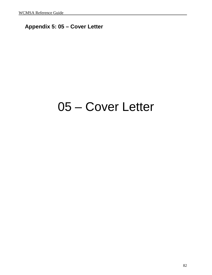# **Appendix 5: 05 – Cover Letter**

# 05 – Cover Letter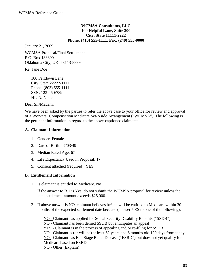#### **WCMSA Consultants, LLC 100 Helpful Lane, Suite 300 City, State 11111-2222 Phone: (410) 555-1111, Fax: (240) 555-0000**

January 21, 2009

WCMSA Proposal/Final Settlement P.O. Box 138899 Oklahoma City, OK 73113-8899

Re: Jane Doe

100 Felldown Lane City, State 22222-1111 Phone: (803) 555-1111 SSN: 123-45-6789 HICN: None

Dear Sir/Madam:

We have been asked by the parties to refer the above case to your office for review and approval of a Workers' Compensation Medicare Set-Aside Arrangement ("WCMSA"). The following is the pertinent information in regard to the above-captioned claimant:

#### **A. Claimant Information**

- 1. Gender: Female
- 2. Date of Birth: 07/03/49
- 3. Median Rated Age: 67
- 4. Life Expectancy Used in Proposal: 17
- 5. Consent attached (required): YES

# **B. Entitlement Information**

1. Is claimant is entitled to Medicare. No

If the answer to B.1 is Yes, do not submit the WCMSA proposal for review unless the total settlement amount exceeds \$25,000.

2. If above answer is NO, claimant believes he/she will be entitled to Medicare within 30 months of the expected settlement date because (answer YES to one of the following):

NO - Claimant has applied for Social Security Disability Benefits ("SSDB") NO - Claimant has been denied SSDB but anticipates an appeal YES - Claimant is in the process of appealing and/or re-filing for SSDB NO - Claimant is (or will be) at least 62 years and 6 months old 120 days from today NO - Claimant has End Stage Renal Disease ("ESRD") but does not yet qualify for Medicare based on ESRD NO - Other (Explain)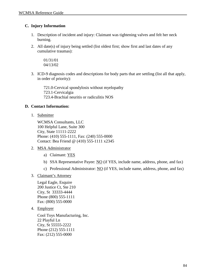# **C. Injury Information**

- 1. Description of incident and injury: Claimant was tightening valves and felt her neck burning.
- 2. All date(s) of injury being settled (list oldest first; show first and last dates of any cumulative traumas):

01/31/01 04/13/02

3. ICD-9 diagnosis codes and descriptions for body parts that are settling (list all that apply, in order of priority):

721.0-Cervical spondylosis without myelopathy 723.1-Cervicalgia 723.4-Brachial neuritis or radiculitis NOS

# **D. Contact Information:**

1. Submitter

WCMSA Consultants, LLC 100 Helpful Lane, Suite 300 City, State 11111-2222 Phone: (410) 555-1111, Fax: (240) 555-0000 Contact: Bea Friend @ (410) 555-1111 x2345

- 2. MSA Administrator
	- a) Claimant: YES
	- b) SSA Representative Payee: NO (if YES, include name, address, phone, and fax)
	- c) Professional Administrator: NO (if YES, include name, address, phone, and fax)
- 3. Claimant's Attorney

Legal Eagle, Esquire 200 Justice Ct, Ste 210 City, St 33333-4444 Phone (800) 555-1111 Fax: (800) 555-0000

4. Employer

Cool Toys Manufacturing, Inc. 22 Playful Ln City, St 55555-2222 Phone (212) 555-1111 Fax: (212) 555-0000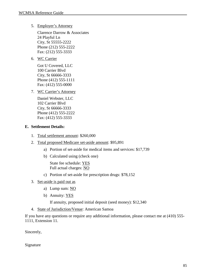5. Employer's Attorney

Clarence Darrow & Associates 24 Playful Ln City, St 55555-2222 Phone (212) 555-2222 Fax: (212) 555-3333

6. WC Carrier

Got U Covered, LLC 100 Carrier Blvd City, St 66666-3333 Phone (412) 555-1111 Fax: (412) 555-0000

7. WC Carrier's Attorney

Daniel Webster, LLC 102 Carrier Blvd City, St 66666-3333 Phone (412) 555-2222 Fax: (412) 555-3333

# **E. Settlement Details:**

- 1. Total settlement amount: \$260,000
- 2. Total proposed Medicare set-aside amount: \$95,891
	- a) Portion of set-aside for medical items and services: \$17,739
	- b) Calculated using (check one)

State fee schedule: YES Full actual charges: NO

- c) Portion of set-aside for prescription drugs: \$78,152
- 3. Set-aside is paid out as
	- a) Lump sum: NO
	- b) Annuity: YES

If annuity, proposed initial deposit (seed money): \$12,340

4. State of Jurisdiction/Venue: American Samoa

If you have any questions or require any additional information, please contact me at (410) 555- 1111, Extension 11.

Sincerely,

Signature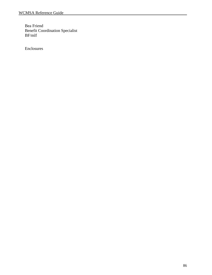Bea Friend Benefit Coordination Specialist BF/mlf

Enclosures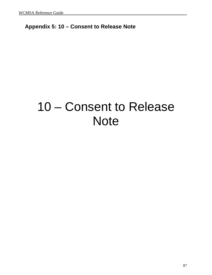# **Appendix 5: 10 – Consent to Release Note**

# 10 – Consent to Release **Note**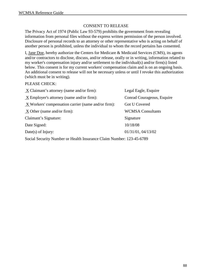# CONSENT TO RELEASE

The Privacy Act of 1974 (Public Law 93-579) prohibits the government from revealing information from personal files without the express written permission of the person involved. Disclosure of personal records to an attorney or other representative who is acting on behalf of another person is prohibited, unless the individual to whom the record pertains has consented.

I, Jane Doe, hereby authorize the Centers for Medicare & Medicaid Services (CMS), its agents and/or contractors to disclose, discuss, and/or release, orally or in writing, information related to my worker's compensation injury and/or settlement to the individual(s) and/or firm(s) listed below. This consent is for my current workers' compensation claim and is on an ongoing basis. An additional consent to release will not be necessary unless or until I revoke this authorization (which must be in writing).

# PLEASE CHECK:

| X Claimant's attorney (name and/or firm):                            | Legal Eagle, Esquire       |  |
|----------------------------------------------------------------------|----------------------------|--|
| X Employer's attorney (name and/or firm):                            | Conrad Courageous, Esquire |  |
| X Workers' compensation carrier (name and/or firm):                  | Got U Covered              |  |
| $X$ Other (name and/or firm):                                        | <b>WCMSA Consultants</b>   |  |
| Claimant's Signature:                                                | Signature                  |  |
| Date Signed:                                                         | 10/18/08                   |  |
| Date(s) of Injury:                                                   | 01/31/01, 04/13/02         |  |
| Social Security Number or Health Insurance Claim Number: 123-45-6789 |                            |  |

88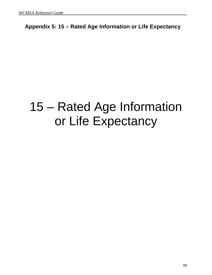**Appendix 5: 15 – Rated Age Information or Life Expectancy**

# 15 – Rated Age Information or Life Expectancy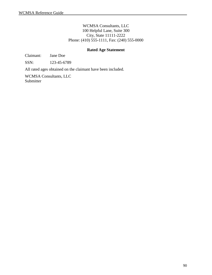# WCMSA Consultants, LLC 100 Helpful Lane, Suite 300 City, State 11111-2222 Phone: (410) 555-1111, Fax: (240) 555-0000

# **Rated Age Statement**

Claimant: Jane Doe

SSN: 123-45-6789

All rated ages obtained on the claimant have been included.

WCMSA Consultants, LLC Submitter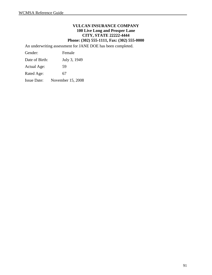## **VULCAN INSURANCE COMPANY 100 Live Long and Prosper Lane CITY, STATE 22222-4444 Phone: (302) 555-1111, Fax: (302) 555-0000**

An underwriting assessment for JANE DOE has been completed.

| Gender:            | Female            |
|--------------------|-------------------|
| Date of Birth:     | July 3, 1949      |
| Actual Age:        | 59                |
| Rated Age:         | 67                |
| <b>Issue Date:</b> | November 15, 2008 |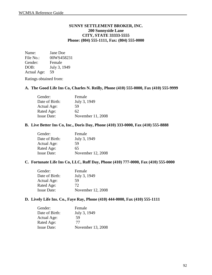### **SUNNY SETTLEMENT BROKER, INC. 200 Sunnyside Lane CITY, STATE 33333-5555 Phone: (804) 555-1111, Fax: (804) 555-0000**

Name: Jane Doe File No.: 00WS458231 Gender: Female DOB: July 3, 1949 Actual Age: 59

Ratings obtained from:

#### **A. The Good Life Ins Co, Charles N. Reilly, Phone (410) 555-0000, Fax (410) 555-9999**

| Gender:            | Female            |
|--------------------|-------------------|
| Date of Birth:     | July 3, 1949      |
| Actual Age:        | 59                |
| Rated Age:         | 62                |
| <b>Issue Date:</b> | November 11, 2008 |

#### **B. Live Better Ins Co, Inc., Doris Day, Phone (410) 333-0000, Fax (410) 555-8888**

| Gender:            | Female            |
|--------------------|-------------------|
| Date of Birth:     | July 3, 1949      |
| Actual Age:        | 59                |
| Rated Age:         | 65                |
| <b>Issue Date:</b> | November 12, 2008 |

#### **C. Fortunate Life Ins Co, LLC, Ruff Day, Phone (410) 777-0000, Fax (410) 555-0000**

| Gender:            | Female            |
|--------------------|-------------------|
| Date of Birth:     | July 3, 1949      |
| Actual Age:        | 59                |
| Rated Age:         | 72                |
| <b>Issue Date:</b> | November 12, 2008 |

#### **D. Lively Life Ins. Co., Faye Ray, Phone (410) 444-0000, Fax (410) 555-1111**

| Gender:            | Female            |
|--------------------|-------------------|
| Date of Birth:     | July 3, 1949      |
| Actual Age:        | 59                |
| Rated Age:         | 77                |
| <b>Issue Date:</b> | November 13, 2008 |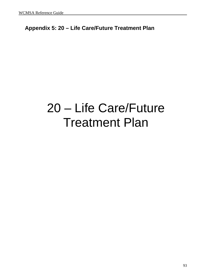# **Appendix 5: 20 – Life Care/Future Treatment Plan**

# 20 – Life Care/Future Treatment Plan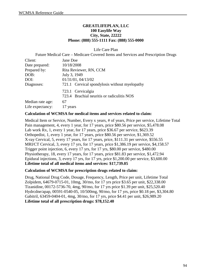# **GREATLIFEPLAN, LLC 100 Easylife Way City, State, 22222 Phone: (888) 555-1111 Fax: (888) 555-0000**

Life Care Plan

Future Medical Care – Medicare Covered Items and Services and Prescription Drugs

| Client:          | Jane Doe                                      |
|------------------|-----------------------------------------------|
| Date prepared:   | 10/18/2008                                    |
| Prepared by:     | Rita Reviewer, RN, CCM                        |
| DOB:             | July 3, 1949                                  |
| DOI:             | 01/31/01, 04/13/02                            |
| Diagnoses:       | 721.1 Cervical spondylosis without myelopathy |
|                  | 723.1 Cervicalgia                             |
|                  | 723.4 Brachial neuritis or radiculitis NOS    |
| Median rate age: | 67                                            |
| Life expectancy: | 17 years                                      |

#### **Calculation of WCMSA for medical items and services related to claim:**

Medical Item or Service, Number, Every x years, # of years, Price per service, Lifetime Total Pain management, 4, every 1 year, for 17 years, price \$80.56 per service, \$5,478.08 Lab work Rx, 1, every 1 year, for 17 years, price \$36.67 per service, \$623.39 Orthopedist, 1, every 1 year, for 17 years, price \$80.56 per service, \$1,369.52 X-ray Cervical, 5, every 17 years, for 17 years, price, \$111.31 per service, \$556.55 MRI/CT Cervical, 3, every 17 yrs, for 17 years, price \$1,386.19 per service, \$4,158.57 Trigger point injection, 6, every 17 yrs, for 17 yrs, \$80.00 per service, \$480.00 Physiotherapy, 18, every 17 years, for 17 years, price \$81.83 per service, \$1,472.94 Epidural injections, 3, every 17 yrs, for 17 yrs, price \$1,200.00 per service, \$3,600.00 **Lifetime total of all medical items and services: \$17,739.05** 

#### **Calculation of WCMSA for prescription drugs related to claim:**

Drug, National Drug Code, Dosage, Frequency, Length, Price per unit, Lifetime Total Zolpidem, 64679-0715-01, 10mg, 30/mo, for 17 yrs price \$3.65 per unit, \$22,338.00 Tizanidine, 00172-5736-70, 4mg, 90/mo, for 17 yrs price \$1.39 per unit, \$25,520.40 Hydrcdne/apap, 00591-0540-05, 10/500mg, 90/mo, for 17 yrs, price \$0.18 per, \$3,304.80 Gabitril, 63459-0404-01, 4mg, 30/mo, for 17 yrs, price \$4.41 per unit, \$26,989.20 **Lifetime total of all prescription drugs: \$78,152.40**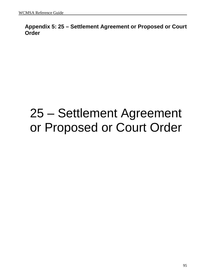# **Appendix 5: 25 – Settlement Agreement or Proposed or Court Order**

# 25 – Settlement Agreement or Proposed or Court Order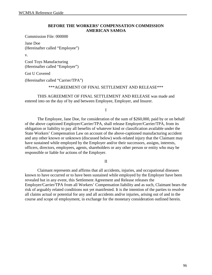#### **BEFORE THE WORKERS' COMPENSATION COMMISSION AMERICAN SAMOA**

Commission File: 000000

Jane Doe (Hereinafter called "Employee")

v.

Cool Toys Manufacturing (Hereinafter called "Employer")

Got U Covered

(Hereinafter called "Carrier/TPA")

\*\*\*AGREEMENT OF FINAL SETTLEMENT AND RELEASE\*\*\*

THIS AGREEMENT OF FINAL SETTLEMENT AND RELEASE was made and entered into on the day of by and between Employee, Employer, and Insurer.

I

The Employee, Jane Doe, for consideration of the sum of \$260,000, paid by or on behalf of the above captioned Employer/Carrier/TPA, shall release Employer/Carrier/TPA, from its obligation or liability to pay all benefits of whatever kind or classification available under the State Workers' Compensation Law on account of the above-captioned manufacturing accident and any other known or unknown (discussed below) work-related injury that the Claimant may have sustained while employed by the Employer and/or their successors, assigns, interests, officers, directors, employees, agents, shareholders or any other person or entity who may be responsible or liable for actions of the Employer.

II

Claimant represents and affirms that all accidents, injuries, and occupational diseases known to have occurred or to have been sustained while employed by the Employer have been revealed but in any event, this Settlement Agreement and Release releases the Employer/Carrier/TPA from all Workers' Compensation liability and as such, Claimant bears the risk of arguably related conditions not yet manifested. It is the intention of the parties to resolve all claims actual or potential for any and all accidents and/or injuries, arising out of and in the course and scope of employment, in exchange for the monetary consideration outlined herein.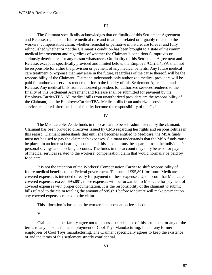#### III

The Claimant specifically acknowledges that on finality of this Settlement Agreement and Release, rights to all future medical care and treatment related or arguably related to the workers' compensation claim, whether remedial or palliative in nature, are forever and fully relinquished whether or not the Claimant's condition has been brought to a state of maximum medical improvement and regardless of whether the Claimant's condition(s) improves or seriously deteriorates for any reason whatsoever. On finality of this Settlement Agreement and Release, except as specifically provided and limited below, the Employer/Carrier/TPA shall not be responsible for either the provision or payment of any medical benefits. Any future medical care treatment or expense that may arise in the future, regardless of the cause thereof, will be the responsibility of the Claimant. Claimant understands only authorized medical providers will be paid for authorized services rendered prior to the finality of this Settlement Agreement and Release. Any medical bills from authorized providers for authorized services rendered to the finality of this Settlement Agreement and Release shall be submitted for payment by the Employer/Carrier/TPA. All medical bills from unauthorized providers are the responsibility of the Claimant, not the Employer/Carrier/TPA. Medical bills from authorized providers for services rendered after the date of finality become the responsibility of the Claimant.

#### IV

The Medicare Set Aside funds in this case are to be self-administered by the claimant. Claimant has been provided directives issued by CMS regarding her rights and responsibilities in this regard. Claimant understands that until she becomes entitled to Medicare, the MSA funds must not be used to pay the claimant's expenses. Claimant understands that the MSA funds must be placed in an interest bearing account, and this account must be separate from the individual's personal savings and checking accounts. The funds in this account may only be used for payment of medical services related to the workers' compensation claim that would normally be paid by Medicare.

It is not the intention of the Workers' Compensation Carrier to shift responsibility of future medical benefits to the Federal government. The sum of \$95,891 for future Medicarecovered expenses is intended directly for payment of these expenses. Upon proof that Medicarecovered expenses exceed \$95,891, those expenses will be forwarded to Medicare for payment of covered expenses with proper documentation. It is the responsibility of the claimant to submit bills related to the claim totaling the amount of \$95,891 before Medicare will make payment on any covered expenses related to the claim.

This allocation is based on the workers' compensation fee schedule.

#### V

Claimant and her family agree not to discuss the existence of this settlement or any of the terms to any persons in the employment of Cool Toys Manufacturing, Inc. or any former employees of Cool Toys manufacturing. The Claimant specifically agrees to keep the existence of and the terms of this settlement strictly confidential.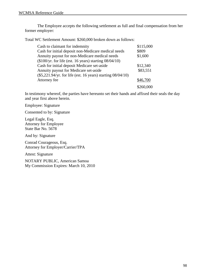The Employee accepts the following settlement as full and final compensation from her former employer:

Total WC Settlement Amount: \$260,000 broken down as follows:

| Cash to claimant for indemnity                               | \$115,000 |
|--------------------------------------------------------------|-----------|
| Cash for initial deposit non-Medicare medical needs          | \$809     |
| Annuity payout for non-Medicare medical needs                | \$1,600   |
| $(\$100/yr$ . for life (est. 16 years) starting $08/04/10$ ) |           |
| Cash for initial deposit Medicare set-aside                  | \$12,340  |
| Annuity payout for Medicare set-aside                        | \$83,551  |
| (\$5,221.94/yr. for life (est. 16 years) starting 08/04/10)  |           |
| Attorney fee                                                 | \$46,700  |
|                                                              | \$260,000 |

In testimony whereof, the parties have hereunto set their hands and affixed their seals the day and year first above herein.

Employee: Signature

Consented to by: Signature

Legal Eagle, Esq. Attorney for Employee State Bar No. 5678

And by: Signature

Conrad Courageous, Esq. Attorney for Employer/Carrier/TPA

Attest: Signature

NOTARY PUBLIC, American Samoa My Commission Expires: March 10, 2010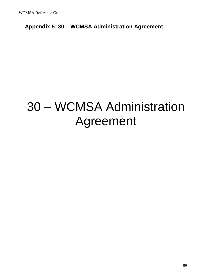# **Appendix 5: 30 – WCMSA Administration Agreement**

# 30 – WCMSA Administration Agreement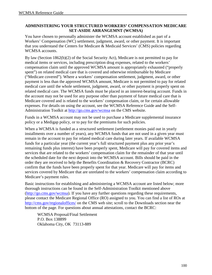# **ADMINISTERING YOUR STRUCTURED WORKERS' COMPENSATION MEDICARE SET-ASIDE ARRANGEMNT (WCMSA)**

You have chosen to personally administer the WCMSA account established as part of a Workers' Compensation (WC) settlement, judgment, award, or other payment. It is important that you understand the Centers for Medicare & Medicaid Services' (CMS) policies regarding WCMSA accounts.

By law (Section 1862(b)(2) of the Social Security Act), Medicare is not permitted to pay for medical items or services, including prescription drug expenses, related to the workers' compensation claim until the approved WCMSA amount is appropriately exhausted ("properly spent") on related medical care that is covered and otherwise reimbursable by Medicare ("Medicare covered"). Where a workers' compensation settlement, judgment, award, or other payment is less than the approved WCMSA amount, Medicare is not permitted to pay for related medical care until the whole settlement, judgment, award, or other payment is properly spent on related medical care. The WCMSA funds must be placed in an interest-bearing account. Funds in the account may not be used for any purpose other than payment of future medical care that is Medicare covered and is related to the workers' compensation claim, or for certain allowable expenses. For details on using the account, see the WCMSA Reference Guide and the Self-Administration Toolkit at<http://go.cms.gov/wcmsa>on the CMS website.

Funds in a WCMSA account may not be used to purchase a Medicare supplemental insurance policy or a Medigap policy, or to pay for the premiums for such policies.

When a WCMSA is funded as a structured settlement (settlement monies paid out in yearly installments over a number of years), any WCMSA funds that are not used in a given year must remain in the account to pay for related medical care during later years. If available WCMSA funds for a particular year (the current year's full structured payment plus any prior year's remaining funds plus interest) have been properly spent, Medicare will pay for covered items and services that are related to the workers' compensation claim for the remainder of that year until the scheduled date for the next deposit into the WCMSA account. Bills should be paid in the order they are received to help the Benefits Coordination & Recovery Contractor (BCRC) confirm that the funds have been properly spent for that year. Medicare will pay for items and services covered by Medicare that are unrelated to the workers' compensation claim according to Medicare's payment rules.

Basic instructions for establishing and administering a WCMSA account are listed below; more thorough instructions can be found in the Self-Administration Toolkit mentioned above [\(http://go.cms.gov/wcmsa\)](http://go.cms.gov/wcmsa). If you have any further questions regarding these requirements, please contact the Medicare Regional Office (RO) assigned to you. You can find a list of ROs at <http://cms.gov/regionaloffices/>on the CMS web site; scroll to the Downloads section near the bottom of the page. For questions about annual attestations, contact the BCRC:

WCMSA Proposal/Final Settlement P.O. Box 138899 Oklahoma City, OK 73113-889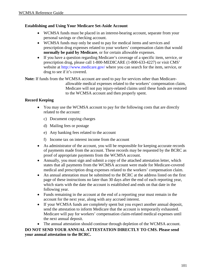## **Establishing and Using Your Medicare Set-Aside Account**

- WCMSA funds must be placed in an interest-bearing account, separate from your personal savings or checking account.
- WCMSA funds may only be used to pay for medical items and services and prescription drug expenses related to your workers' compensation claim that would **normally be paid by Medicare**, or for certain allowable expenses.
- If you have a question regarding Medicare's coverage of a specific item, service, or prescription drug, please call 1-800-MEDICARE (1-800-633-4227) or visit CMS' website at<http://www.medicare.gov/> where you can search for the item, service, or drug to see if it's covered.

**Note:** If funds from the WCMSA account are used to pay for services other than Medicareallowable medical expenses related to the workers' compensation claim, Medicare will not pay injury-related claims until these funds are restored to the WCMSA account and then properly spent.

# **Record Keeping**

- You may use the WCMSA account to pay for the following costs that are directly related to the account:
	- c) Document copying charges
	- d) Mailing fees or postage
	- e) Any banking fees related to the account
	- f) Income tax on interest income from the account
- As administrator of the account, you will be responsible for keeping accurate records of payments made from the account. These records may be requested by the BCRC as proof of appropriate payments from the WCMSA account.
- Annually, you must sign and submit a copy of the attached attestation letter, which states that all payments from the WCMSA account were made for Medicare-covered medical and prescription drug expenses related to the workers' compensation claim.
- An annual attestation must be submitted to the BCRC at the address listed on the first page of these instructions no later than 30 days after the end of each reporting year, which starts with the date the account is established and ends on that date in the following year.
- Funds remaining in the account at the end of a reporting year must remain in the account for the next year, along with any accrued interest.
- If your WCMSA funds are completely spent but you expect another annual deposit, send the attestation to inform Medicare that the account is temporarily exhausted. Medicare will pay for workers' compensation claim-related medical expenses until the next annual deposit.

• The annual attestation should continue through depletion of the WCMSA account. **DO NOT SEND YOUR ANNUAL ATTESTATION DIRECTLY TO CMS. Please send your annual attestation to the BCRC.**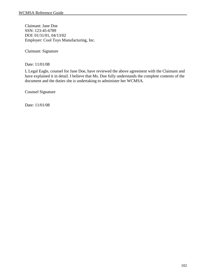Claimant: Jane Doe SSN: 123-45-6789 DOI: 01/31/01, 04/13/02 Employer: Cool Toys Manufacturing, Inc.

Claimant: Signature

Date: 11/01/08

I, Legal Eagle, counsel for Jane Doe, have reviewed the above agreement with the Claimant and have explained it in detail. I believe that Ms. Doe fully understands the complete contents of the document and the duties she is undertaking to administer her WCMSA.

Counsel Signature

Date: 11/01/08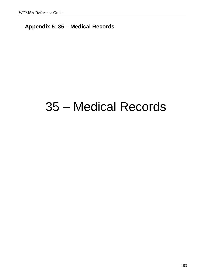## **Appendix 5: 35 – Medical Records**

## 35 – Medical Records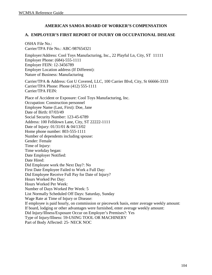#### **AMERICAN SAMOA BOARD OF WORKER'S COMPENSATION**

#### **A. EMPLOYER'S FIRST REPORT OF INJURY OR OCCUPATIONAL DISEASE**

OSHA File No.: Carrier/TPA File No.: ABC-987654321 Employer/Address: Cool Toys Manufacturing, Inc., 22 Playful Ln, City, ST 11111 Employer Phone: (684)-555-1111 Employer FEIN: 12-3456789 Employer Location address (If Different): Nature of Business: Manufacturing Carrier/TPA & Address: Got U Covered, LLC, 100 Carrier Blvd, City, St 66666-3333 Carrier/TPA Phone: Phone (412) 555-1111 Carrier/TPA FEIN: Place of Accident or Exposure: Cool Toys Manufacturing, Inc. Occupation: Construction personnel Employee Name (Last, First): Doe, Jane Date of Birth: 07/03/49 Social Security Number: 123-45-6789 Address: 100 Felldown Lane, City, ST 22222-1111 Date of Injury: 01/31/01 & 04/13/02 Home phone number: 803-555-1111 Number of dependents including spouse: Gender: Female Time of Injury: Time workday began: Date Employer Notified: Date Hired: Did Employee work the Next Day?: No First Date Employee Failed to Work a Full Day: Did Employee Receive Full Pay for Date of Injury? Hours Worked Per Day: Hours Worked Per Week: Number of Days Worked Per Week: 5 List Normally Scheduled Off Days: Saturday, Sunday Wage Rate at Time of Injury or Disease: If employee is paid hourly, on commission or piecework basis, enter average weekly amount: If board, lodging or other advantages were furnished, enter average weekly amount: Did Injury/Illness/Exposure Occur on Employer's Premises?: Yes Type of Injury/Illness: 59-USING TOOL OR MACHINERY Part of Body Affected: 25- NECK NOC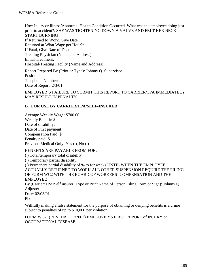How Injury or Illness/Abnormal Health Condition Occurred. What was the employee doing just prior to accident?: SHE WAS TIGHTENING DOWN A VALVE AND FELT HER NECK START BURNING If Returned to Work, Give Date: Returned at What Wage per Hour?: If Fatal, Give Date of Death: Treating Physician (Name and Address): Initial Treatment: Hospital/Treating Facility (Name and Address):

Report Prepared By (Print or Type): Johnny Q. Supervisor Position: Telephone Number: Date of Report: 2/3/01

EMPLOYER'S FAILURE TO SUBMIT THIS REPORT TO CARRIER/TPA IMMEDIATELY MAY RESULT IN PENALTY

#### **B. FOR USE BY CARRIER/TPA/SELF-INSURER**

Average Weekly Wage: \$700.00 Weekly Benefit: \$ Date of disability: Date of First payment: Compensation Paid: \$ Penalty paid: \$ Previous Medical Only: Yes ( ), No ( )

BENEFITS ARE PAYABLE FROM FOR: ( ) Total/temporary total disability ( ) Temporary partial disability ( ) Permanent partial disability of % to for weeks UNTIL WHEN THE EMPLOYEE

ACTUALLY RETURNED TO WORK ALL OTHER SUSPENSION REQUIRE THE FILING OF FORM WC2 WITH THE BOARD OF WORKERS' COMPENSATION AND THE EMPLOYEE By (Carrier/TPA/Self insurer: Type or Print Name of Person Filing Form or Sign): Johnny Q.

Adjuster Date: 02/03/01 Phone:

Willfully making a false statement for the purpose of obtaining or denying benefits is a crime subject to penalties of up to \$10,000 per violation.

FORM WC-1 (REV. DATE 7/2002) EMPLOYER'S FIRST REPORT of INJURY or OCCUPATIONAL DISEASE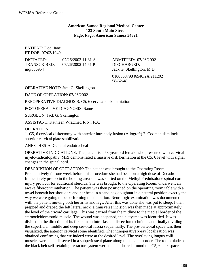#### **American Samoa Regional Medical Center 123 South Main Street Pago, Pago, American Samoa 54321**

PATIENT: Doe, Jane PT DOB: 07/03/1949

| DICTATED:    | 07/26/2002 11:31 A   |
|--------------|----------------------|
| TRANSCRIBED: | $07/26/2002$ 14:51 P |
| mq/856954    |                      |

ADMITTED: 07/26/2002 DISCHARGED: Jack G. Skellington, M.D. 010006879846546/2A 211202 58-62-48

OPERATIVE NOTE: Jack G. Skellington

DATE OF OPERATION: 07/26/2002

PREOPERATIVE DIAGNOSIS: C5, 6 cervical disk herniation

POSTOPERATIVE DIAGNOSIS: Same

SURGEON: Jack G. Skellington

ASSISTANT: Kathleen Wratchet, R.N., F.A.

OPERATION:

1. C5, 6 cervical diskectomy with anterior intrabody fusion (Allograft) 2. Codman slim lock anterior cervical plate stabilization

ANESTHESIA: General endotracheal

OPERATIVE INDICATIONS: The patient is a 53-year-old female who presented with cervical myelo-radiculopathy. MRI demonstrated a massive disk herniation at the C5, 6 level with signal changes in the spinal cord.

DESCRIPTION OF OPERATION: The patient was brought to the Operating Room. Preoperatively for one week before this procedure she had been on a high dose of Decadron. Immediately pre-op in the holding area she was started on the Methyl Prednisolone spinal cord injury protocol for additional steroids. She was brought to the Operating Room, underwent an awake fiberoptic intubation. The patient was then positioned on the operating room table with a towel beneath her shoulders and her head in a sand bag doughnut in a neutral position exactly the way we were going to be performing the operation. Neurologic examination was documented with the patient moving both her arms and legs. After this was done she was put to sleep. I then prepped and draped the left lateral neck, a transverse incision was then made at approximately the level of the cricoid cartilage. This was carried from the midline to the medial border of the sternocleidomastoid muscle. The wound was deepened, the platysma was identified. It was divided in the direction of its fibers in an intra-fascial dissection technique and finally dividing the superficial, middle and deep cervical fascia sequentially. The pre-vertebral space was then visualized, the anterior cervical spine identified. The intraoperative x-ray localization was obtained confirming that we indeed were at the desired level. The overlaying longus colli muscles were then dissected in a subperiosteal plane along the medial border. The tooth blades of the black belt self-retaining retractor system were then anchored around the C5, 6 disk space.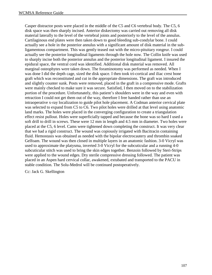Casper distractor posts were placed in the middle of the C5 and C6 vertebral body. The C5, 6 disk space was then sharply incised. Anterior diskectomy was carried out removing all disk material laterally to the level of the vertebral joints and posteriorly to the level of the annulus. Cartilaginous end plates were then taken down to good bleeding sub-condylar bone. I could actually see a hole in the posterior annulus with a significant amount of disk material in the subligamentous compartment. This was gently teased out with the micro-pituitary rongeur. I could actually see the posterior longitudinal ligaments through the hole now. The Collin knife was used to sharply incise both the posterior annulus and the posterior longitudinal ligament. I insured the epidural space, the ventral cord was identified. Additional disk material was removed. All marginal osteophytes were taken down. The foraminotomy was performed as needed. When I was done I did the depth cage, sized the disk space. I then took tri-cortical and iliac crest bone graft which was reconstituted and cut in the appropriate dimensions. The graft was introduced and slightly counter sunk. Posts were removed, placed in the graft in a compressive mode. Grafts were mainly checked to make sure it was secure. Satisfied, I then moved on to the stabilization portion of the procedure. Unfortunately, this patient's shoulders were in the way and even with retraction I could not get them out of the way, therefore I free handed rather than use an intraoperative x-ray localization to guide pilot hole placement. A Codman anterior cervical plate was selected to expand from C5 to C6. Two pilot holes were drilled at that level using anatomic land marks. The holes were placed in the converging configuration to create a triangulation effect resist pullout. Holes were superficially tapped and because the bone was so hard I used a soft drill to drill in screws. These were 12 mm in length and 4.5 mm in diameter. Two holes were placed at the C5, 6 level. Cams were tightened down completing the construct. It was very clear that we had a rigid construct. The wound was copiously irrigated with Bacitracin containing fluid. Hemostasis was obtained as needed with the bipolar electrocautery and thrombin soaked Gelfoam. The wound was then closed in multiple layers in an anatomic fashion. 3-0 Vicryl was used to approximate the platysma, inverted 3-0 Vicryl for the subcuticular and a running 4-0 subcuticular stitch was used to bring the skin edges together. Benzoin followed by Steri-Strips were applied to the wound edges. Dry sterile compressive dressing followed. The patient was placed in an Aspen hard cervical collar, awakened, extubated and transported to the PACU in stable condition. The Solu-Medrol will be continued postoperatively.

Cc: Jack G. Skellington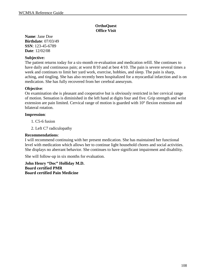**Name**: Jane Doe **Birthdate**: 07/03/49 **SSN**: 123-45-6789 **Date**: 12/02/08

#### **Subjective:**

The patient returns today for a six-month re-evaluation and medication refill. She continues to have daily and continuous pain; at worst 8/10 and at best 4/10. The pain is severe several times a week and continues to limit her yard work, exercise, hobbies, and sleep. The pain is sharp, aching, and tingling. She has also recently been hospitalized for a myocardial infarction and is on medication. She has fully recovered from her cerebral aneurysm.

#### **Objective**:

On examination she is pleasant and cooperative but is obviously restricted in her cervical range of motion. Sensation is diminished in the left hand at digits four and five. Grip strength and wrist extension are pain limited. Cervical range of motion is guarded with 10° flexion extension and bilateral rotation.

#### **Impression**:

1. C5-6 fusion

2. Left C7 radiculopathy

#### **Recommendations**:

I will recommend continuing with her present medication. She has maintained her functional level with medication which allows her to continue light household chores and social activities. She displays no aberrant behavior. She continues to have significant impairment and disability.

She will follow-up in six months for evaluation.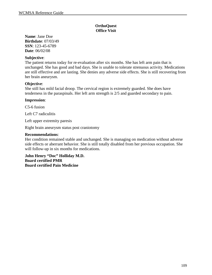**Name**: Jane Doe **Birthdate**: 07/03/49 **SSN**: 123-45-6789 **Date**: 06/02/08

#### **Subjective**:

The patient returns today for re-evaluation after six months. She has left arm pain that is unchanged. She has good and bad days. She is unable to tolerate strenuous activity. Medications are still effective and are lasting. She denies any adverse side effects. She is still recovering from her brain aneurysm.

#### **Objective**:

She still has mild facial droop. The cervical region is extremely guarded. She does have tenderness in the paraspinals. Her left arm strength is 2/5 and guarded secondary to pain.

#### **Impression**:

C5-6 fusion

Left C7 radiculitis

Left upper extremity paresis

Right brain aneurysm status post craniotomy

#### **Recommendations**:

Her condition remained stable and unchanged. She is managing on medication without adverse side effects or aberrant behavior. She is still totally disabled from her previous occupation. She will follow-up in six months for medications.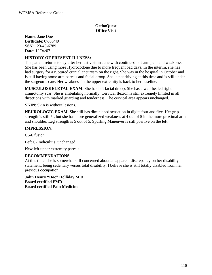**Name**: Jane Doe **Birthdate**: 07/03/49 **SSN**: 123-45-6789 **Date**: 12/04/07

#### **HISTORY OF PRESENT ILLNESS:**

The patient returns today after her last visit in June with continued left arm pain and weakness. She has been using more Hydrocodone due to more frequent bad days. In the interim, she has had surgery for a ruptured cranial aneurysm on the right. She was in the hospital in October and is still having some arm paresis and facial droop. She is not driving at this time and is still under the surgeon's care. Her weakness in the upper extremity is back to her baseline.

**MUSCULOSKELETAL EXAM**: She has left facial droop. She has a well healed right craniotomy scar. She is ambulating normally. Cervical flexion is still extremely limited in all directions with marked guarding and tenderness. The cervical area appears unchanged.

**SKIN**: Skin is without lesions.

**NEUROLOGIC EXAM**: She still has diminished sensation in digits four and five. Her grip strength is still 5-, but she has more generalized weakness at 4 out of 5 in the more proximal arm and shoulder. Leg strength is 5 out of 5. Spurling Maneuver is still positive on the left.

#### **IMPRESSION**:

C5-6 fusion

Left C7 radiculitis, unchanged

New left upper extremity paresis

#### **RECOMMENDATIONS**:

At this time, she is somewhat still concerned about an apparent discrepancy on her disability statement, being sedentary versus total disability. I believe she is still totally disabled from her previous occupation.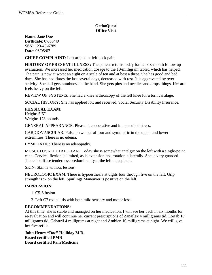**Name**: Jane Doe **Birthdate**: 07/03/49 **SSN**: 123-45-6789 **Date**: 06/05/07

**CHIEF COMPLAINT**: Left arm pain, left neck pain

**HISTORY OF PRESENT ILLNESS:** The patient returns today for her six-month follow up evaluation. We increased her medication dosage to the 10-milligram tablet, which has helped. The pain is now at worst an eight on a scale of ten and at best a three. She has good and bad days. She has had flares the last several days, decreased with rest. It is aggravated by over activity. She still gets numbness in the hand. She gets pins and needles and drops things. Her arm feels heavy on the left.

REVIEW OF SYSTEMS: She had a knee arthroscopy of the left knee for a torn cartilage.

SOCIAL HISTORY: She has applied for, and received, Social Security Disability Insurance.

#### **PHYSICAL EXAM:**

Height: 5'5" Weight: 178 pounds

GENERAL APPEARANCE: Pleasant, cooperative and in no acute distress.

CARDIOVASCULAR: Pulse is two out of four and symmetric in the upper and lower extremities. There is no edema.

LYMPHATIC: There is no adenopathy.

MUSCULOSKELETAL EXAM: Today she is somewhat antalgic on the left with a single-point cane. Cervical flexion is limited, as is extension and rotation bilaterally. She is very guarded. There is diffuse tenderness predominantly at the left paraspinals.

SKIN: Skin is without lesions.

NEUROLOGIC EXAM: There is hypoesthesia at digits four through five on the left. Grip strength is 5- on the left. Spurlings Maneuver is positive on the left.

#### **IMPRESSION:**

- 1. C5-6 fusion
- 2. Left C7 radiculitis with both mild sensory and motor loss

#### **RECOMMENDATIONS:**

At this time, she is stable and managed on her medication. I will see her back in six months for re-evaluation and will continue her current prescriptions of Zanaflex 4 milligrams tid, Lortab 10 milligrams tid, Gabatril 4 milligrams at night and Ambien 10 milligrams at night. We will give her five refills.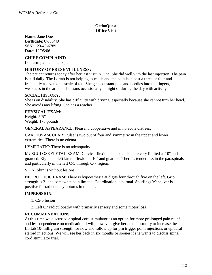**Name**: Jane Doe **Birthdate**: 07/03/49 **SSN**: 123-45-6789 **Date**: 12/05/06

#### **CHIEF COMPLAINT:**

Left arm pain and neck pain

#### **HISTORY OF PRESENT ILLNESS:**

The patient returns today after her last visit in June. She did well with the last injection. The pain is still daily. The Lortab is not helping as much and the pain is at best a three or four and frequently a seven on a scale of ten. She gets constant pins and needles into the fingers, weakness in the arm, and spasms occasionally at night or during the day with activity.

#### SOCIAL HISTORY:

She is on disability. She has difficulty with driving, especially because she cannot turn her head. She avoids any lifting. She has a reacher.

#### **PHYSICAL EXAM:**

Height: 5'5" Weight: 178 pounds

GENERAL APPEARANCE: Pleasant, cooperative and in no acute distress.

CARDIOVASCULAR: Pulse is two out of four and symmetric in the upper and lower extremities. There is no edema.

LYMPHATIC: There is no adenopathy.

MUSCULOSKELETAL EXAM: Cervical flexion and extension are very limited at 10° and guarded. Right and left lateral flexion is 10° and guarded. There is tenderness in the paraspinals and particularly in the left C-5 through C-7 region.

SKIN: Skin is without lesions.

NEUROLOGIC EXAM: There is hypoesthesia at digits four through five on the left. Grip strength is 3- and somewhat pain limited. Coordination is normal. Spurlings Maneuver is positive for radicular symptoms in the left.

#### **IMPRESSION:**

- 1. C5-6 fusion
- 2. Left C7 radiculopathy with primarily sensory and some motor loss

#### **RECOMMENDATIONS:**

At this time we discussed a spinal cord stimulator as an option for more prolonged pain relief and less dependence on medication. I will, however, give her an opportunity to increase the Lortab 10-milligram strength for now and follow up for prn trigger point injections or epidural steroid injections. We will see her back in six months or sooner if she wants to discuss spinal cord stimulator trial.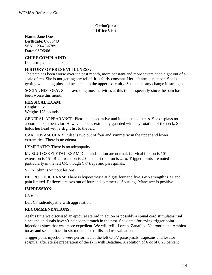**Name**: Jane Doe **Birthdate**: 07/03/49 **SSN**: 123-45-6789 **Date**: 06/06/06

#### **CHIEF COMPLAINT:**

Left arm pain and neck pain

#### **HISTORY OF PRESENT ILLNESS:**

The pain has been worse over the past month, more constant and more severe at an eight out of a scale of ten. She is not getting any relief. It is fairly constant. Her left arm is number. She is getting worsening pins and needles into the upper extremity. She denies any change in strength.

SOCIAL HISTORY: She is avoiding most activities at this time, especially since the pain has been worse this month.

#### **PHYSICAL EXAM:**

Height: 5'5" Weight: 178 pounds

GENERAL APPEARANCE: Pleasant, cooperative and in no acute distress. She displays no abnormal pain behavior. However, she is extremely guarded with any rotation of the neck. She holds her head with a slight list to the left.

CARDIOVASCULAR: Pulse is two out of four and symmetric in the upper and lower extremities. There is no edema.

LYMPHATIC: There is no adenopathy.

MUSCULOSKELETAL EXAM: Gait and station are normal. Cervical flexion is 10° and extension is 15°. Right rotation is 20° and left rotation is zero. Trigger points are noted particularly in the left C-5 though C-7 traps and paraspinals.

SKIN: Skin is without lesions.

NEUROLOGIC EXAM: There is hypoesthesia at digits four and five. Grip strength is 3+ and pain limited. Reflexes are two out of four and symmetric. Spurlings Maneuver is positive.

#### **IMPRESSION:**

C5-6 fusion

Left C7 radiculopathy with aggravation

#### **RECOMMENDATIONS:**

At this time we discussed an epidural steroid injection or possibly a spinal cord stimulator trial since the epidurals haven't helped that much in the past. She opted for trying trigger point injections since that was more expedient. We will refill Lortab, Zanaflex, Neurontin and Ambien today and see her back in six months for refills and re-evaluation.

Trigger point injections were performed at the left C-6/7 paraspinals, trapezius and levator scapula, after sterile preparation of the skin with Betadine. A solution of 6 cc of 0.25 percent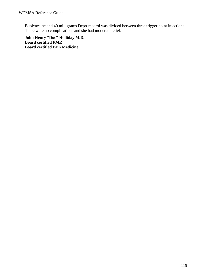Bupivacaine and 40 milligrams Depo-medrol was divided between three trigger point injections. There were no complications and she had moderate relief.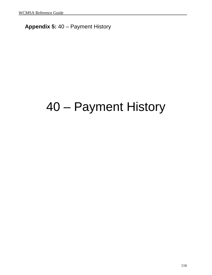## **Appendix 5:** 40 – Payment History

# 40 – Payment History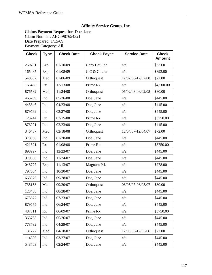#### **Affinity Service Group, Inc.**

Claims Payment Request for: Doe, Jane Claim Number: ABC-987654321 Date Prepared: 1/15/09 Payment Category: All

| <b>Check</b> | <b>Type</b> | <b>Check Date</b> | <b>Check Payee</b> | <b>Service Date</b> | <b>Check</b><br><b>Amount</b> |
|--------------|-------------|-------------------|--------------------|---------------------|-------------------------------|
| 259781       | Exp         | 01/10/09          | Copy Cat, Inc.     | n/a                 | \$33.60                       |
| 165487       | Exp         | 01/08/09          | C.C & C Law        | n/a                 | \$893.00                      |
| 548632       | Med         | 01/06/09          | Orthoquest         | 12/02/08-12/02/08   | \$72.00                       |
| 165468       | Rx          | 12/13/08          | Prime Rx           | n/a                 | \$4,500.00                    |
| 876532       | Med         | 11/24/08          | Orthoquest         | 06/02/08-06/02/08   | \$80.00                       |
| 465789       | Ind         | 05/26/08          | Doe, Jane          | n/a                 | \$445.00                      |
| 445646       | Ind         | 04/23/08          | Doe, Jane          | n/a                 | \$445.00                      |
| 879769       | Ind         | 03/27/08          | Doe, Jane          | n/a                 | \$445.00                      |
| 123244       | Rx          | 03/15/08          | Prime Rx           | n/a                 | \$3750.00                     |
| 876921       | Ind         | 02/23/08          | Doe, Jane          | n/a                 | \$445.00                      |
| 346487       | Med         | 02/18/08          | Orthoquest         | 12/04/07-12/04/07   | \$72.00                       |
| 378988       | Ind         | 01/28/08          | Doe, Jane          | n/a                 | \$445.00                      |
| 421321       | Rx          | 01/08/08          | Prime Rx           | n/a                 | \$3750.00                     |
| 898997       | Ind         | 12/23/07          | Doe, Jane          | n/a                 |                               |
| 979888       | Ind         | 11/24/07          | Doe, Jane          | n/a                 |                               |
| 048777       | Exp         | 11/13/07          | Magnum P.I.        | n/a                 | \$278.00                      |
| 797654       | Ind         | 10/30/07          | Doe, Jane          | n/a                 |                               |
| 668376       | Ind         | 09/28/07          | Doe, Jane          | n/a                 | \$445.00                      |
| 735153       | Med         | 09/20/07          | Orthoquest         | 06/05/07-06/05/07   | \$80.00                       |
| 123458       | Ind         | 08/28/07          | Doe, Jane          | n/a                 |                               |
| 673677       | Ind         | 07/23/07          | Doe, Jane          | n/a                 |                               |
| 879575       | Ind         | 06/24/07          | Doe, Jane          | n/a                 |                               |
| 487311       | Rx          | 06/09/07          | Prime Rx           | n/a                 | \$3750.00                     |
| 365768       | Ind         | 05/26/07          | Doe, Jane<br>n/a   |                     | \$445.00                      |
| 778792       | Ind         | 04/29/07          | Doe, Jane<br>n/a   |                     | \$445.00                      |
| 131727       | Med         | 04/18/07          | Orthoquest         | 12/05/06-12/05/06   | \$72.00                       |
| 114586       | Ind         | 03/27/07          | Doe, Jane          | n/a                 | \$445.00                      |
| 548763       | Ind         | 02/24/07          | Doe, Jane          | n/a                 | \$445.00                      |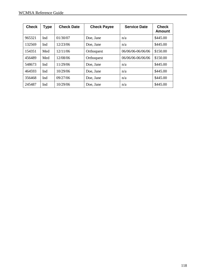| <b>Check</b> | <b>Type</b> | <b>Check Date</b> | <b>Check Payee</b> | <b>Service Date</b> | <b>Check</b><br><b>Amount</b> |
|--------------|-------------|-------------------|--------------------|---------------------|-------------------------------|
| 965321       | Ind         | 01/30/07          | Doe, Jane          | n/a                 | \$445.00                      |
| 132569       | Ind         | 12/23/06          | Doe, Jane          | n/a                 | \$445.00                      |
| 154351       | Med         | 12/11/06          | Orthoquest         | 06/06/06-06/06/06   | \$150.00                      |
| 456489       | Med         | 12/08/06          | Orthoquest         | 06/06/06-06/06/06   | \$150.00                      |
| 548673       | Ind         | 11/29/06          | Doe, Jane          | n/a                 | \$445.00                      |
| 464593       | Ind         | 10/29/06          | Doe, Jane          | n/a                 | \$445.00                      |
| 356468       | Ind         | 09/27/06          | Doe, Jane          | n/a                 | \$445.00                      |
| 245487       | Ind         | 10/29/06          | Doe, Jane          | n/a                 | \$445.00                      |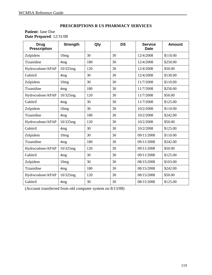#### **PRESCRIPTIONS R US PHARMACY SERVICES**

#### **Patient**: Jane Doe **Date Prepared**: 12/31/08

| <b>Drug</b><br><b>Prescription</b> | <b>Strength</b>  | Qty | <b>DS</b> | <b>Service</b><br><b>Date</b> | <b>Amount</b> |
|------------------------------------|------------------|-----|-----------|-------------------------------|---------------|
| Zolpidem                           | 10mg             | 30  | 30        | 12/4/2008                     | \$110.00      |
| Tizanidine                         | 4 <sub>mg</sub>  | 180 | 30        | 12/4/2008                     | \$250.00      |
| Hydrocodone/APAP                   | 10/325mg         | 120 | 30        | 12/4/2008                     | \$50.00       |
| Gabitril                           | 4 <sub>mg</sub>  | 30  | 30        | 12/4/2008                     | \$130.00      |
| Zolpidem                           | 10mg             | 30  | 30        | 11/7/2008                     | \$110.00      |
| Tizanidine                         | 4 <sub>mg</sub>  | 180 | 30        | 11/7/2008                     | \$250.00      |
| Hydrocodone/APAP                   | 10/325mg         | 120 | 30        | 11/7/2008                     | \$50.00       |
| Gabitril                           | 4 <sub>mg</sub>  | 30  | 30        | 11/7/2008                     | \$125.00      |
| Zolpidem                           | 10mg             | 30  | 30        | 10/2/2008                     | \$110.00      |
| Tizanidine                         | 4 <sub>mg</sub>  | 180 | 30        | 10/2/2008                     | \$242.00      |
| Hydrocodone/APAP                   | 10/325mg         | 120 | 30        | 10/2/2008                     | \$50.00       |
| Gabitril                           | 4 <sub>mg</sub>  | 30  | 30        | 10/2/2008                     | \$125.00      |
| Zolpidem                           | 10mg             | 30  | 30        | 09/11/2008                    | \$110.00      |
| Tizanidine                         | 4 <sub>mg</sub>  | 180 | 30        | 09/11/2008                    | \$242.00      |
| Hydrocodone/APAP                   | 10/325mg         | 120 | 30        | 09/11/2008                    | \$50.00       |
| Gabitril                           | 4 <sub>mg</sub>  | 30  | 30        | 09/11/2008                    | \$125.00      |
| Zolpidem                           | 10 <sub>mg</sub> | 30  | 30        | 08/15/2008                    | \$103.00      |
| Tizanidine                         | 4mg              | 180 | 30        | 08/15/2008                    | \$242.00      |
| Hydrocodone/APAP                   | 10/325mg         | 120 | 30        | 08/15/2008                    | \$50.00       |
| Gabitril                           | 4 <sub>mg</sub>  | 30  | 30        | 08/15/2008                    | \$125.00      |

(Account transferred from old computer system on 8/13/08)